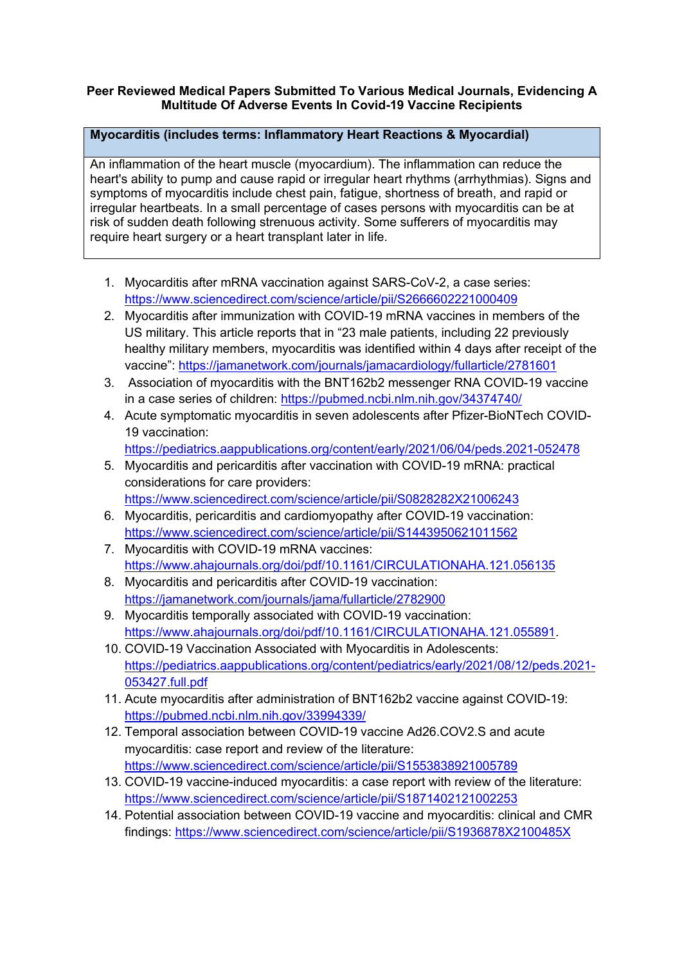### **Peer Reviewed Medical Papers Submitted To Various Medical Journals, Evidencing A Multitude Of Adverse Events In Covid-19 Vaccine Recipients**

# **Myocarditis (includes terms: Inflammatory Heart Reactions & Myocardial)**

An inflammation of the heart muscle (myocardium). The inflammation can reduce the heart's ability to pump and cause rapid or irregular heart rhythms (arrhythmias). Signs and symptoms of myocarditis include chest pain, fatigue, shortness of breath, and rapid or irregular heartbeats. In a small percentage of cases persons with myocarditis can be at risk of sudden death following strenuous activity. Some sufferers of myocarditis may require heart surgery or a heart transplant later in life.

- 1. Myocarditis after mRNA vaccination against SARS-CoV-2, a case series: https://www.sciencedirect.com/science/article/pii/S2666602221000409
- 2. Myocarditis after immunization with COVID-19 mRNA vaccines in members of the US military. This article reports that in "23 male patients, including 22 previously healthy military members, myocarditis was identified within 4 days after receipt of the vaccine": https://jamanetwork.com/journals/jamacardiology/fullarticle/2781601
- 3. Association of myocarditis with the BNT162b2 messenger RNA COVID-19 vaccine in a case series of children: https://pubmed.ncbi.nlm.nih.gov/34374740/
- 4. Acute symptomatic myocarditis in seven adolescents after Pfizer-BioNTech COVID-19 vaccination:
	- https://pediatrics.aappublications.org/content/early/2021/06/04/peds.2021-052478
- 5. Myocarditis and pericarditis after vaccination with COVID-19 mRNA: practical considerations for care providers:
	- https://www.sciencedirect.com/science/article/pii/S0828282X21006243
- 6. Myocarditis, pericarditis and cardiomyopathy after COVID-19 vaccination: https://www.sciencedirect.com/science/article/pii/S1443950621011562
- 7. Myocarditis with COVID-19 mRNA vaccines: https://www.ahajournals.org/doi/pdf/10.1161/CIRCULATIONAHA.121.056135
- 8. Myocarditis and pericarditis after COVID-19 vaccination: https://jamanetwork.com/journals/jama/fullarticle/2782900
- 9. Myocarditis temporally associated with COVID-19 vaccination: https://www.ahajournals.org/doi/pdf/10.1161/CIRCULATIONAHA.121.055891.
- 10. COVID-19 Vaccination Associated with Myocarditis in Adolescents: https://pediatrics.aappublications.org/content/pediatrics/early/2021/08/12/peds.2021- 053427.full.pdf
- 11. Acute myocarditis after administration of BNT162b2 vaccine against COVID-19: https://pubmed.ncbi.nlm.nih.gov/33994339/
- 12. Temporal association between COVID-19 vaccine Ad26.COV2.S and acute myocarditis: case report and review of the literature: https://www.sciencedirect.com/science/article/pii/S1553838921005789
- 13. COVID-19 vaccine-induced myocarditis: a case report with review of the literature: https://www.sciencedirect.com/science/article/pii/S1871402121002253
- 14. Potential association between COVID-19 vaccine and myocarditis: clinical and CMR findings: https://www.sciencedirect.com/science/article/pii/S1936878X2100485X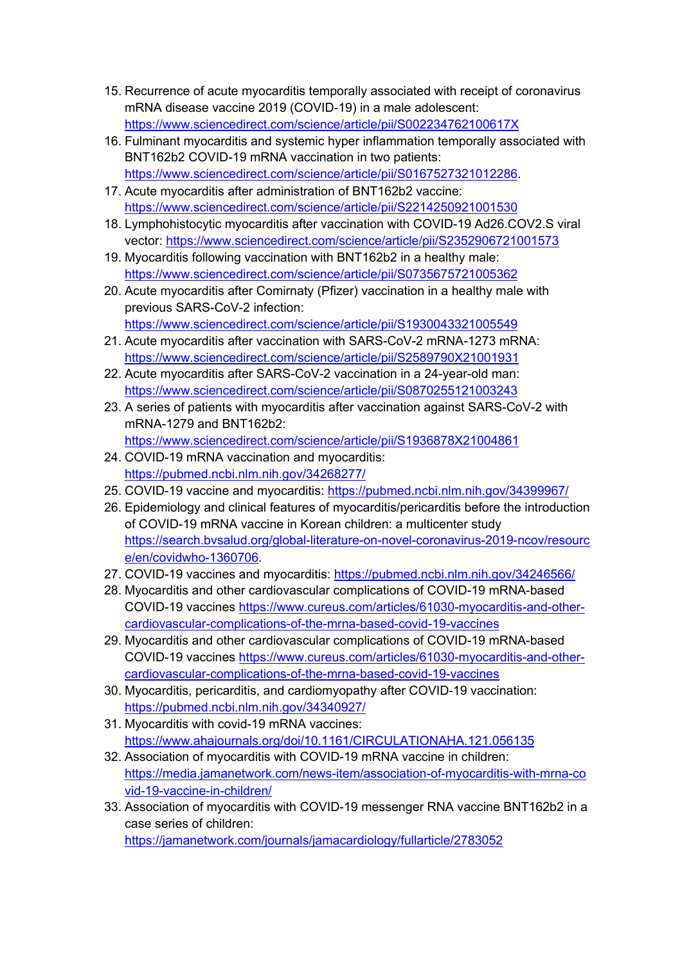- 15. Recurrence of acute myocarditis temporally associated with receipt of coronavirus mRNA disease vaccine 2019 (COVID-19) in a male adolescent: https://www.sciencedirect.com/science/article/pii/S002234762100617X
- 16. Fulminant myocarditis and systemic hyper inflammation temporally associated with BNT162b2 COVID-19 mRNA vaccination in two patients: https://www.sciencedirect.com/science/article/pii/S0167527321012286.
- 17. Acute myocarditis after administration of BNT162b2 vaccine: https://www.sciencedirect.com/science/article/pii/S2214250921001530
- 18. Lymphohistocytic myocarditis after vaccination with COVID-19 Ad26.COV2.S viral vector: https://www.sciencedirect.com/science/article/pii/S2352906721001573
- 19. Myocarditis following vaccination with BNT162b2 in a healthy male: https://www.sciencedirect.com/science/article/pii/S0735675721005362
- 20. Acute myocarditis after Comirnaty (Pfizer) vaccination in a healthy male with previous SARS-CoV-2 infection: https://www.sciencedirect.com/science/article/pii/S1930043321005549
- 21. Acute myocarditis after vaccination with SARS-CoV-2 mRNA-1273 mRNA: https://www.sciencedirect.com/science/article/pii/S2589790X21001931
- 22. Acute myocarditis after SARS-CoV-2 vaccination in a 24-year-old man: https://www.sciencedirect.com/science/article/pii/S0870255121003243
- 23. A series of patients with myocarditis after vaccination against SARS-CoV-2 with mRNA-1279 and BNT162b2:

https://www.sciencedirect.com/science/article/pii/S1936878X21004861

- 24. COVID-19 mRNA vaccination and myocarditis: https://pubmed.ncbi.nlm.nih.gov/34268277/
- 25. COVID-19 vaccine and myocarditis: https://pubmed.ncbi.nlm.nih.gov/34399967/
- 26. Epidemiology and clinical features of myocarditis/pericarditis before the introduction of COVID-19 mRNA vaccine in Korean children: a multicenter study https://search.bvsalud.org/global-literature-on-novel-coronavirus-2019-ncov/resourc e/en/covidwho-1360706.
- 27. COVID-19 vaccines and myocarditis: https://pubmed.ncbi.nlm.nih.gov/34246566/
- 28. Myocarditis and other cardiovascular complications of COVID-19 mRNA-based COVID-19 vaccines https://www.cureus.com/articles/61030-myocarditis-and-othercardiovascular-complications-of-the-mrna-based-covid-19-vaccines
- 29. Myocarditis and other cardiovascular complications of COVID-19 mRNA-based COVID-19 vaccines https://www.cureus.com/articles/61030-myocarditis-and-othercardiovascular-complications-of-the-mrna-based-covid-19-vaccines
- 30. Myocarditis, pericarditis, and cardiomyopathy after COVID-19 vaccination: https://pubmed.ncbi.nlm.nih.gov/34340927/
- 31. Myocarditis with covid-19 mRNA vaccines: https://www.ahajournals.org/doi/10.1161/CIRCULATIONAHA.121.056135
- 32. Association of myocarditis with COVID-19 mRNA vaccine in children: https://media.jamanetwork.com/news-item/association-of-myocarditis-with-mrna-co vid-19-vaccine-in-children/
- 33. Association of myocarditis with COVID-19 messenger RNA vaccine BNT162b2 in a case series of children: https://jamanetwork.com/journals/jamacardiology/fullarticle/2783052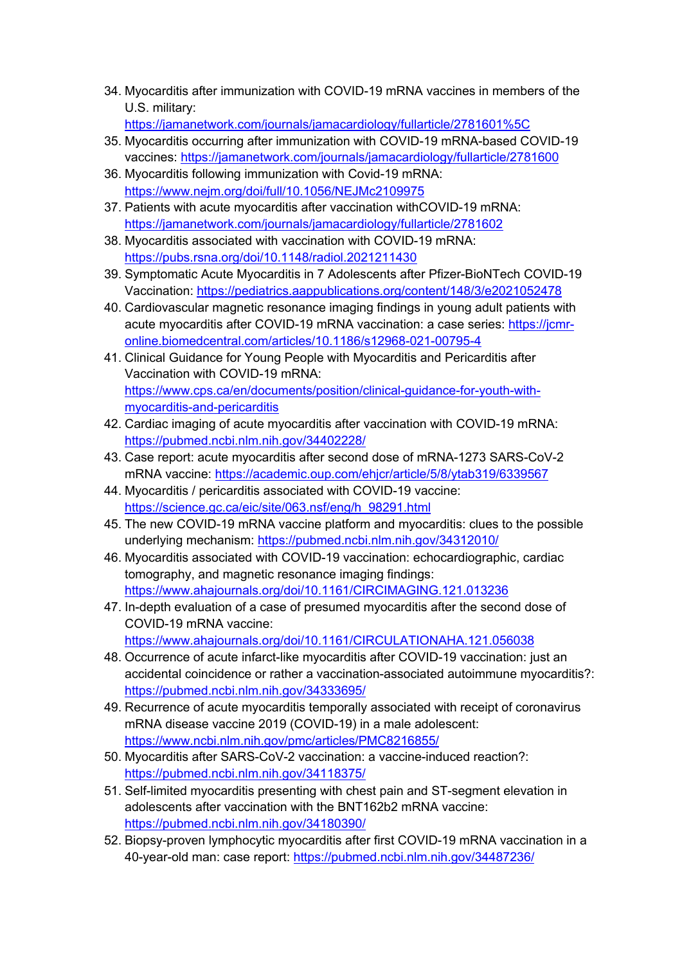- 34. Myocarditis after immunization with COVID-19 mRNA vaccines in members of the U.S. military:
	- https://jamanetwork.com/journals/jamacardiology/fullarticle/2781601%5C
- 35. Myocarditis occurring after immunization with COVID-19 mRNA-based COVID-19 vaccines: https://jamanetwork.com/journals/jamacardiology/fullarticle/2781600
- 36. Myocarditis following immunization with Covid-19 mRNA: https://www.nejm.org/doi/full/10.1056/NEJMc2109975
- 37. Patients with acute myocarditis after vaccination withCOVID-19 mRNA: https://jamanetwork.com/journals/jamacardiology/fullarticle/2781602
- 38. Myocarditis associated with vaccination with COVID-19 mRNA: https://pubs.rsna.org/doi/10.1148/radiol.2021211430
- 39. Symptomatic Acute Myocarditis in 7 Adolescents after Pfizer-BioNTech COVID-19 Vaccination: https://pediatrics.aappublications.org/content/148/3/e2021052478
- 40. Cardiovascular magnetic resonance imaging findings in young adult patients with acute myocarditis after COVID-19 mRNA vaccination: a case series: https://jcmronline.biomedcentral.com/articles/10.1186/s12968-021-00795-4
- 41. Clinical Guidance for Young People with Myocarditis and Pericarditis after Vaccination with COVID-19 mRNA: https://www.cps.ca/en/documents/position/clinical-guidance-for-youth-withmyocarditis-and-pericarditis
- 42. Cardiac imaging of acute myocarditis after vaccination with COVID-19 mRNA: https://pubmed.ncbi.nlm.nih.gov/34402228/
- 43. Case report: acute myocarditis after second dose of mRNA-1273 SARS-CoV-2 mRNA vaccine: https://academic.oup.com/ehjcr/article/5/8/ytab319/6339567
- 44. Myocarditis / pericarditis associated with COVID-19 vaccine: https://science.gc.ca/eic/site/063.nsf/eng/h\_98291.html
- 45. The new COVID-19 mRNA vaccine platform and myocarditis: clues to the possible underlying mechanism: https://pubmed.ncbi.nlm.nih.gov/34312010/
- 46. Myocarditis associated with COVID-19 vaccination: echocardiographic, cardiac tomography, and magnetic resonance imaging findings: https://www.ahajournals.org/doi/10.1161/CIRCIMAGING.121.013236
- 47. In-depth evaluation of a case of presumed myocarditis after the second dose of COVID-19 mRNA vaccine: https://www.ahajournals.org/doi/10.1161/CIRCULATIONAHA.121.056038
- 48. Occurrence of acute infarct-like myocarditis after COVID-19 vaccination: just an accidental coincidence or rather a vaccination-associated autoimmune myocarditis?: https://pubmed.ncbi.nlm.nih.gov/34333695/
- 49. Recurrence of acute myocarditis temporally associated with receipt of coronavirus mRNA disease vaccine 2019 (COVID-19) in a male adolescent: https://www.ncbi.nlm.nih.gov/pmc/articles/PMC8216855/
- 50. Myocarditis after SARS-CoV-2 vaccination: a vaccine-induced reaction?: https://pubmed.ncbi.nlm.nih.gov/34118375/
- 51. Self-limited myocarditis presenting with chest pain and ST-segment elevation in adolescents after vaccination with the BNT162b2 mRNA vaccine: https://pubmed.ncbi.nlm.nih.gov/34180390/
- 52. Biopsy-proven lymphocytic myocarditis after first COVID-19 mRNA vaccination in a 40-year-old man: case report: https://pubmed.ncbi.nlm.nih.gov/34487236/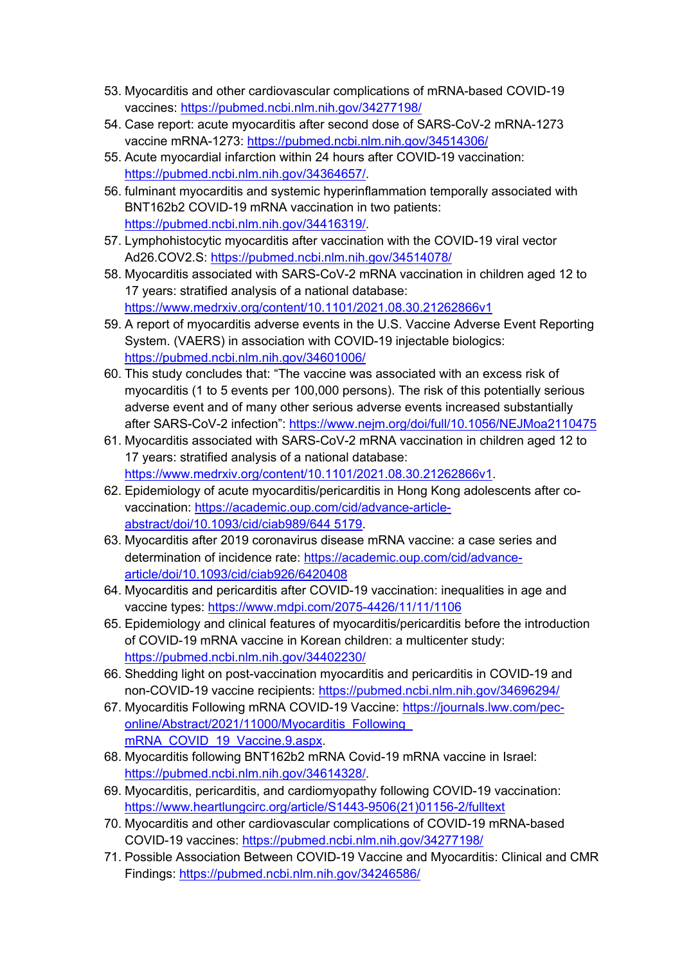- 53. Myocarditis and other cardiovascular complications of mRNA-based COVID-19 vaccines: https://pubmed.ncbi.nlm.nih.gov/34277198/
- 54. Case report: acute myocarditis after second dose of SARS-CoV-2 mRNA-1273 vaccine mRNA-1273: https://pubmed.ncbi.nlm.nih.gov/34514306/
- 55. Acute myocardial infarction within 24 hours after COVID-19 vaccination: https://pubmed.ncbi.nlm.nih.gov/34364657/.
- 56. fulminant myocarditis and systemic hyperinflammation temporally associated with BNT162b2 COVID-19 mRNA vaccination in two patients: https://pubmed.ncbi.nlm.nih.gov/34416319/.
- 57. Lymphohistocytic myocarditis after vaccination with the COVID-19 viral vector Ad26.COV2.S: https://pubmed.ncbi.nlm.nih.gov/34514078/
- 58. Myocarditis associated with SARS-CoV-2 mRNA vaccination in children aged 12 to 17 years: stratified analysis of a national database: https://www.medrxiv.org/content/10.1101/2021.08.30.21262866v1
- 59. A report of myocarditis adverse events in the U.S. Vaccine Adverse Event Reporting System. (VAERS) in association with COVID-19 injectable biologics: https://pubmed.ncbi.nlm.nih.gov/34601006/
- 60. This study concludes that: "The vaccine was associated with an excess risk of myocarditis (1 to 5 events per 100,000 persons). The risk of this potentially serious adverse event and of many other serious adverse events increased substantially after SARS-CoV-2 infection": https://www.nejm.org/doi/full/10.1056/NEJMoa2110475
- 61. Myocarditis associated with SARS-CoV-2 mRNA vaccination in children aged 12 to 17 years: stratified analysis of a national database: https://www.medrxiv.org/content/10.1101/2021.08.30.21262866v1.
- 62. Epidemiology of acute myocarditis/pericarditis in Hong Kong adolescents after covaccination: https://academic.oup.com/cid/advance-articleabstract/doi/10.1093/cid/ciab989/644 5179.
- 63. Myocarditis after 2019 coronavirus disease mRNA vaccine: a case series and determination of incidence rate: https://academic.oup.com/cid/advancearticle/doi/10.1093/cid/ciab926/6420408
- 64. Myocarditis and pericarditis after COVID-19 vaccination: inequalities in age and vaccine types: https://www.mdpi.com/2075-4426/11/11/1106
- 65. Epidemiology and clinical features of myocarditis/pericarditis before the introduction of COVID-19 mRNA vaccine in Korean children: a multicenter study: https://pubmed.ncbi.nlm.nih.gov/34402230/
- 66. Shedding light on post-vaccination myocarditis and pericarditis in COVID-19 and non-COVID-19 vaccine recipients: https://pubmed.ncbi.nlm.nih.gov/34696294/
- 67. Myocarditis Following mRNA COVID-19 Vaccine: https://journals.lww.com/peconline/Abstract/2021/11000/Myocarditis\_Following mRNA\_COVID\_19\_Vaccine.9.aspx.
- 68. Myocarditis following BNT162b2 mRNA Covid-19 mRNA vaccine in Israel: https://pubmed.ncbi.nlm.nih.gov/34614328/.
- 69. Myocarditis, pericarditis, and cardiomyopathy following COVID-19 vaccination: https://www.heartlungcirc.org/article/S1443-9506(21)01156-2/fulltext
- 70. Myocarditis and other cardiovascular complications of COVID-19 mRNA-based COVID-19 vaccines: https://pubmed.ncbi.nlm.nih.gov/34277198/
- 71. Possible Association Between COVID-19 Vaccine and Myocarditis: Clinical and CMR Findings: https://pubmed.ncbi.nlm.nih.gov/34246586/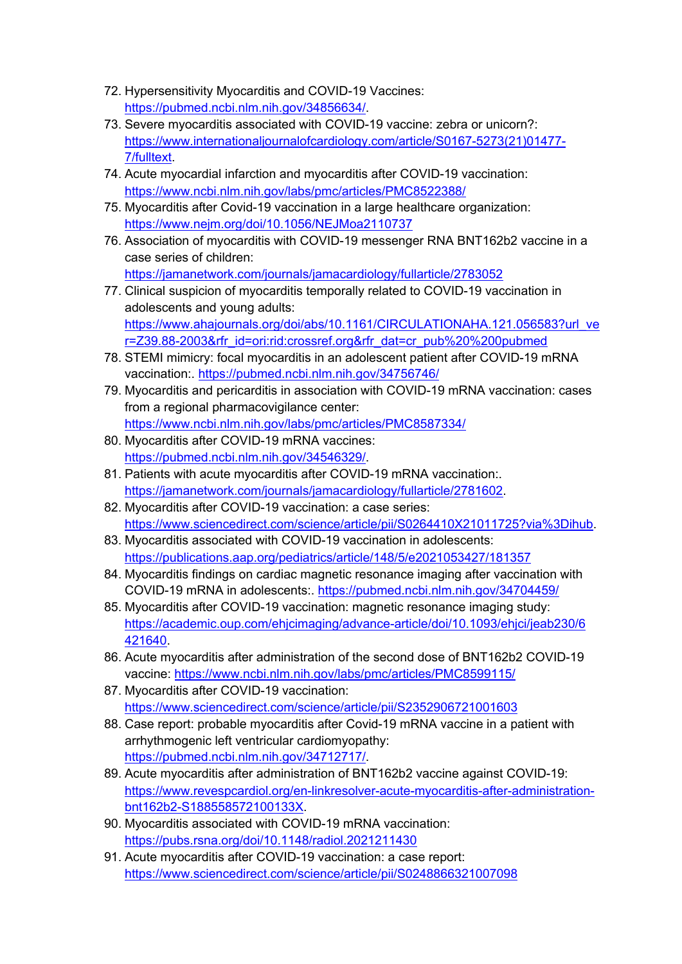- 72. Hypersensitivity Myocarditis and COVID-19 Vaccines: https://pubmed.ncbi.nlm.nih.gov/34856634/.
- 73. Severe myocarditis associated with COVID-19 vaccine: zebra or unicorn?: https://www.internationaljournalofcardiology.com/article/S0167-5273(21)01477- 7/fulltext.
- 74. Acute myocardial infarction and myocarditis after COVID-19 vaccination: https://www.ncbi.nlm.nih.gov/labs/pmc/articles/PMC8522388/
- 75. Myocarditis after Covid-19 vaccination in a large healthcare organization: https://www.nejm.org/doi/10.1056/NEJMoa2110737
- 76. Association of myocarditis with COVID-19 messenger RNA BNT162b2 vaccine in a case series of children: https://jamanetwork.com/journals/jamacardiology/fullarticle/2783052
- 77. Clinical suspicion of myocarditis temporally related to COVID-19 vaccination in adolescents and young adults: https://www.ahajournals.org/doi/abs/10.1161/CIRCULATIONAHA.121.056583?url\_ve r=Z39.88-2003&rfr\_id=ori:rid:crossref.org&rfr\_dat=cr\_pub%20%200pubmed
- 78. STEMI mimicry: focal myocarditis in an adolescent patient after COVID-19 mRNA vaccination:. https://pubmed.ncbi.nlm.nih.gov/34756746/
- 79. Myocarditis and pericarditis in association with COVID-19 mRNA vaccination: cases from a regional pharmacovigilance center: https://www.ncbi.nlm.nih.gov/labs/pmc/articles/PMC8587334/
- 80. Myocarditis after COVID-19 mRNA vaccines: https://pubmed.ncbi.nlm.nih.gov/34546329/.
- 81. Patients with acute myocarditis after COVID-19 mRNA vaccination:. https://jamanetwork.com/journals/jamacardiology/fullarticle/2781602.
- 82. Myocarditis after COVID-19 vaccination: a case series: https://www.sciencedirect.com/science/article/pii/S0264410X21011725?via%3Dihub.
- 83. Myocarditis associated with COVID-19 vaccination in adolescents: https://publications.aap.org/pediatrics/article/148/5/e2021053427/181357
- 84. Myocarditis findings on cardiac magnetic resonance imaging after vaccination with COVID-19 mRNA in adolescents:. https://pubmed.ncbi.nlm.nih.gov/34704459/
- 85. Myocarditis after COVID-19 vaccination: magnetic resonance imaging study: https://academic.oup.com/ehjcimaging/advance-article/doi/10.1093/ehjci/jeab230/6 421640.
- 86. Acute myocarditis after administration of the second dose of BNT162b2 COVID-19 vaccine: https://www.ncbi.nlm.nih.gov/labs/pmc/articles/PMC8599115/
- 87. Myocarditis after COVID-19 vaccination: https://www.sciencedirect.com/science/article/pii/S2352906721001603
- 88. Case report: probable myocarditis after Covid-19 mRNA vaccine in a patient with arrhythmogenic left ventricular cardiomyopathy: https://pubmed.ncbi.nlm.nih.gov/34712717/.
- 89. Acute myocarditis after administration of BNT162b2 vaccine against COVID-19: https://www.revespcardiol.org/en-linkresolver-acute-myocarditis-after-administrationbnt162b2-S188558572100133X.
- 90. Myocarditis associated with COVID-19 mRNA vaccination: https://pubs.rsna.org/doi/10.1148/radiol.2021211430
- 91. Acute myocarditis after COVID-19 vaccination: a case report: https://www.sciencedirect.com/science/article/pii/S0248866321007098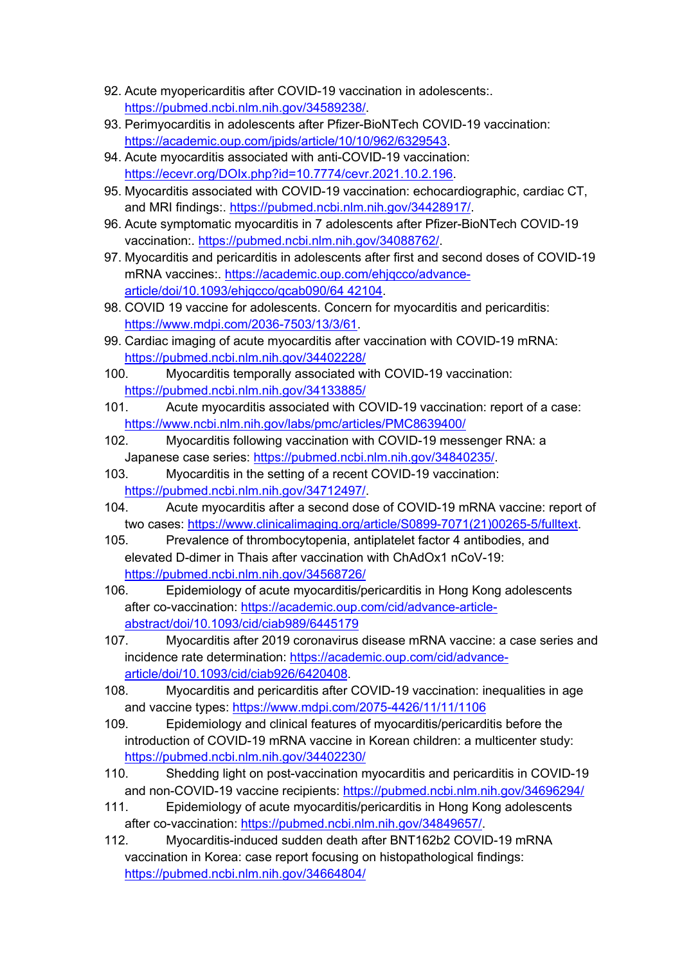- 92. Acute myopericarditis after COVID-19 vaccination in adolescents:. https://pubmed.ncbi.nlm.nih.gov/34589238/.
- 93. Perimyocarditis in adolescents after Pfizer-BioNTech COVID-19 vaccination: https://academic.oup.com/jpids/article/10/10/962/6329543.
- 94. Acute myocarditis associated with anti-COVID-19 vaccination: https://ecevr.org/DOIx.php?id=10.7774/cevr.2021.10.2.196.
- 95. Myocarditis associated with COVID-19 vaccination: echocardiographic, cardiac CT, and MRI findings:. https://pubmed.ncbi.nlm.nih.gov/34428917/.
- 96. Acute symptomatic myocarditis in 7 adolescents after Pfizer-BioNTech COVID-19 vaccination:. https://pubmed.ncbi.nlm.nih.gov/34088762/.
- 97. Myocarditis and pericarditis in adolescents after first and second doses of COVID-19 mRNA vaccines:. https://academic.oup.com/ehjqcco/advancearticle/doi/10.1093/ehjqcco/qcab090/64 42104.
- 98. COVID 19 vaccine for adolescents. Concern for myocarditis and pericarditis: https://www.mdpi.com/2036-7503/13/3/61.
- 99. Cardiac imaging of acute myocarditis after vaccination with COVID-19 mRNA: https://pubmed.ncbi.nlm.nih.gov/34402228/
- 100. Myocarditis temporally associated with COVID-19 vaccination: https://pubmed.ncbi.nlm.nih.gov/34133885/
- 101. Acute myocarditis associated with COVID-19 vaccination: report of a case: https://www.ncbi.nlm.nih.gov/labs/pmc/articles/PMC8639400/
- 102. Myocarditis following vaccination with COVID-19 messenger RNA: a Japanese case series: https://pubmed.ncbi.nlm.nih.gov/34840235/.
- 103. Myocarditis in the setting of a recent COVID-19 vaccination: https://pubmed.ncbi.nlm.nih.gov/34712497/.
- 104. Acute myocarditis after a second dose of COVID-19 mRNA vaccine: report of two cases: https://www.clinicalimaging.org/article/S0899-7071(21)00265-5/fulltext.
- 105. Prevalence of thrombocytopenia, antiplatelet factor 4 antibodies, and elevated D-dimer in Thais after vaccination with ChAdOx1 nCoV-19: https://pubmed.ncbi.nlm.nih.gov/34568726/
- 106. Epidemiology of acute myocarditis/pericarditis in Hong Kong adolescents after co-vaccination: https://academic.oup.com/cid/advance-articleabstract/doi/10.1093/cid/ciab989/6445179
- 107. Myocarditis after 2019 coronavirus disease mRNA vaccine: a case series and incidence rate determination: https://academic.oup.com/cid/advancearticle/doi/10.1093/cid/ciab926/6420408.
- 108. Myocarditis and pericarditis after COVID-19 vaccination: inequalities in age and vaccine types: https://www.mdpi.com/2075-4426/11/11/1106
- 109. Epidemiology and clinical features of myocarditis/pericarditis before the introduction of COVID-19 mRNA vaccine in Korean children: a multicenter study: https://pubmed.ncbi.nlm.nih.gov/34402230/
- 110. Shedding light on post-vaccination myocarditis and pericarditis in COVID-19 and non-COVID-19 vaccine recipients: https://pubmed.ncbi.nlm.nih.gov/34696294/
- 111. Epidemiology of acute myocarditis/pericarditis in Hong Kong adolescents after co-vaccination: https://pubmed.ncbi.nlm.nih.gov/34849657/.
- 112. Myocarditis-induced sudden death after BNT162b2 COVID-19 mRNA vaccination in Korea: case report focusing on histopathological findings: https://pubmed.ncbi.nlm.nih.gov/34664804/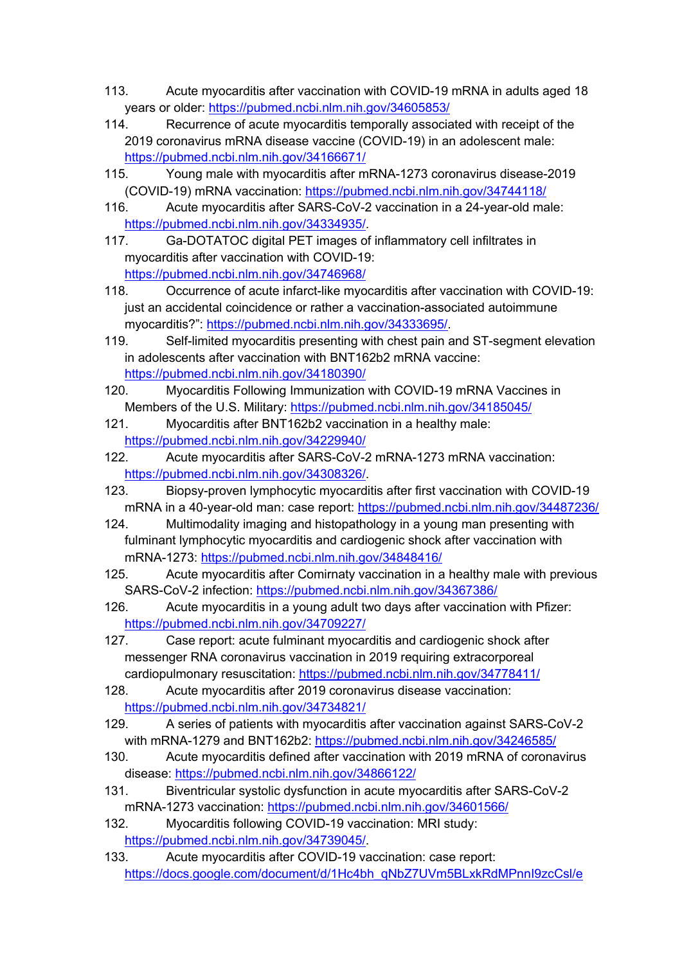- 113. Acute myocarditis after vaccination with COVID-19 mRNA in adults aged 18 years or older: https://pubmed.ncbi.nlm.nih.gov/34605853/
- 114. Recurrence of acute myocarditis temporally associated with receipt of the 2019 coronavirus mRNA disease vaccine (COVID-19) in an adolescent male: https://pubmed.ncbi.nlm.nih.gov/34166671/
- 115. Young male with myocarditis after mRNA-1273 coronavirus disease-2019 (COVID-19) mRNA vaccination: https://pubmed.ncbi.nlm.nih.gov/34744118/
- 116. Acute myocarditis after SARS-CoV-2 vaccination in a 24-year-old male: https://pubmed.ncbi.nlm.nih.gov/34334935/.
- 117. Ga-DOTATOC digital PET images of inflammatory cell infiltrates in myocarditis after vaccination with COVID-19: https://pubmed.ncbi.nlm.nih.gov/34746968/
- 118. Occurrence of acute infarct-like myocarditis after vaccination with COVID-19: just an accidental coincidence or rather a vaccination-associated autoimmune myocarditis?": https://pubmed.ncbi.nlm.nih.gov/34333695/.
- 119. Self-limited myocarditis presenting with chest pain and ST-segment elevation in adolescents after vaccination with BNT162b2 mRNA vaccine: https://pubmed.ncbi.nlm.nih.gov/34180390/
- 120. Myocarditis Following Immunization with COVID-19 mRNA Vaccines in Members of the U.S. Military: https://pubmed.ncbi.nlm.nih.gov/34185045/
- 121. Myocarditis after BNT162b2 vaccination in a healthy male: https://pubmed.ncbi.nlm.nih.gov/34229940/
- 122. Acute myocarditis after SARS-CoV-2 mRNA-1273 mRNA vaccination: https://pubmed.ncbi.nlm.nih.gov/34308326/.
- 123. Biopsy-proven lymphocytic myocarditis after first vaccination with COVID-19 mRNA in a 40-year-old man: case report: https://pubmed.ncbi.nlm.nih.gov/34487236/
- 124. Multimodality imaging and histopathology in a young man presenting with fulminant lymphocytic myocarditis and cardiogenic shock after vaccination with mRNA-1273: https://pubmed.ncbi.nlm.nih.gov/34848416/
- 125. Acute myocarditis after Comirnaty vaccination in a healthy male with previous SARS-CoV-2 infection: https://pubmed.ncbi.nlm.nih.gov/34367386/
- 126. Acute myocarditis in a young adult two days after vaccination with Pfizer: https://pubmed.ncbi.nlm.nih.gov/34709227/
- 127. Case report: acute fulminant myocarditis and cardiogenic shock after messenger RNA coronavirus vaccination in 2019 requiring extracorporeal cardiopulmonary resuscitation: https://pubmed.ncbi.nlm.nih.gov/34778411/
- 128. Acute myocarditis after 2019 coronavirus disease vaccination: https://pubmed.ncbi.nlm.nih.gov/34734821/
- 129. A series of patients with myocarditis after vaccination against SARS-CoV-2 with mRNA-1279 and BNT162b2: https://pubmed.ncbi.nlm.nih.gov/34246585/
- 130. Acute myocarditis defined after vaccination with 2019 mRNA of coronavirus disease: https://pubmed.ncbi.nlm.nih.gov/34866122/
- 131. Biventricular systolic dysfunction in acute myocarditis after SARS-CoV-2 mRNA-1273 vaccination: https://pubmed.ncbi.nlm.nih.gov/34601566/
- 132. Myocarditis following COVID-19 vaccination: MRI study: https://pubmed.ncbi.nlm.nih.gov/34739045/.
- 133. Acute myocarditis after COVID-19 vaccination: case report: https://docs.google.com/document/d/1Hc4bh\_qNbZ7UVm5BLxkRdMPnnI9zcCsl/e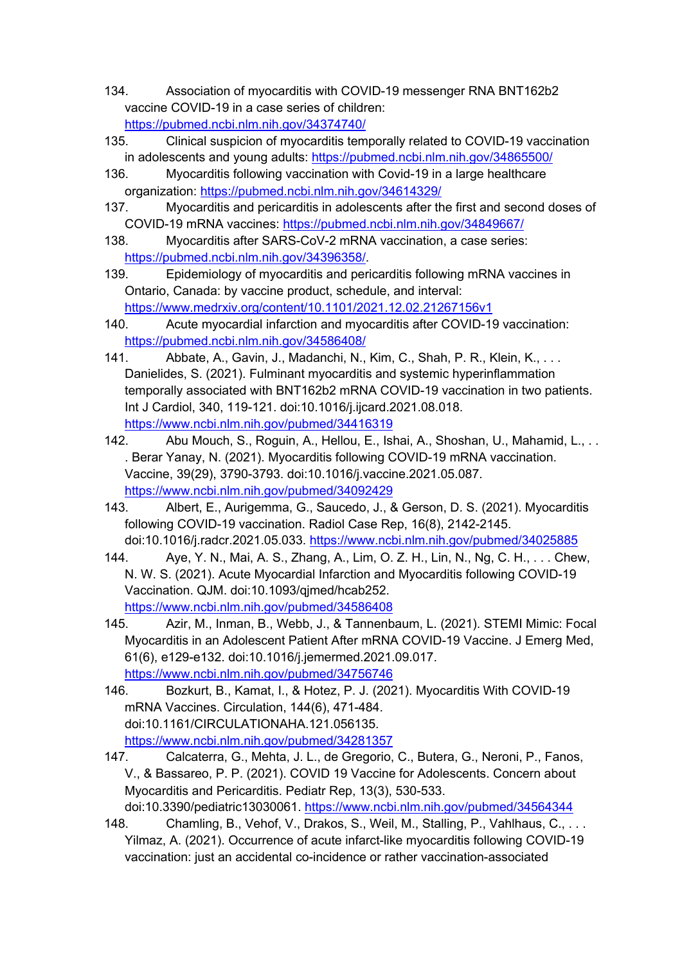- 134. Association of myocarditis with COVID-19 messenger RNA BNT162b2 vaccine COVID-19 in a case series of children: https://pubmed.ncbi.nlm.nih.gov/34374740/
- 135. Clinical suspicion of myocarditis temporally related to COVID-19 vaccination in adolescents and young adults: https://pubmed.ncbi.nlm.nih.gov/34865500/
- 136. Myocarditis following vaccination with Covid-19 in a large healthcare organization: https://pubmed.ncbi.nlm.nih.gov/34614329/
- 137. Myocarditis and pericarditis in adolescents after the first and second doses of COVID-19 mRNA vaccines: https://pubmed.ncbi.nlm.nih.gov/34849667/
- 138. Myocarditis after SARS-CoV-2 mRNA vaccination, a case series: https://pubmed.ncbi.nlm.nih.gov/34396358/.
- 139. Epidemiology of myocarditis and pericarditis following mRNA vaccines in Ontario, Canada: by vaccine product, schedule, and interval: https://www.medrxiv.org/content/10.1101/2021.12.02.21267156v1
- 140. Acute myocardial infarction and myocarditis after COVID-19 vaccination: https://pubmed.ncbi.nlm.nih.gov/34586408/
- 141. Abbate, A., Gavin, J., Madanchi, N., Kim, C., Shah, P. R., Klein, K., . . . Danielides, S. (2021). Fulminant myocarditis and systemic hyperinflammation temporally associated with BNT162b2 mRNA COVID-19 vaccination in two patients. Int J Cardiol, 340, 119-121. doi:10.1016/j.ijcard.2021.08.018. https://www.ncbi.nlm.nih.gov/pubmed/34416319
- 142. Abu Mouch, S., Roguin, A., Hellou, E., Ishai, A., Shoshan, U., Mahamid, L., . . . Berar Yanay, N. (2021). Myocarditis following COVID-19 mRNA vaccination. Vaccine, 39(29), 3790-3793. doi:10.1016/j.vaccine.2021.05.087. https://www.ncbi.nlm.nih.gov/pubmed/34092429
- 143. Albert, E., Aurigemma, G., Saucedo, J., & Gerson, D. S. (2021). Myocarditis following COVID-19 vaccination. Radiol Case Rep, 16(8), 2142-2145. doi:10.1016/j.radcr.2021.05.033. https://www.ncbi.nlm.nih.gov/pubmed/34025885
- 144. Aye, Y. N., Mai, A. S., Zhang, A., Lim, O. Z. H., Lin, N., Ng, C. H., . . . Chew, N. W. S. (2021). Acute Myocardial Infarction and Myocarditis following COVID-19 Vaccination. QJM. doi:10.1093/qjmed/hcab252. https://www.ncbi.nlm.nih.gov/pubmed/34586408
- 145. Azir, M., Inman, B., Webb, J., & Tannenbaum, L. (2021). STEMI Mimic: Focal Myocarditis in an Adolescent Patient After mRNA COVID-19 Vaccine. J Emerg Med, 61(6), e129-e132. doi:10.1016/j.jemermed.2021.09.017. https://www.ncbi.nlm.nih.gov/pubmed/34756746
- 146. Bozkurt, B., Kamat, I., & Hotez, P. J. (2021). Myocarditis With COVID-19 mRNA Vaccines. Circulation, 144(6), 471-484. doi:10.1161/CIRCULATIONAHA.121.056135. https://www.ncbi.nlm.nih.gov/pubmed/34281357
- 147. Calcaterra, G., Mehta, J. L., de Gregorio, C., Butera, G., Neroni, P., Fanos, V., & Bassareo, P. P. (2021). COVID 19 Vaccine for Adolescents. Concern about Myocarditis and Pericarditis. Pediatr Rep, 13(3), 530-533. doi:10.3390/pediatric13030061. https://www.ncbi.nlm.nih.gov/pubmed/34564344
- 148. Chamling, B., Vehof, V., Drakos, S., Weil, M., Stalling, P., Vahlhaus, C., . . . Yilmaz, A. (2021). Occurrence of acute infarct-like myocarditis following COVID-19 vaccination: just an accidental co-incidence or rather vaccination-associated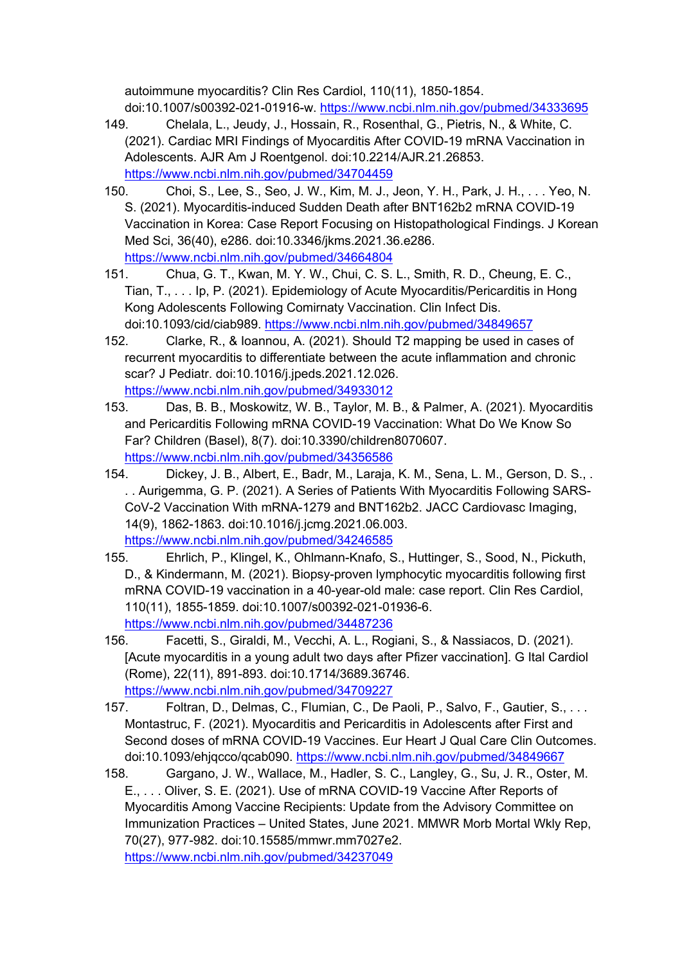autoimmune myocarditis? Clin Res Cardiol, 110(11), 1850-1854. doi:10.1007/s00392-021-01916-w. https://www.ncbi.nlm.nih.gov/pubmed/34333695

- 149. Chelala, L., Jeudy, J., Hossain, R., Rosenthal, G., Pietris, N., & White, C. (2021). Cardiac MRI Findings of Myocarditis After COVID-19 mRNA Vaccination in Adolescents. AJR Am J Roentgenol. doi:10.2214/AJR.21.26853. https://www.ncbi.nlm.nih.gov/pubmed/34704459
- 150. Choi, S., Lee, S., Seo, J. W., Kim, M. J., Jeon, Y. H., Park, J. H., . . . Yeo, N. S. (2021). Myocarditis-induced Sudden Death after BNT162b2 mRNA COVID-19 Vaccination in Korea: Case Report Focusing on Histopathological Findings. J Korean Med Sci, 36(40), e286. doi:10.3346/jkms.2021.36.e286. https://www.ncbi.nlm.nih.gov/pubmed/34664804
- 151. Chua, G. T., Kwan, M. Y. W., Chui, C. S. L., Smith, R. D., Cheung, E. C., Tian, T., . . . Ip, P. (2021). Epidemiology of Acute Myocarditis/Pericarditis in Hong Kong Adolescents Following Comirnaty Vaccination. Clin Infect Dis. doi:10.1093/cid/ciab989. https://www.ncbi.nlm.nih.gov/pubmed/34849657
- 152. Clarke, R., & Ioannou, A. (2021). Should T2 mapping be used in cases of recurrent myocarditis to differentiate between the acute inflammation and chronic scar? J Pediatr. doi:10.1016/j.jpeds.2021.12.026. https://www.ncbi.nlm.nih.gov/pubmed/34933012
- 153. Das, B. B., Moskowitz, W. B., Taylor, M. B., & Palmer, A. (2021). Myocarditis and Pericarditis Following mRNA COVID-19 Vaccination: What Do We Know So Far? Children (Basel), 8(7). doi:10.3390/children8070607. https://www.ncbi.nlm.nih.gov/pubmed/34356586
- 154. Dickey, J. B., Albert, E., Badr, M., Laraja, K. M., Sena, L. M., Gerson, D. S., . . . Aurigemma, G. P. (2021). A Series of Patients With Myocarditis Following SARS-CoV-2 Vaccination With mRNA-1279 and BNT162b2. JACC Cardiovasc Imaging, 14(9), 1862-1863. doi:10.1016/j.jcmg.2021.06.003. https://www.ncbi.nlm.nih.gov/pubmed/34246585
- 155. Ehrlich, P., Klingel, K., Ohlmann-Knafo, S., Huttinger, S., Sood, N., Pickuth, D., & Kindermann, M. (2021). Biopsy-proven lymphocytic myocarditis following first mRNA COVID-19 vaccination in a 40-year-old male: case report. Clin Res Cardiol, 110(11), 1855-1859. doi:10.1007/s00392-021-01936-6. https://www.ncbi.nlm.nih.gov/pubmed/34487236
- 156. Facetti, S., Giraldi, M., Vecchi, A. L., Rogiani, S., & Nassiacos, D. (2021). [Acute myocarditis in a young adult two days after Pfizer vaccination]. G Ital Cardiol (Rome), 22(11), 891-893. doi:10.1714/3689.36746. https://www.ncbi.nlm.nih.gov/pubmed/34709227
- 157. Foltran, D., Delmas, C., Flumian, C., De Paoli, P., Salvo, F., Gautier, S., ... Montastruc, F. (2021). Myocarditis and Pericarditis in Adolescents after First and Second doses of mRNA COVID-19 Vaccines. Eur Heart J Qual Care Clin Outcomes. doi:10.1093/ehjqcco/qcab090. https://www.ncbi.nlm.nih.gov/pubmed/34849667
- 158. Gargano, J. W., Wallace, M., Hadler, S. C., Langley, G., Su, J. R., Oster, M. E., . . . Oliver, S. E. (2021). Use of mRNA COVID-19 Vaccine After Reports of Myocarditis Among Vaccine Recipients: Update from the Advisory Committee on Immunization Practices – United States, June 2021. MMWR Morb Mortal Wkly Rep, 70(27), 977-982. doi:10.15585/mmwr.mm7027e2. https://www.ncbi.nlm.nih.gov/pubmed/34237049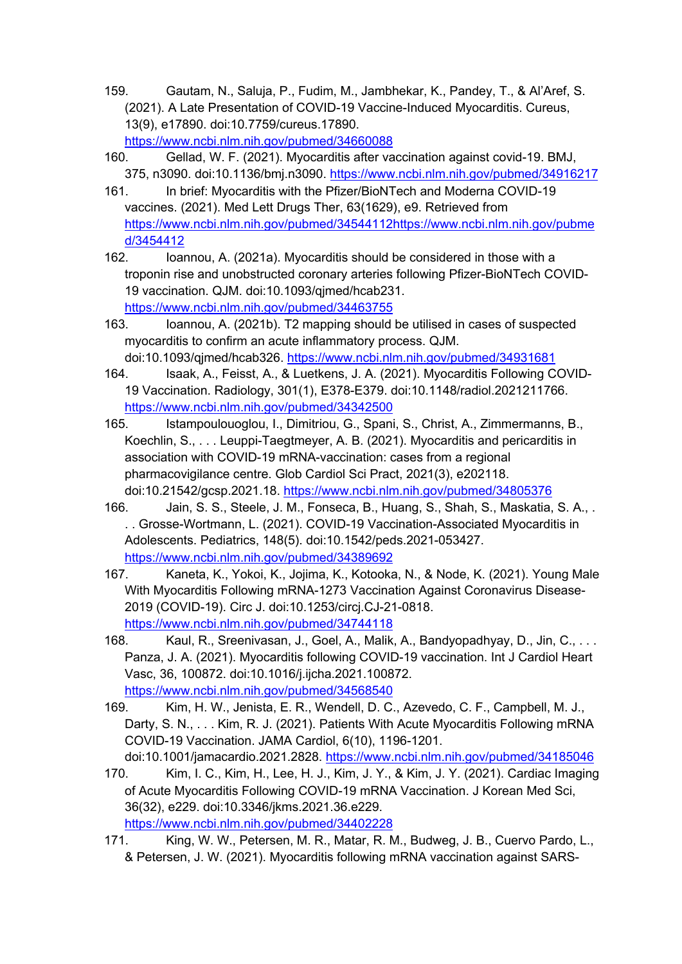- 159. Gautam, N., Saluja, P., Fudim, M., Jambhekar, K., Pandey, T., & Al'Aref, S. (2021). A Late Presentation of COVID-19 Vaccine-Induced Myocarditis. Cureus, 13(9), e17890. doi:10.7759/cureus.17890. https://www.ncbi.nlm.nih.gov/pubmed/34660088
- 160. Gellad, W. F. (2021). Myocarditis after vaccination against covid-19. BMJ, 375, n3090. doi:10.1136/bmj.n3090. https://www.ncbi.nlm.nih.gov/pubmed/34916217
- 161. In brief: Myocarditis with the Pfizer/BioNTech and Moderna COVID-19 vaccines. (2021). Med Lett Drugs Ther, 63(1629), e9. Retrieved from https://www.ncbi.nlm.nih.gov/pubmed/34544112https://www.ncbi.nlm.nih.gov/pubme d/3454412
- 162. Ioannou, A. (2021a). Myocarditis should be considered in those with a troponin rise and unobstructed coronary arteries following Pfizer-BioNTech COVID-19 vaccination. QJM. doi:10.1093/qjmed/hcab231. https://www.ncbi.nlm.nih.gov/pubmed/34463755
- 163. Ioannou, A. (2021b). T2 mapping should be utilised in cases of suspected myocarditis to confirm an acute inflammatory process. QJM. doi:10.1093/qjmed/hcab326. https://www.ncbi.nlm.nih.gov/pubmed/34931681
- 164. Isaak, A., Feisst, A., & Luetkens, J. A. (2021). Myocarditis Following COVID-19 Vaccination. Radiology, 301(1), E378-E379. doi:10.1148/radiol.2021211766. https://www.ncbi.nlm.nih.gov/pubmed/34342500
- 165. Istampoulouoglou, I., Dimitriou, G., Spani, S., Christ, A., Zimmermanns, B., Koechlin, S., . . . Leuppi-Taegtmeyer, A. B. (2021). Myocarditis and pericarditis in association with COVID-19 mRNA-vaccination: cases from a regional pharmacovigilance centre. Glob Cardiol Sci Pract, 2021(3), e202118. doi:10.21542/gcsp.2021.18. https://www.ncbi.nlm.nih.gov/pubmed/34805376
- 166. Jain, S. S., Steele, J. M., Fonseca, B., Huang, S., Shah, S., Maskatia, S. A., . . . Grosse-Wortmann, L. (2021). COVID-19 Vaccination-Associated Myocarditis in Adolescents. Pediatrics, 148(5). doi:10.1542/peds.2021-053427. https://www.ncbi.nlm.nih.gov/pubmed/34389692
- 167. Kaneta, K., Yokoi, K., Jojima, K., Kotooka, N., & Node, K. (2021). Young Male With Myocarditis Following mRNA-1273 Vaccination Against Coronavirus Disease-2019 (COVID-19). Circ J. doi:10.1253/circj.CJ-21-0818. https://www.ncbi.nlm.nih.gov/pubmed/34744118
- 168. Kaul, R., Sreenivasan, J., Goel, A., Malik, A., Bandyopadhyay, D., Jin, C., ... Panza, J. A. (2021). Myocarditis following COVID-19 vaccination. Int J Cardiol Heart Vasc, 36, 100872. doi:10.1016/j.ijcha.2021.100872. https://www.ncbi.nlm.nih.gov/pubmed/34568540
- 169. Kim, H. W., Jenista, E. R., Wendell, D. C., Azevedo, C. F., Campbell, M. J., Darty, S. N., . . . Kim, R. J. (2021). Patients With Acute Myocarditis Following mRNA COVID-19 Vaccination. JAMA Cardiol, 6(10), 1196-1201. doi:10.1001/jamacardio.2021.2828. https://www.ncbi.nlm.nih.gov/pubmed/34185046
- 170. Kim, I. C., Kim, H., Lee, H. J., Kim, J. Y., & Kim, J. Y. (2021). Cardiac Imaging of Acute Myocarditis Following COVID-19 mRNA Vaccination. J Korean Med Sci, 36(32), e229. doi:10.3346/jkms.2021.36.e229. https://www.ncbi.nlm.nih.gov/pubmed/34402228
- 171. King, W. W., Petersen, M. R., Matar, R. M., Budweg, J. B., Cuervo Pardo, L., & Petersen, J. W. (2021). Myocarditis following mRNA vaccination against SARS-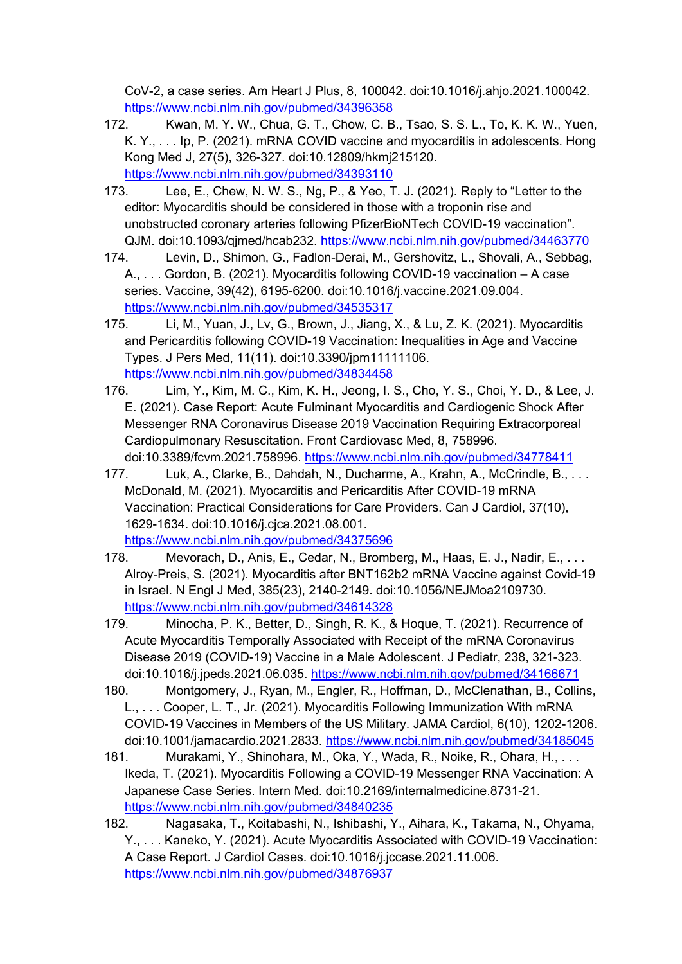CoV-2, a case series. Am Heart J Plus, 8, 100042. doi:10.1016/j.ahjo.2021.100042. https://www.ncbi.nlm.nih.gov/pubmed/34396358

- 172. Kwan, M. Y. W., Chua, G. T., Chow, C. B., Tsao, S. S. L., To, K. K. W., Yuen, K. Y., . . . Ip, P. (2021). mRNA COVID vaccine and myocarditis in adolescents. Hong Kong Med J, 27(5), 326-327. doi:10.12809/hkmj215120. https://www.ncbi.nlm.nih.gov/pubmed/34393110
- 173. Lee, E., Chew, N. W. S., Ng, P., & Yeo, T. J. (2021). Reply to "Letter to the editor: Myocarditis should be considered in those with a troponin rise and unobstructed coronary arteries following PfizerBioNTech COVID-19 vaccination". QJM. doi:10.1093/qjmed/hcab232. https://www.ncbi.nlm.nih.gov/pubmed/34463770
- 174. Levin, D., Shimon, G., Fadlon-Derai, M., Gershovitz, L., Shovali, A., Sebbag, A., . . . Gordon, B. (2021). Myocarditis following COVID-19 vaccination – A case series. Vaccine, 39(42), 6195-6200. doi:10.1016/j.vaccine.2021.09.004. https://www.ncbi.nlm.nih.gov/pubmed/34535317
- 175. Li, M., Yuan, J., Lv, G., Brown, J., Jiang, X., & Lu, Z. K. (2021). Myocarditis and Pericarditis following COVID-19 Vaccination: Inequalities in Age and Vaccine Types. J Pers Med, 11(11). doi:10.3390/jpm11111106. https://www.ncbi.nlm.nih.gov/pubmed/34834458
- 176. Lim, Y., Kim, M. C., Kim, K. H., Jeong, I. S., Cho, Y. S., Choi, Y. D., & Lee, J. E. (2021). Case Report: Acute Fulminant Myocarditis and Cardiogenic Shock After Messenger RNA Coronavirus Disease 2019 Vaccination Requiring Extracorporeal Cardiopulmonary Resuscitation. Front Cardiovasc Med, 8, 758996. doi:10.3389/fcvm.2021.758996. https://www.ncbi.nlm.nih.gov/pubmed/34778411
- 177. Luk, A., Clarke, B., Dahdah, N., Ducharme, A., Krahn, A., McCrindle, B., . . . McDonald, M. (2021). Myocarditis and Pericarditis After COVID-19 mRNA Vaccination: Practical Considerations for Care Providers. Can J Cardiol, 37(10), 1629-1634. doi:10.1016/j.cjca.2021.08.001. https://www.ncbi.nlm.nih.gov/pubmed/34375696
- 178. Mevorach, D., Anis, E., Cedar, N., Bromberg, M., Haas, E. J., Nadir, E., . . . Alroy-Preis, S. (2021). Myocarditis after BNT162b2 mRNA Vaccine against Covid-19 in Israel. N Engl J Med, 385(23), 2140-2149. doi:10.1056/NEJMoa2109730. https://www.ncbi.nlm.nih.gov/pubmed/34614328
- 179. Minocha, P. K., Better, D., Singh, R. K., & Hoque, T. (2021). Recurrence of Acute Myocarditis Temporally Associated with Receipt of the mRNA Coronavirus Disease 2019 (COVID-19) Vaccine in a Male Adolescent. J Pediatr, 238, 321-323. doi:10.1016/j.jpeds.2021.06.035. https://www.ncbi.nlm.nih.gov/pubmed/34166671
- 180. Montgomery, J., Ryan, M., Engler, R., Hoffman, D., McClenathan, B., Collins, L., . . . Cooper, L. T., Jr. (2021). Myocarditis Following Immunization With mRNA COVID-19 Vaccines in Members of the US Military. JAMA Cardiol, 6(10), 1202-1206. doi:10.1001/jamacardio.2021.2833. https://www.ncbi.nlm.nih.gov/pubmed/34185045
- 181. Murakami, Y., Shinohara, M., Oka, Y., Wada, R., Noike, R., Ohara, H., . . . Ikeda, T. (2021). Myocarditis Following a COVID-19 Messenger RNA Vaccination: A Japanese Case Series. Intern Med. doi:10.2169/internalmedicine.8731-21. https://www.ncbi.nlm.nih.gov/pubmed/34840235
- 182. Nagasaka, T., Koitabashi, N., Ishibashi, Y., Aihara, K., Takama, N., Ohyama, Y., . . . Kaneko, Y. (2021). Acute Myocarditis Associated with COVID-19 Vaccination: A Case Report. J Cardiol Cases. doi:10.1016/j.jccase.2021.11.006. https://www.ncbi.nlm.nih.gov/pubmed/34876937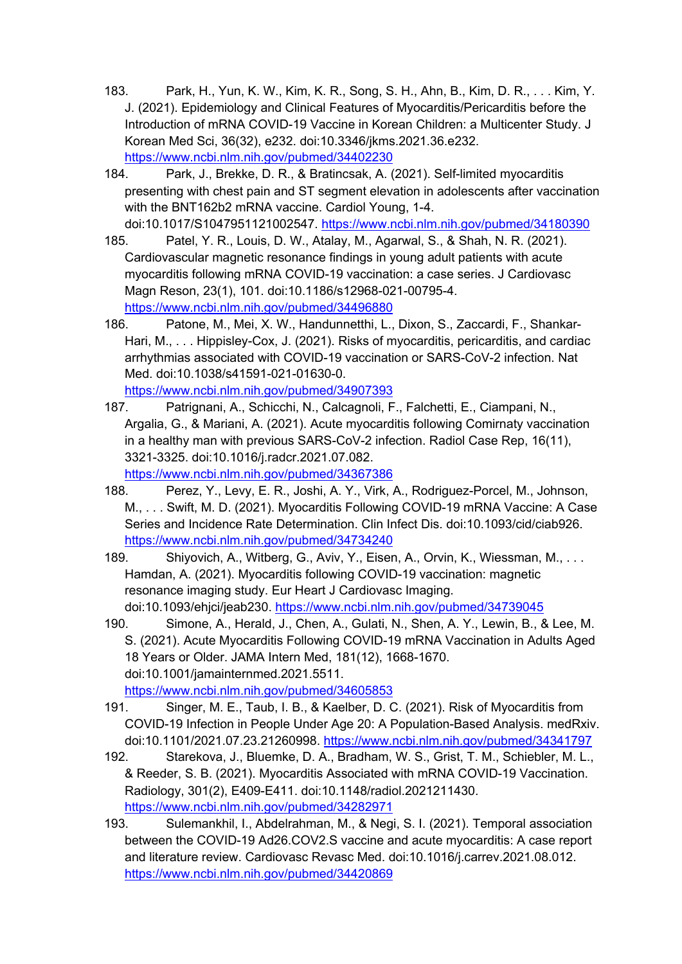- 183. Park, H., Yun, K. W., Kim, K. R., Song, S. H., Ahn, B., Kim, D. R., . . . Kim, Y. J. (2021). Epidemiology and Clinical Features of Myocarditis/Pericarditis before the Introduction of mRNA COVID-19 Vaccine in Korean Children: a Multicenter Study. J Korean Med Sci, 36(32), e232. doi:10.3346/jkms.2021.36.e232. https://www.ncbi.nlm.nih.gov/pubmed/34402230
- 184. Park, J., Brekke, D. R., & Bratincsak, A. (2021). Self-limited myocarditis presenting with chest pain and ST segment elevation in adolescents after vaccination with the BNT162b2 mRNA vaccine. Cardiol Young, 1-4. doi:10.1017/S1047951121002547. https://www.ncbi.nlm.nih.gov/pubmed/34180390
- 185. Patel, Y. R., Louis, D. W., Atalay, M., Agarwal, S., & Shah, N. R. (2021). Cardiovascular magnetic resonance findings in young adult patients with acute myocarditis following mRNA COVID-19 vaccination: a case series. J Cardiovasc Magn Reson, 23(1), 101. doi:10.1186/s12968-021-00795-4. https://www.ncbi.nlm.nih.gov/pubmed/34496880
- 186. Patone, M., Mei, X. W., Handunnetthi, L., Dixon, S., Zaccardi, F., Shankar-Hari, M., ... Hippisley-Cox, J. (2021). Risks of myocarditis, pericarditis, and cardiac arrhythmias associated with COVID-19 vaccination or SARS-CoV-2 infection. Nat Med. doi:10.1038/s41591-021-01630-0. https://www.ncbi.nlm.nih.gov/pubmed/34907393
- 187. Patrignani, A., Schicchi, N., Calcagnoli, F., Falchetti, E., Ciampani, N., Argalia, G., & Mariani, A. (2021). Acute myocarditis following Comirnaty vaccination in a healthy man with previous SARS-CoV-2 infection. Radiol Case Rep, 16(11), 3321-3325. doi:10.1016/j.radcr.2021.07.082. https://www.ncbi.nlm.nih.gov/pubmed/34367386
- 188. Perez, Y., Levy, E. R., Joshi, A. Y., Virk, A., Rodriguez-Porcel, M., Johnson, M., . . . Swift, M. D. (2021). Myocarditis Following COVID-19 mRNA Vaccine: A Case Series and Incidence Rate Determination. Clin Infect Dis. doi:10.1093/cid/ciab926. https://www.ncbi.nlm.nih.gov/pubmed/34734240
- 189. Shiyovich, A., Witberg, G., Aviv, Y., Eisen, A., Orvin, K., Wiessman, M., . . . Hamdan, A. (2021). Myocarditis following COVID-19 vaccination: magnetic resonance imaging study. Eur Heart J Cardiovasc Imaging. doi:10.1093/ehjci/jeab230. https://www.ncbi.nlm.nih.gov/pubmed/34739045
- 190. Simone, A., Herald, J., Chen, A., Gulati, N., Shen, A. Y., Lewin, B., & Lee, M. S. (2021). Acute Myocarditis Following COVID-19 mRNA Vaccination in Adults Aged 18 Years or Older. JAMA Intern Med, 181(12), 1668-1670. doi:10.1001/jamainternmed.2021.5511.

https://www.ncbi.nlm.nih.gov/pubmed/34605853

- 191. Singer, M. E., Taub, I. B., & Kaelber, D. C. (2021). Risk of Myocarditis from COVID-19 Infection in People Under Age 20: A Population-Based Analysis. medRxiv. doi:10.1101/2021.07.23.21260998. https://www.ncbi.nlm.nih.gov/pubmed/34341797
- 192. Starekova, J., Bluemke, D. A., Bradham, W. S., Grist, T. M., Schiebler, M. L., & Reeder, S. B. (2021). Myocarditis Associated with mRNA COVID-19 Vaccination. Radiology, 301(2), E409-E411. doi:10.1148/radiol.2021211430. https://www.ncbi.nlm.nih.gov/pubmed/34282971
- 193. Sulemankhil, I., Abdelrahman, M., & Negi, S. I. (2021). Temporal association between the COVID-19 Ad26.COV2.S vaccine and acute myocarditis: A case report and literature review. Cardiovasc Revasc Med. doi:10.1016/j.carrev.2021.08.012. https://www.ncbi.nlm.nih.gov/pubmed/34420869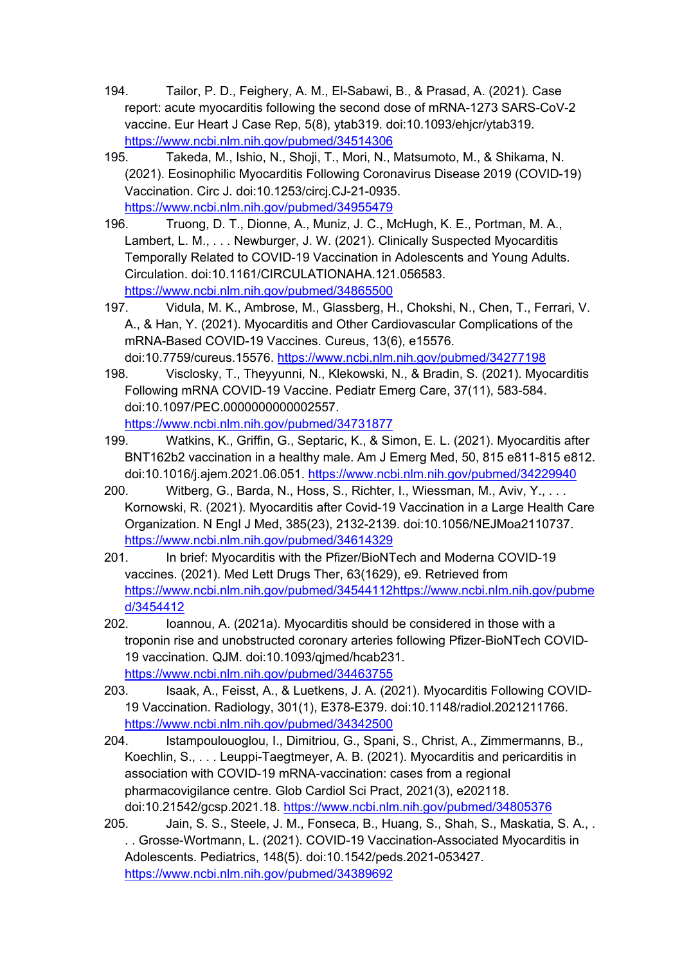- 194. Tailor, P. D., Feighery, A. M., El-Sabawi, B., & Prasad, A. (2021). Case report: acute myocarditis following the second dose of mRNA-1273 SARS-CoV-2 vaccine. Eur Heart J Case Rep, 5(8), ytab319. doi:10.1093/ehjcr/ytab319. https://www.ncbi.nlm.nih.gov/pubmed/34514306
- 195. Takeda, M., Ishio, N., Shoji, T., Mori, N., Matsumoto, M., & Shikama, N. (2021). Eosinophilic Myocarditis Following Coronavirus Disease 2019 (COVID-19) Vaccination. Circ J. doi:10.1253/circj.CJ-21-0935. https://www.ncbi.nlm.nih.gov/pubmed/34955479
- 196. Truong, D. T., Dionne, A., Muniz, J. C., McHugh, K. E., Portman, M. A., Lambert, L. M., . . . Newburger, J. W. (2021). Clinically Suspected Myocarditis Temporally Related to COVID-19 Vaccination in Adolescents and Young Adults. Circulation. doi:10.1161/CIRCULATIONAHA.121.056583. https://www.ncbi.nlm.nih.gov/pubmed/34865500
- 197. Vidula, M. K., Ambrose, M., Glassberg, H., Chokshi, N., Chen, T., Ferrari, V. A., & Han, Y. (2021). Myocarditis and Other Cardiovascular Complications of the mRNA-Based COVID-19 Vaccines. Cureus, 13(6), e15576. doi:10.7759/cureus.15576. https://www.ncbi.nlm.nih.gov/pubmed/34277198
- 198. Visclosky, T., Theyyunni, N., Klekowski, N., & Bradin, S. (2021). Myocarditis Following mRNA COVID-19 Vaccine. Pediatr Emerg Care, 37(11), 583-584. doi:10.1097/PEC.0000000000002557. https://www.ncbi.nlm.nih.gov/pubmed/34731877
- 199. Watkins, K., Griffin, G., Septaric, K., & Simon, E. L. (2021). Myocarditis after BNT162b2 vaccination in a healthy male. Am J Emerg Med, 50, 815 e811-815 e812. doi:10.1016/j.ajem.2021.06.051. https://www.ncbi.nlm.nih.gov/pubmed/34229940
- 200. Witberg, G., Barda, N., Hoss, S., Richter, I., Wiessman, M., Aviv, Y., . . . Kornowski, R. (2021). Myocarditis after Covid-19 Vaccination in a Large Health Care Organization. N Engl J Med, 385(23), 2132-2139. doi:10.1056/NEJMoa2110737. https://www.ncbi.nlm.nih.gov/pubmed/34614329
- 201. In brief: Myocarditis with the Pfizer/BioNTech and Moderna COVID-19 vaccines. (2021). Med Lett Drugs Ther, 63(1629), e9. Retrieved from https://www.ncbi.nlm.nih.gov/pubmed/34544112https://www.ncbi.nlm.nih.gov/pubme d/3454412
- 202. Ioannou, A. (2021a). Myocarditis should be considered in those with a troponin rise and unobstructed coronary arteries following Pfizer-BioNTech COVID-19 vaccination. QJM. doi:10.1093/qjmed/hcab231. https://www.ncbi.nlm.nih.gov/pubmed/34463755
- 203. Isaak, A., Feisst, A., & Luetkens, J. A. (2021). Myocarditis Following COVID-19 Vaccination. Radiology, 301(1), E378-E379. doi:10.1148/radiol.2021211766. https://www.ncbi.nlm.nih.gov/pubmed/34342500
- 204. Istampoulouoglou, I., Dimitriou, G., Spani, S., Christ, A., Zimmermanns, B., Koechlin, S., . . . Leuppi-Taegtmeyer, A. B. (2021). Myocarditis and pericarditis in association with COVID-19 mRNA-vaccination: cases from a regional pharmacovigilance centre. Glob Cardiol Sci Pract, 2021(3), e202118. doi:10.21542/gcsp.2021.18. https://www.ncbi.nlm.nih.gov/pubmed/34805376
- 205. Jain, S. S., Steele, J. M., Fonseca, B., Huang, S., Shah, S., Maskatia, S. A., . . . Grosse-Wortmann, L. (2021). COVID-19 Vaccination-Associated Myocarditis in Adolescents. Pediatrics, 148(5). doi:10.1542/peds.2021-053427. https://www.ncbi.nlm.nih.gov/pubmed/34389692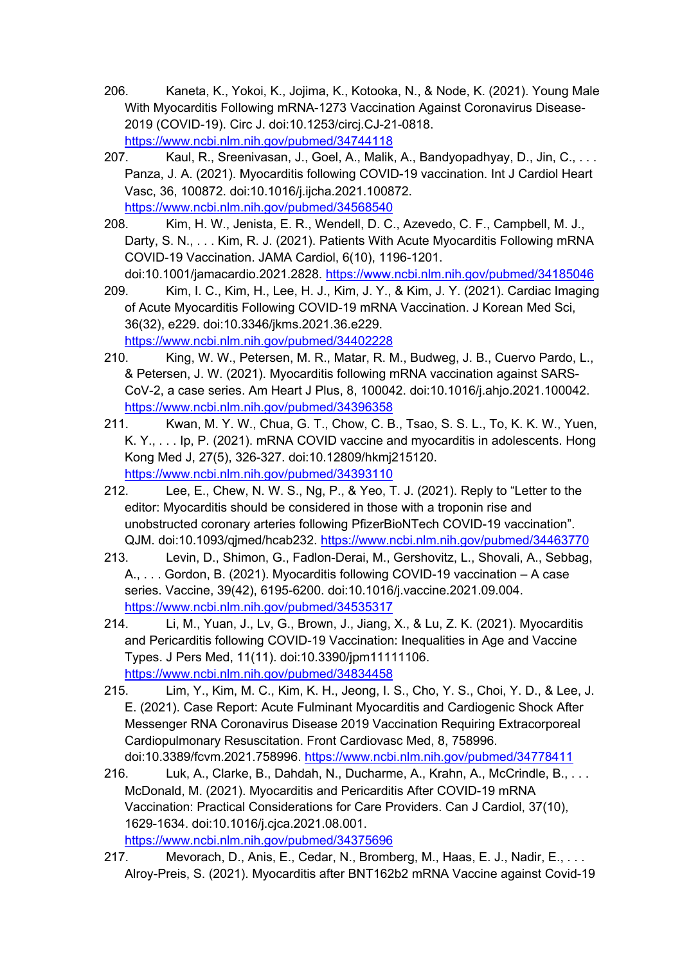- 206. Kaneta, K., Yokoi, K., Jojima, K., Kotooka, N., & Node, K. (2021). Young Male With Myocarditis Following mRNA-1273 Vaccination Against Coronavirus Disease-2019 (COVID-19). Circ J. doi:10.1253/circj.CJ-21-0818. https://www.ncbi.nlm.nih.gov/pubmed/34744118
- 207. Kaul, R., Sreenivasan, J., Goel, A., Malik, A., Bandyopadhyay, D., Jin, C., . . . Panza, J. A. (2021). Myocarditis following COVID-19 vaccination. Int J Cardiol Heart Vasc, 36, 100872. doi:10.1016/j.ijcha.2021.100872. https://www.ncbi.nlm.nih.gov/pubmed/34568540
- 208. Kim, H. W., Jenista, E. R., Wendell, D. C., Azevedo, C. F., Campbell, M. J., Darty, S. N., . . . Kim, R. J. (2021). Patients With Acute Myocarditis Following mRNA COVID-19 Vaccination. JAMA Cardiol, 6(10), 1196-1201. doi:10.1001/jamacardio.2021.2828. https://www.ncbi.nlm.nih.gov/pubmed/34185046
- 209. Kim, I. C., Kim, H., Lee, H. J., Kim, J. Y., & Kim, J. Y. (2021). Cardiac Imaging of Acute Myocarditis Following COVID-19 mRNA Vaccination. J Korean Med Sci, 36(32), e229. doi:10.3346/jkms.2021.36.e229. https://www.ncbi.nlm.nih.gov/pubmed/34402228
- 210. King, W. W., Petersen, M. R., Matar, R. M., Budweg, J. B., Cuervo Pardo, L., & Petersen, J. W. (2021). Myocarditis following mRNA vaccination against SARS-CoV-2, a case series. Am Heart J Plus, 8, 100042. doi:10.1016/j.ahjo.2021.100042. https://www.ncbi.nlm.nih.gov/pubmed/34396358
- 211. Kwan, M. Y. W., Chua, G. T., Chow, C. B., Tsao, S. S. L., To, K. K. W., Yuen, K. Y., . . . Ip, P. (2021). mRNA COVID vaccine and myocarditis in adolescents. Hong Kong Med J, 27(5), 326-327. doi:10.12809/hkmj215120. https://www.ncbi.nlm.nih.gov/pubmed/34393110
- 212. Lee, E., Chew, N. W. S., Ng, P., & Yeo, T. J. (2021). Reply to "Letter to the editor: Myocarditis should be considered in those with a troponin rise and unobstructed coronary arteries following PfizerBioNTech COVID-19 vaccination". QJM. doi:10.1093/qjmed/hcab232. https://www.ncbi.nlm.nih.gov/pubmed/34463770
- 213. Levin, D., Shimon, G., Fadlon-Derai, M., Gershovitz, L., Shovali, A., Sebbag, A., . . . Gordon, B. (2021). Myocarditis following COVID-19 vaccination – A case series. Vaccine, 39(42), 6195-6200. doi:10.1016/j.vaccine.2021.09.004. https://www.ncbi.nlm.nih.gov/pubmed/34535317
- 214. Li, M., Yuan, J., Lv, G., Brown, J., Jiang, X., & Lu, Z. K. (2021). Myocarditis and Pericarditis following COVID-19 Vaccination: Inequalities in Age and Vaccine Types. J Pers Med, 11(11). doi:10.3390/jpm11111106. https://www.ncbi.nlm.nih.gov/pubmed/34834458
- 215. Lim, Y., Kim, M. C., Kim, K. H., Jeong, I. S., Cho, Y. S., Choi, Y. D., & Lee, J. E. (2021). Case Report: Acute Fulminant Myocarditis and Cardiogenic Shock After Messenger RNA Coronavirus Disease 2019 Vaccination Requiring Extracorporeal Cardiopulmonary Resuscitation. Front Cardiovasc Med, 8, 758996. doi:10.3389/fcvm.2021.758996. https://www.ncbi.nlm.nih.gov/pubmed/34778411
- 216. Luk, A., Clarke, B., Dahdah, N., Ducharme, A., Krahn, A., McCrindle, B., . . . McDonald, M. (2021). Myocarditis and Pericarditis After COVID-19 mRNA Vaccination: Practical Considerations for Care Providers. Can J Cardiol, 37(10), 1629-1634. doi:10.1016/j.cjca.2021.08.001. https://www.ncbi.nlm.nih.gov/pubmed/34375696
- 217. Mevorach, D., Anis, E., Cedar, N., Bromberg, M., Haas, E. J., Nadir, E., . . . Alroy-Preis, S. (2021). Myocarditis after BNT162b2 mRNA Vaccine against Covid-19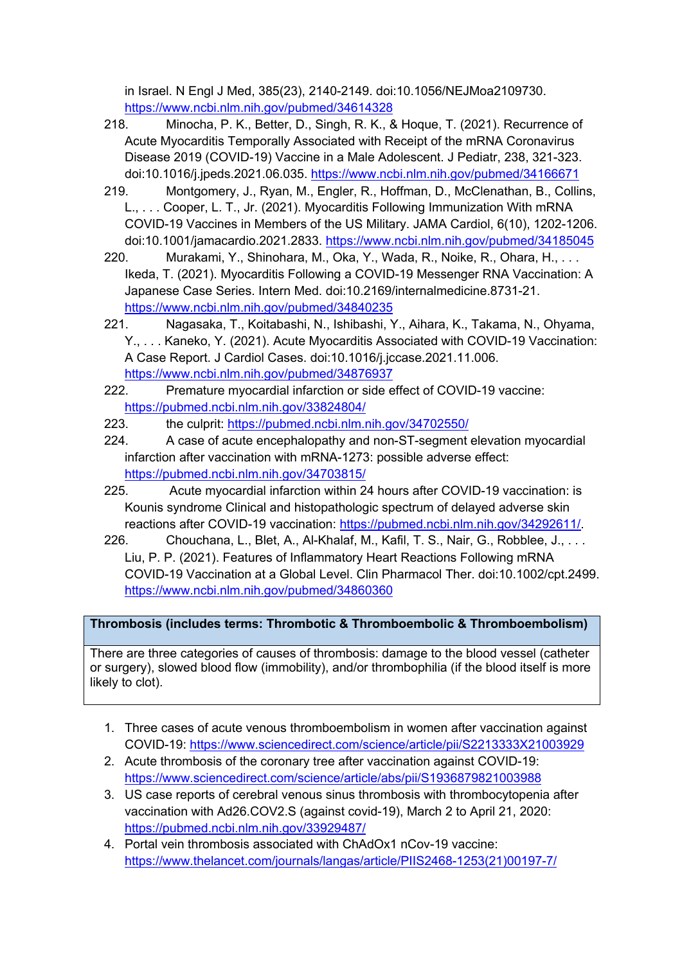in Israel. N Engl J Med, 385(23), 2140-2149. doi:10.1056/NEJMoa2109730. https://www.ncbi.nlm.nih.gov/pubmed/34614328

- 218. Minocha, P. K., Better, D., Singh, R. K., & Hoque, T. (2021). Recurrence of Acute Myocarditis Temporally Associated with Receipt of the mRNA Coronavirus Disease 2019 (COVID-19) Vaccine in a Male Adolescent. J Pediatr, 238, 321-323. doi:10.1016/j.jpeds.2021.06.035. https://www.ncbi.nlm.nih.gov/pubmed/34166671
- 219. Montgomery, J., Ryan, M., Engler, R., Hoffman, D., McClenathan, B., Collins, L., . . . Cooper, L. T., Jr. (2021). Myocarditis Following Immunization With mRNA COVID-19 Vaccines in Members of the US Military. JAMA Cardiol, 6(10), 1202-1206. doi:10.1001/jamacardio.2021.2833. https://www.ncbi.nlm.nih.gov/pubmed/34185045
- 220. Murakami, Y., Shinohara, M., Oka, Y., Wada, R., Noike, R., Ohara, H., . . . Ikeda, T. (2021). Myocarditis Following a COVID-19 Messenger RNA Vaccination: A Japanese Case Series. Intern Med. doi:10.2169/internalmedicine.8731-21. https://www.ncbi.nlm.nih.gov/pubmed/34840235
- 221. Nagasaka, T., Koitabashi, N., Ishibashi, Y., Aihara, K., Takama, N., Ohyama, Y., . . . Kaneko, Y. (2021). Acute Myocarditis Associated with COVID-19 Vaccination: A Case Report. J Cardiol Cases. doi:10.1016/j.jccase.2021.11.006. https://www.ncbi.nlm.nih.gov/pubmed/34876937
- 222. Premature myocardial infarction or side effect of COVID-19 vaccine: https://pubmed.ncbi.nlm.nih.gov/33824804/
- 223. the culprit: https://pubmed.ncbi.nlm.nih.gov/34702550/
- 224. A case of acute encephalopathy and non-ST-segment elevation myocardial infarction after vaccination with mRNA-1273: possible adverse effect: https://pubmed.ncbi.nlm.nih.gov/34703815/
- 225. Acute myocardial infarction within 24 hours after COVID-19 vaccination: is Kounis syndrome Clinical and histopathologic spectrum of delayed adverse skin reactions after COVID-19 vaccination: https://pubmed.ncbi.nlm.nih.gov/34292611/.
- 226. Chouchana, L., Blet, A., Al-Khalaf, M., Kafil, T. S., Nair, G., Robblee, J., . . . Liu, P. P. (2021). Features of Inflammatory Heart Reactions Following mRNA COVID-19 Vaccination at a Global Level. Clin Pharmacol Ther. doi:10.1002/cpt.2499. https://www.ncbi.nlm.nih.gov/pubmed/34860360

# **Thrombosis (includes terms: Thrombotic & Thromboembolic & Thromboembolism)**

There are three categories of causes of thrombosis: damage to the blood vessel (catheter or surgery), slowed blood flow (immobility), and/or thrombophilia (if the blood itself is more likely to clot).

- 1. Three cases of acute venous thromboembolism in women after vaccination against COVID-19: https://www.sciencedirect.com/science/article/pii/S2213333X21003929
- 2. Acute thrombosis of the coronary tree after vaccination against COVID-19: https://www.sciencedirect.com/science/article/abs/pii/S1936879821003988
- 3. US case reports of cerebral venous sinus thrombosis with thrombocytopenia after vaccination with Ad26.COV2.S (against covid-19), March 2 to April 21, 2020: https://pubmed.ncbi.nlm.nih.gov/33929487/
- 4. Portal vein thrombosis associated with ChAdOx1 nCov-19 vaccine: https://www.thelancet.com/journals/langas/article/PIIS2468-1253(21)00197-7/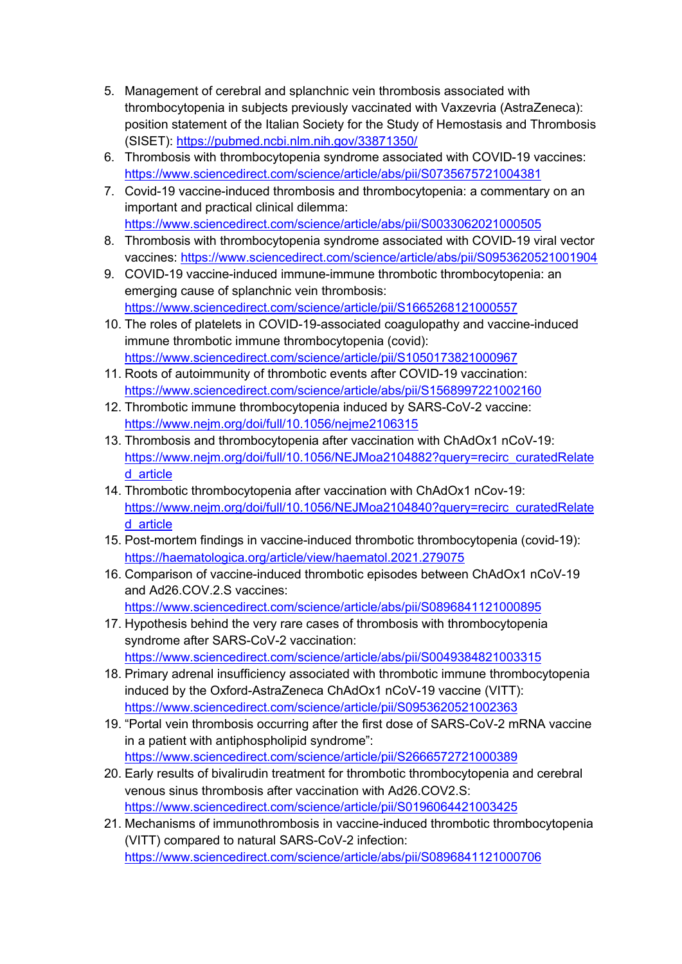- 5. Management of cerebral and splanchnic vein thrombosis associated with thrombocytopenia in subjects previously vaccinated with Vaxzevria (AstraZeneca): position statement of the Italian Society for the Study of Hemostasis and Thrombosis (SISET): https://pubmed.ncbi.nlm.nih.gov/33871350/
- 6. Thrombosis with thrombocytopenia syndrome associated with COVID-19 vaccines: https://www.sciencedirect.com/science/article/abs/pii/S0735675721004381
- 7. Covid-19 vaccine-induced thrombosis and thrombocytopenia: a commentary on an important and practical clinical dilemma: https://www.sciencedirect.com/science/article/abs/pii/S0033062021000505
- 8. Thrombosis with thrombocytopenia syndrome associated with COVID-19 viral vector vaccines: https://www.sciencedirect.com/science/article/abs/pii/S0953620521001904
- 9. COVID-19 vaccine-induced immune-immune thrombotic thrombocytopenia: an emerging cause of splanchnic vein thrombosis: https://www.sciencedirect.com/science/article/pii/S1665268121000557
- 10. The roles of platelets in COVID-19-associated coagulopathy and vaccine-induced immune thrombotic immune thrombocytopenia (covid): https://www.sciencedirect.com/science/article/pii/S1050173821000967
- 11. Roots of autoimmunity of thrombotic events after COVID-19 vaccination: https://www.sciencedirect.com/science/article/abs/pii/S1568997221002160
- 12. Thrombotic immune thrombocytopenia induced by SARS-CoV-2 vaccine: https://www.nejm.org/doi/full/10.1056/nejme2106315
- 13. Thrombosis and thrombocytopenia after vaccination with ChAdOx1 nCoV-19: https://www.nejm.org/doi/full/10.1056/NEJMoa2104882?query=recirc\_curatedRelate d\_article
- 14. Thrombotic thrombocytopenia after vaccination with ChAdOx1 nCov-19: https://www.nejm.org/doi/full/10.1056/NEJMoa2104840?query=recirc\_curatedRelate d\_article
- 15. Post-mortem findings in vaccine-induced thrombotic thrombocytopenia (covid-19): https://haematologica.org/article/view/haematol.2021.279075
- 16. Comparison of vaccine-induced thrombotic episodes between ChAdOx1 nCoV-19 and Ad26.COV.2.S vaccines: https://www.sciencedirect.com/science/article/abs/pii/S0896841121000895
- 17. Hypothesis behind the very rare cases of thrombosis with thrombocytopenia syndrome after SARS-CoV-2 vaccination: https://www.sciencedirect.com/science/article/abs/pii/S0049384821003315
- 18. Primary adrenal insufficiency associated with thrombotic immune thrombocytopenia induced by the Oxford-AstraZeneca ChAdOx1 nCoV-19 vaccine (VITT): https://www.sciencedirect.com/science/article/pii/S0953620521002363
- 19. "Portal vein thrombosis occurring after the first dose of SARS-CoV-2 mRNA vaccine in a patient with antiphospholipid syndrome": https://www.sciencedirect.com/science/article/pii/S2666572721000389
- 20. Early results of bivalirudin treatment for thrombotic thrombocytopenia and cerebral venous sinus thrombosis after vaccination with Ad26.COV2.S: https://www.sciencedirect.com/science/article/pii/S0196064421003425
- 21. Mechanisms of immunothrombosis in vaccine-induced thrombotic thrombocytopenia (VITT) compared to natural SARS-CoV-2 infection: https://www.sciencedirect.com/science/article/abs/pii/S0896841121000706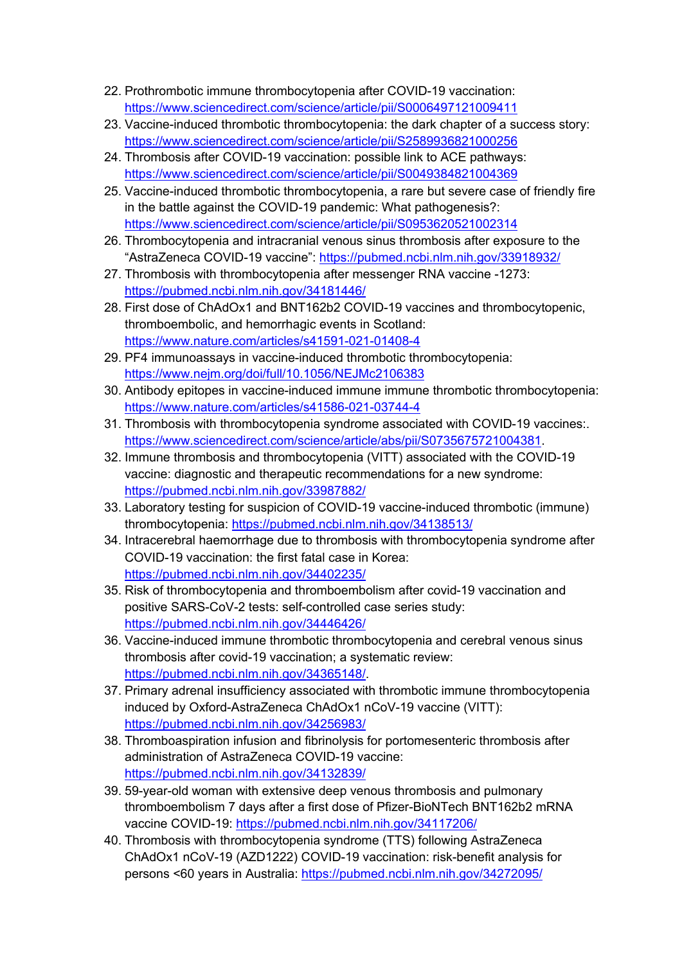- 22. Prothrombotic immune thrombocytopenia after COVID-19 vaccination: https://www.sciencedirect.com/science/article/pii/S0006497121009411
- 23. Vaccine-induced thrombotic thrombocytopenia: the dark chapter of a success story: https://www.sciencedirect.com/science/article/pii/S2589936821000256
- 24. Thrombosis after COVID-19 vaccination: possible link to ACE pathways: https://www.sciencedirect.com/science/article/pii/S0049384821004369
- 25. Vaccine-induced thrombotic thrombocytopenia, a rare but severe case of friendly fire in the battle against the COVID-19 pandemic: What pathogenesis?: https://www.sciencedirect.com/science/article/pii/S0953620521002314
- 26. Thrombocytopenia and intracranial venous sinus thrombosis after exposure to the "AstraZeneca COVID-19 vaccine": https://pubmed.ncbi.nlm.nih.gov/33918932/
- 27. Thrombosis with thrombocytopenia after messenger RNA vaccine -1273: https://pubmed.ncbi.nlm.nih.gov/34181446/
- 28. First dose of ChAdOx1 and BNT162b2 COVID-19 vaccines and thrombocytopenic, thromboembolic, and hemorrhagic events in Scotland: https://www.nature.com/articles/s41591-021-01408-4
- 29. PF4 immunoassays in vaccine-induced thrombotic thrombocytopenia: https://www.nejm.org/doi/full/10.1056/NEJMc2106383
- 30. Antibody epitopes in vaccine-induced immune immune thrombotic thrombocytopenia: https://www.nature.com/articles/s41586-021-03744-4
- 31. Thrombosis with thrombocytopenia syndrome associated with COVID-19 vaccines:. https://www.sciencedirect.com/science/article/abs/pii/S0735675721004381.
- 32. Immune thrombosis and thrombocytopenia (VITT) associated with the COVID-19 vaccine: diagnostic and therapeutic recommendations for a new syndrome: https://pubmed.ncbi.nlm.nih.gov/33987882/
- 33. Laboratory testing for suspicion of COVID-19 vaccine-induced thrombotic (immune) thrombocytopenia: https://pubmed.ncbi.nlm.nih.gov/34138513/
- 34. Intracerebral haemorrhage due to thrombosis with thrombocytopenia syndrome after COVID-19 vaccination: the first fatal case in Korea: https://pubmed.ncbi.nlm.nih.gov/34402235/
- 35. Risk of thrombocytopenia and thromboembolism after covid-19 vaccination and positive SARS-CoV-2 tests: self-controlled case series study: https://pubmed.ncbi.nlm.nih.gov/34446426/
- 36. Vaccine-induced immune thrombotic thrombocytopenia and cerebral venous sinus thrombosis after covid-19 vaccination; a systematic review: https://pubmed.ncbi.nlm.nih.gov/34365148/.
- 37. Primary adrenal insufficiency associated with thrombotic immune thrombocytopenia induced by Oxford-AstraZeneca ChAdOx1 nCoV-19 vaccine (VITT): https://pubmed.ncbi.nlm.nih.gov/34256983/
- 38. Thromboaspiration infusion and fibrinolysis for portomesenteric thrombosis after administration of AstraZeneca COVID-19 vaccine: https://pubmed.ncbi.nlm.nih.gov/34132839/
- 39. 59-year-old woman with extensive deep venous thrombosis and pulmonary thromboembolism 7 days after a first dose of Pfizer-BioNTech BNT162b2 mRNA vaccine COVID-19: https://pubmed.ncbi.nlm.nih.gov/34117206/
- 40. Thrombosis with thrombocytopenia syndrome (TTS) following AstraZeneca ChAdOx1 nCoV-19 (AZD1222) COVID-19 vaccination: risk-benefit analysis for persons <60 years in Australia: https://pubmed.ncbi.nlm.nih.gov/34272095/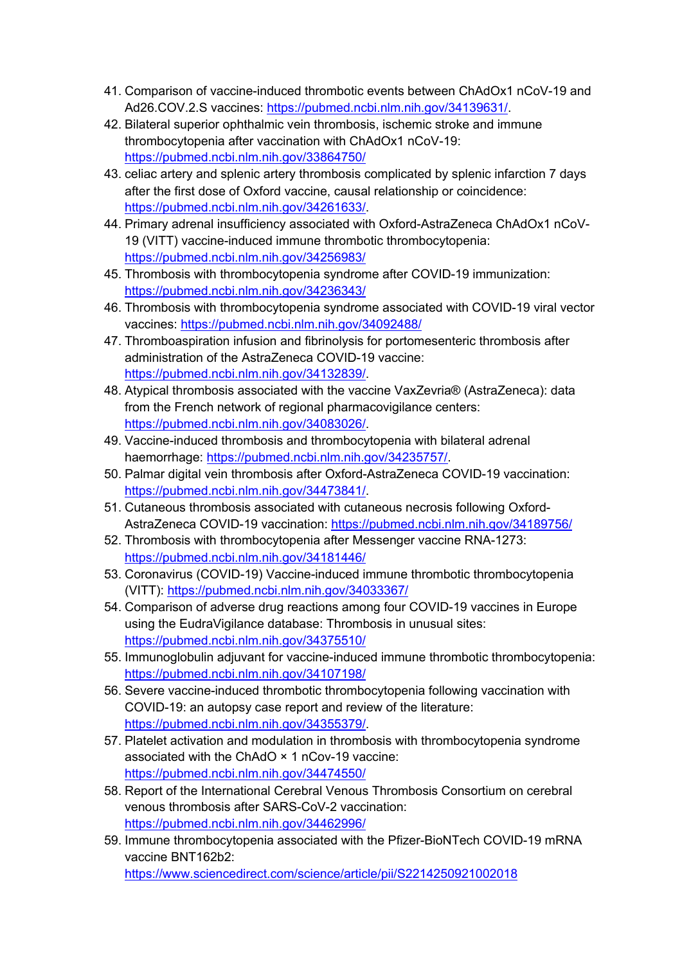- 41. Comparison of vaccine-induced thrombotic events between ChAdOx1 nCoV-19 and Ad26.COV.2.S vaccines: https://pubmed.ncbi.nlm.nih.gov/34139631/.
- 42. Bilateral superior ophthalmic vein thrombosis, ischemic stroke and immune thrombocytopenia after vaccination with ChAdOx1 nCoV-19: https://pubmed.ncbi.nlm.nih.gov/33864750/
- 43. celiac artery and splenic artery thrombosis complicated by splenic infarction 7 days after the first dose of Oxford vaccine, causal relationship or coincidence: https://pubmed.ncbi.nlm.nih.gov/34261633/.
- 44. Primary adrenal insufficiency associated with Oxford-AstraZeneca ChAdOx1 nCoV-19 (VITT) vaccine-induced immune thrombotic thrombocytopenia: https://pubmed.ncbi.nlm.nih.gov/34256983/
- 45. Thrombosis with thrombocytopenia syndrome after COVID-19 immunization: https://pubmed.ncbi.nlm.nih.gov/34236343/
- 46. Thrombosis with thrombocytopenia syndrome associated with COVID-19 viral vector vaccines: https://pubmed.ncbi.nlm.nih.gov/34092488/
- 47. Thromboaspiration infusion and fibrinolysis for portomesenteric thrombosis after administration of the AstraZeneca COVID-19 vaccine: https://pubmed.ncbi.nlm.nih.gov/34132839/.
- 48. Atypical thrombosis associated with the vaccine VaxZevria® (AstraZeneca): data from the French network of regional pharmacovigilance centers: https://pubmed.ncbi.nlm.nih.gov/34083026/.
- 49. Vaccine-induced thrombosis and thrombocytopenia with bilateral adrenal haemorrhage: https://pubmed.ncbi.nlm.nih.gov/34235757/.
- 50. Palmar digital vein thrombosis after Oxford-AstraZeneca COVID-19 vaccination: https://pubmed.ncbi.nlm.nih.gov/34473841/.
- 51. Cutaneous thrombosis associated with cutaneous necrosis following Oxford-AstraZeneca COVID-19 vaccination: https://pubmed.ncbi.nlm.nih.gov/34189756/
- 52. Thrombosis with thrombocytopenia after Messenger vaccine RNA-1273: https://pubmed.ncbi.nlm.nih.gov/34181446/
- 53. Coronavirus (COVID-19) Vaccine-induced immune thrombotic thrombocytopenia (VITT): https://pubmed.ncbi.nlm.nih.gov/34033367/
- 54. Comparison of adverse drug reactions among four COVID-19 vaccines in Europe using the EudraVigilance database: Thrombosis in unusual sites: https://pubmed.ncbi.nlm.nih.gov/34375510/
- 55. Immunoglobulin adjuvant for vaccine-induced immune thrombotic thrombocytopenia: https://pubmed.ncbi.nlm.nih.gov/34107198/
- 56. Severe vaccine-induced thrombotic thrombocytopenia following vaccination with COVID-19: an autopsy case report and review of the literature: https://pubmed.ncbi.nlm.nih.gov/34355379/.
- 57. Platelet activation and modulation in thrombosis with thrombocytopenia syndrome associated with the ChAdO × 1 nCov-19 vaccine: https://pubmed.ncbi.nlm.nih.gov/34474550/
- 58. Report of the International Cerebral Venous Thrombosis Consortium on cerebral venous thrombosis after SARS-CoV-2 vaccination: https://pubmed.ncbi.nlm.nih.gov/34462996/
- 59. Immune thrombocytopenia associated with the Pfizer-BioNTech COVID-19 mRNA vaccine BNT162b2: https://www.sciencedirect.com/science/article/pii/S2214250921002018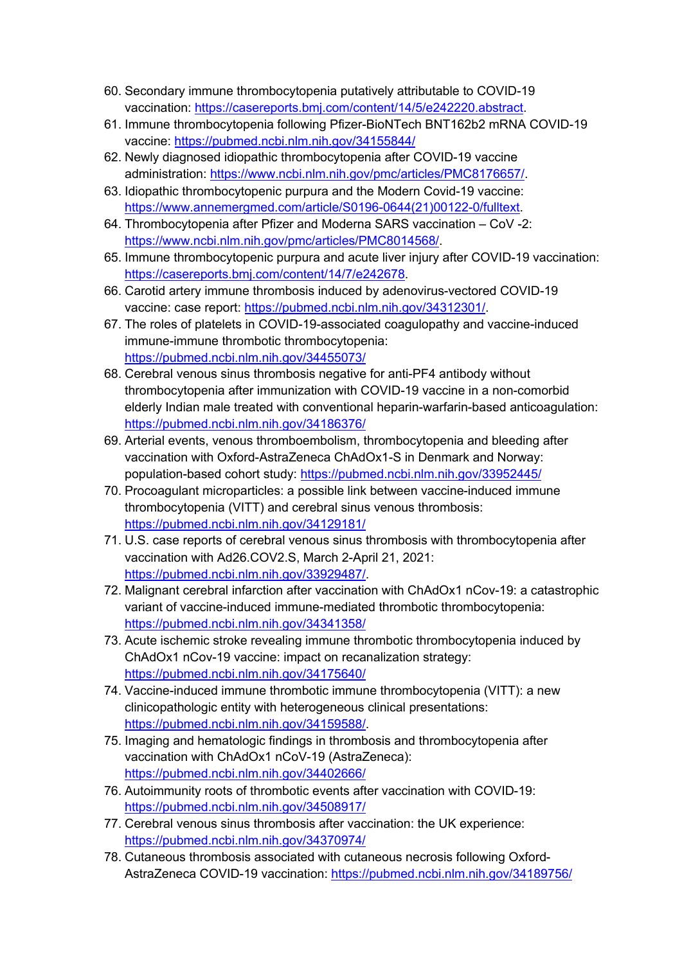- 60. Secondary immune thrombocytopenia putatively attributable to COVID-19 vaccination: https://casereports.bmj.com/content/14/5/e242220.abstract.
- 61. Immune thrombocytopenia following Pfizer-BioNTech BNT162b2 mRNA COVID-19 vaccine: https://pubmed.ncbi.nlm.nih.gov/34155844/
- 62. Newly diagnosed idiopathic thrombocytopenia after COVID-19 vaccine administration: https://www.ncbi.nlm.nih.gov/pmc/articles/PMC8176657/.
- 63. Idiopathic thrombocytopenic purpura and the Modern Covid-19 vaccine: https://www.annemergmed.com/article/S0196-0644(21)00122-0/fulltext.
- 64. Thrombocytopenia after Pfizer and Moderna SARS vaccination CoV -2: https://www.ncbi.nlm.nih.gov/pmc/articles/PMC8014568/.
- 65. Immune thrombocytopenic purpura and acute liver injury after COVID-19 vaccination: https://casereports.bmj.com/content/14/7/e242678.
- 66. Carotid artery immune thrombosis induced by adenovirus-vectored COVID-19 vaccine: case report: https://pubmed.ncbi.nlm.nih.gov/34312301/.
- 67. The roles of platelets in COVID-19-associated coagulopathy and vaccine-induced immune-immune thrombotic thrombocytopenia: https://pubmed.ncbi.nlm.nih.gov/34455073/
- 68. Cerebral venous sinus thrombosis negative for anti-PF4 antibody without thrombocytopenia after immunization with COVID-19 vaccine in a non-comorbid elderly Indian male treated with conventional heparin-warfarin-based anticoagulation: https://pubmed.ncbi.nlm.nih.gov/34186376/
- 69. Arterial events, venous thromboembolism, thrombocytopenia and bleeding after vaccination with Oxford-AstraZeneca ChAdOx1-S in Denmark and Norway: population-based cohort study: https://pubmed.ncbi.nlm.nih.gov/33952445/
- 70. Procoagulant microparticles: a possible link between vaccine-induced immune thrombocytopenia (VITT) and cerebral sinus venous thrombosis: https://pubmed.ncbi.nlm.nih.gov/34129181/
- 71. U.S. case reports of cerebral venous sinus thrombosis with thrombocytopenia after vaccination with Ad26.COV2.S, March 2-April 21, 2021: https://pubmed.ncbi.nlm.nih.gov/33929487/.
- 72. Malignant cerebral infarction after vaccination with ChAdOx1 nCov-19: a catastrophic variant of vaccine-induced immune-mediated thrombotic thrombocytopenia: https://pubmed.ncbi.nlm.nih.gov/34341358/
- 73. Acute ischemic stroke revealing immune thrombotic thrombocytopenia induced by ChAdOx1 nCov-19 vaccine: impact on recanalization strategy: https://pubmed.ncbi.nlm.nih.gov/34175640/
- 74. Vaccine-induced immune thrombotic immune thrombocytopenia (VITT): a new clinicopathologic entity with heterogeneous clinical presentations: https://pubmed.ncbi.nlm.nih.gov/34159588/.
- 75. Imaging and hematologic findings in thrombosis and thrombocytopenia after vaccination with ChAdOx1 nCoV-19 (AstraZeneca): https://pubmed.ncbi.nlm.nih.gov/34402666/
- 76. Autoimmunity roots of thrombotic events after vaccination with COVID-19: https://pubmed.ncbi.nlm.nih.gov/34508917/
- 77. Cerebral venous sinus thrombosis after vaccination: the UK experience: https://pubmed.ncbi.nlm.nih.gov/34370974/
- 78. Cutaneous thrombosis associated with cutaneous necrosis following Oxford-AstraZeneca COVID-19 vaccination: https://pubmed.ncbi.nlm.nih.gov/34189756/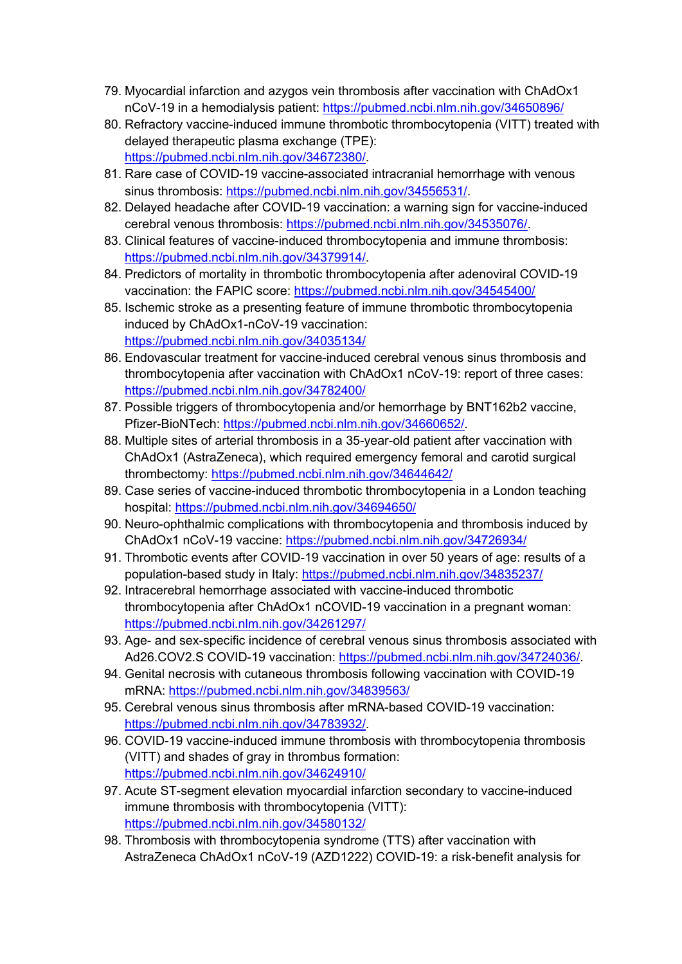- 79. Myocardial infarction and azygos vein thrombosis after vaccination with ChAdOx1 nCoV-19 in a hemodialysis patient: https://pubmed.ncbi.nlm.nih.gov/34650896/
- 80. Refractory vaccine-induced immune thrombotic thrombocytopenia (VITT) treated with delayed therapeutic plasma exchange (TPE): https://pubmed.ncbi.nlm.nih.gov/34672380/.
- 81. Rare case of COVID-19 vaccine-associated intracranial hemorrhage with venous sinus thrombosis: https://pubmed.ncbi.nlm.nih.gov/34556531/.
- 82. Delayed headache after COVID-19 vaccination: a warning sign for vaccine-induced cerebral venous thrombosis: https://pubmed.ncbi.nlm.nih.gov/34535076/.
- 83. Clinical features of vaccine-induced thrombocytopenia and immune thrombosis: https://pubmed.ncbi.nlm.nih.gov/34379914/.
- 84. Predictors of mortality in thrombotic thrombocytopenia after adenoviral COVID-19 vaccination: the FAPIC score: https://pubmed.ncbi.nlm.nih.gov/34545400/
- 85. Ischemic stroke as a presenting feature of immune thrombotic thrombocytopenia induced by ChAdOx1-nCoV-19 vaccination: https://pubmed.ncbi.nlm.nih.gov/34035134/
- 86. Endovascular treatment for vaccine-induced cerebral venous sinus thrombosis and thrombocytopenia after vaccination with ChAdOx1 nCoV-19: report of three cases: https://pubmed.ncbi.nlm.nih.gov/34782400/
- 87. Possible triggers of thrombocytopenia and/or hemorrhage by BNT162b2 vaccine, Pfizer-BioNTech: https://pubmed.ncbi.nlm.nih.gov/34660652/.
- 88. Multiple sites of arterial thrombosis in a 35-year-old patient after vaccination with ChAdOx1 (AstraZeneca), which required emergency femoral and carotid surgical thrombectomy: https://pubmed.ncbi.nlm.nih.gov/34644642/
- 89. Case series of vaccine-induced thrombotic thrombocytopenia in a London teaching hospital: https://pubmed.ncbi.nlm.nih.gov/34694650/
- 90. Neuro-ophthalmic complications with thrombocytopenia and thrombosis induced by ChAdOx1 nCoV-19 vaccine: https://pubmed.ncbi.nlm.nih.gov/34726934/
- 91. Thrombotic events after COVID-19 vaccination in over 50 years of age: results of a population-based study in Italy: https://pubmed.ncbi.nlm.nih.gov/34835237/
- 92. Intracerebral hemorrhage associated with vaccine-induced thrombotic thrombocytopenia after ChAdOx1 nCOVID-19 vaccination in a pregnant woman: https://pubmed.ncbi.nlm.nih.gov/34261297/
- 93. Age- and sex-specific incidence of cerebral venous sinus thrombosis associated with Ad26.COV2.S COVID-19 vaccination: https://pubmed.ncbi.nlm.nih.gov/34724036/.
- 94. Genital necrosis with cutaneous thrombosis following vaccination with COVID-19 mRNA: https://pubmed.ncbi.nlm.nih.gov/34839563/
- 95. Cerebral venous sinus thrombosis after mRNA-based COVID-19 vaccination: https://pubmed.ncbi.nlm.nih.gov/34783932/.
- 96. COVID-19 vaccine-induced immune thrombosis with thrombocytopenia thrombosis (VITT) and shades of gray in thrombus formation: https://pubmed.ncbi.nlm.nih.gov/34624910/
- 97. Acute ST-segment elevation myocardial infarction secondary to vaccine-induced immune thrombosis with thrombocytopenia (VITT): https://pubmed.ncbi.nlm.nih.gov/34580132/
- 98. Thrombosis with thrombocytopenia syndrome (TTS) after vaccination with AstraZeneca ChAdOx1 nCoV-19 (AZD1222) COVID-19: a risk-benefit analysis for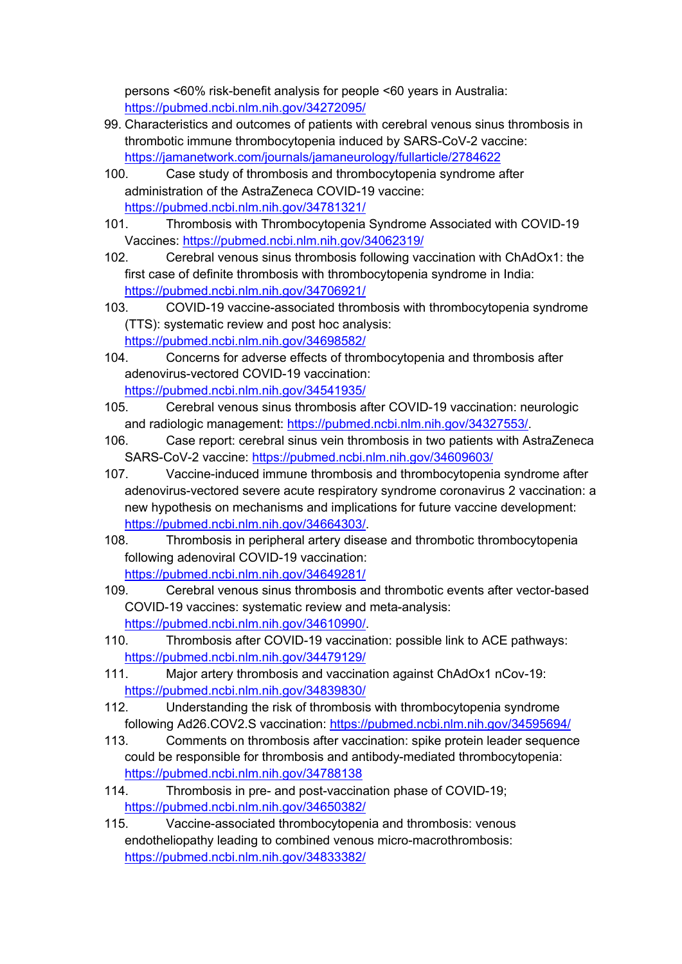persons <60% risk-benefit analysis for people <60 years in Australia: https://pubmed.ncbi.nlm.nih.gov/34272095/

- 99. Characteristics and outcomes of patients with cerebral venous sinus thrombosis in thrombotic immune thrombocytopenia induced by SARS-CoV-2 vaccine: https://jamanetwork.com/journals/jamaneurology/fullarticle/2784622
- 100. Case study of thrombosis and thrombocytopenia syndrome after administration of the AstraZeneca COVID-19 vaccine: https://pubmed.ncbi.nlm.nih.gov/34781321/
- 101. Thrombosis with Thrombocytopenia Syndrome Associated with COVID-19 Vaccines: https://pubmed.ncbi.nlm.nih.gov/34062319/
- 102. Cerebral venous sinus thrombosis following vaccination with ChAdOx1: the first case of definite thrombosis with thrombocytopenia syndrome in India: https://pubmed.ncbi.nlm.nih.gov/34706921/
- 103. COVID-19 vaccine-associated thrombosis with thrombocytopenia syndrome (TTS): systematic review and post hoc analysis: https://pubmed.ncbi.nlm.nih.gov/34698582/
- 104. Concerns for adverse effects of thrombocytopenia and thrombosis after adenovirus-vectored COVID-19 vaccination: https://pubmed.ncbi.nlm.nih.gov/34541935/
- 105. Cerebral venous sinus thrombosis after COVID-19 vaccination: neurologic and radiologic management: https://pubmed.ncbi.nlm.nih.gov/34327553/.
- 106. Case report: cerebral sinus vein thrombosis in two patients with AstraZeneca SARS-CoV-2 vaccine: https://pubmed.ncbi.nlm.nih.gov/34609603/
- 107. Vaccine-induced immune thrombosis and thrombocytopenia syndrome after adenovirus-vectored severe acute respiratory syndrome coronavirus 2 vaccination: a new hypothesis on mechanisms and implications for future vaccine development: https://pubmed.ncbi.nlm.nih.gov/34664303/.
- 108. Thrombosis in peripheral artery disease and thrombotic thrombocytopenia following adenoviral COVID-19 vaccination: https://pubmed.ncbi.nlm.nih.gov/34649281/

```
109. Cerebral venous sinus thrombosis and thrombotic events after vector-based 
COVID-19 vaccines: systematic review and meta-analysis: 
https://pubmed.ncbi.nlm.nih.gov/34610990/.
```
- 110. Thrombosis after COVID-19 vaccination: possible link to ACE pathways: https://pubmed.ncbi.nlm.nih.gov/34479129/
- 111. Major artery thrombosis and vaccination against ChAdOx1 nCov-19: https://pubmed.ncbi.nlm.nih.gov/34839830/
- 112. Understanding the risk of thrombosis with thrombocytopenia syndrome following Ad26.COV2.S vaccination: https://pubmed.ncbi.nlm.nih.gov/34595694/
- 113. Comments on thrombosis after vaccination: spike protein leader sequence could be responsible for thrombosis and antibody-mediated thrombocytopenia: https://pubmed.ncbi.nlm.nih.gov/34788138
- 114. Thrombosis in pre- and post-vaccination phase of COVID-19; https://pubmed.ncbi.nlm.nih.gov/34650382/
- 115. Vaccine-associated thrombocytopenia and thrombosis: venous endotheliopathy leading to combined venous micro-macrothrombosis: https://pubmed.ncbi.nlm.nih.gov/34833382/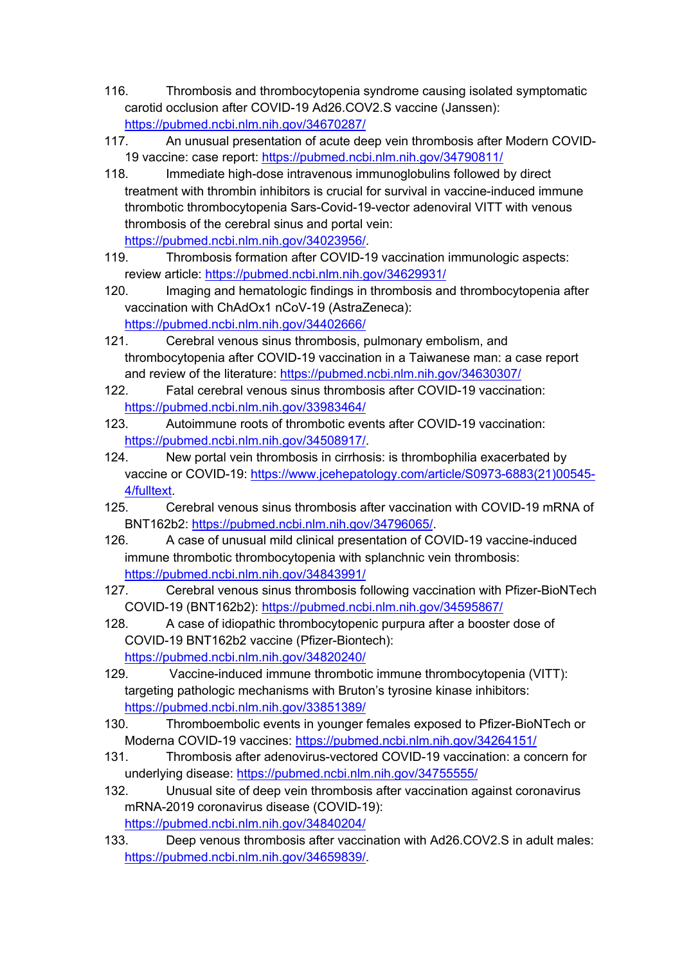- 116. Thrombosis and thrombocytopenia syndrome causing isolated symptomatic carotid occlusion after COVID-19 Ad26.COV2.S vaccine (Janssen): https://pubmed.ncbi.nlm.nih.gov/34670287/
- 117. An unusual presentation of acute deep vein thrombosis after Modern COVID-19 vaccine: case report: https://pubmed.ncbi.nlm.nih.gov/34790811/
- 118. Immediate high-dose intravenous immunoglobulins followed by direct treatment with thrombin inhibitors is crucial for survival in vaccine-induced immune thrombotic thrombocytopenia Sars-Covid-19-vector adenoviral VITT with venous thrombosis of the cerebral sinus and portal vein: https://pubmed.ncbi.nlm.nih.gov/34023956/.
- 119. Thrombosis formation after COVID-19 vaccination immunologic aspects: review article: https://pubmed.ncbi.nlm.nih.gov/34629931/
- 120. Imaging and hematologic findings in thrombosis and thrombocytopenia after vaccination with ChAdOx1 nCoV-19 (AstraZeneca): https://pubmed.ncbi.nlm.nih.gov/34402666/
- 121. Cerebral venous sinus thrombosis, pulmonary embolism, and thrombocytopenia after COVID-19 vaccination in a Taiwanese man: a case report and review of the literature: https://pubmed.ncbi.nlm.nih.gov/34630307/
- 122. Fatal cerebral venous sinus thrombosis after COVID-19 vaccination: https://pubmed.ncbi.nlm.nih.gov/33983464/
- 123. Autoimmune roots of thrombotic events after COVID-19 vaccination: https://pubmed.ncbi.nlm.nih.gov/34508917/.
- 124. New portal vein thrombosis in cirrhosis: is thrombophilia exacerbated by vaccine or COVID-19: https://www.jcehepatology.com/article/S0973-6883(21)00545- 4/fulltext.
- 125. Cerebral venous sinus thrombosis after vaccination with COVID-19 mRNA of BNT162b2: https://pubmed.ncbi.nlm.nih.gov/34796065/.
- 126. A case of unusual mild clinical presentation of COVID-19 vaccine-induced immune thrombotic thrombocytopenia with splanchnic vein thrombosis: https://pubmed.ncbi.nlm.nih.gov/34843991/
- 127. Cerebral venous sinus thrombosis following vaccination with Pfizer-BioNTech COVID-19 (BNT162b2): https://pubmed.ncbi.nlm.nih.gov/34595867/
- 128. A case of idiopathic thrombocytopenic purpura after a booster dose of COVID-19 BNT162b2 vaccine (Pfizer-Biontech): https://pubmed.ncbi.nlm.nih.gov/34820240/
- 129. Vaccine-induced immune thrombotic immune thrombocytopenia (VITT): targeting pathologic mechanisms with Bruton's tyrosine kinase inhibitors: https://pubmed.ncbi.nlm.nih.gov/33851389/
- 130. Thromboembolic events in younger females exposed to Pfizer-BioNTech or Moderna COVID-19 vaccines: https://pubmed.ncbi.nlm.nih.gov/34264151/
- 131. Thrombosis after adenovirus-vectored COVID-19 vaccination: a concern for underlying disease: https://pubmed.ncbi.nlm.nih.gov/34755555/
- 132. Unusual site of deep vein thrombosis after vaccination against coronavirus mRNA-2019 coronavirus disease (COVID-19): https://pubmed.ncbi.nlm.nih.gov/34840204/
- 133. Deep venous thrombosis after vaccination with Ad26.COV2.S in adult males: https://pubmed.ncbi.nlm.nih.gov/34659839/.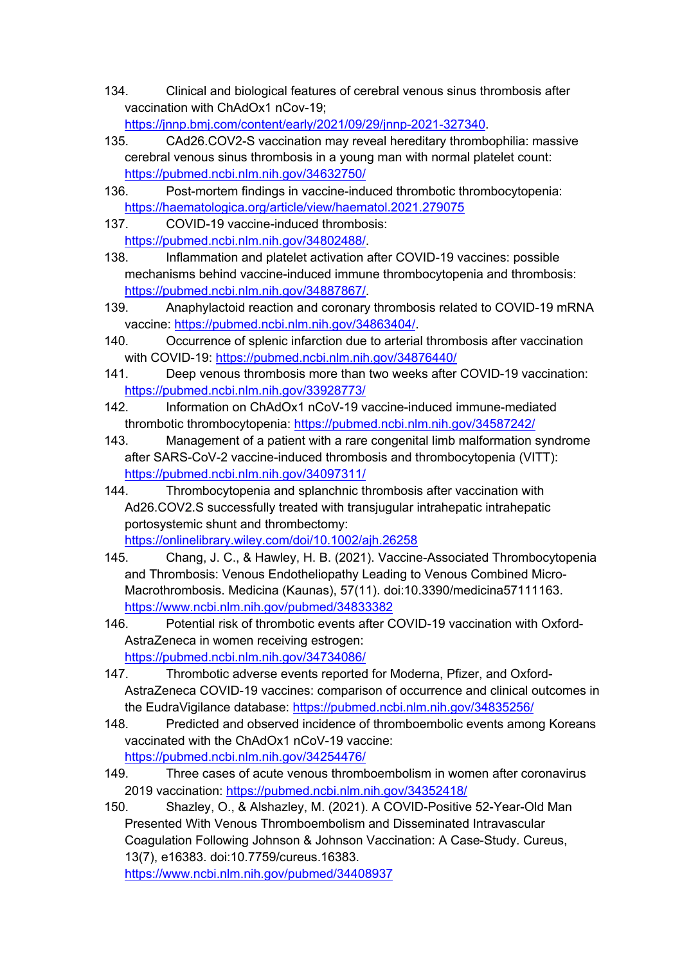- 134. Clinical and biological features of cerebral venous sinus thrombosis after vaccination with ChAdOx1 nCov-19; https://jnnp.bmj.com/content/early/2021/09/29/jnnp-2021-327340.
- 135. CAd26.COV2-S vaccination may reveal hereditary thrombophilia: massive cerebral venous sinus thrombosis in a young man with normal platelet count: https://pubmed.ncbi.nlm.nih.gov/34632750/
- 136. Post-mortem findings in vaccine-induced thrombotic thrombocytopenia: https://haematologica.org/article/view/haematol.2021.279075
- 137. COVID-19 vaccine-induced thrombosis: https://pubmed.ncbi.nlm.nih.gov/34802488/.
- 138. Inflammation and platelet activation after COVID-19 vaccines: possible mechanisms behind vaccine-induced immune thrombocytopenia and thrombosis: https://pubmed.ncbi.nlm.nih.gov/34887867/.
- 139. Anaphylactoid reaction and coronary thrombosis related to COVID-19 mRNA vaccine: https://pubmed.ncbi.nlm.nih.gov/34863404/.
- 140. Occurrence of splenic infarction due to arterial thrombosis after vaccination with COVID-19: https://pubmed.ncbi.nlm.nih.gov/34876440/
- 141. Deep venous thrombosis more than two weeks after COVID-19 vaccination: https://pubmed.ncbi.nlm.nih.gov/33928773/
- 142. Information on ChAdOx1 nCoV-19 vaccine-induced immune-mediated thrombotic thrombocytopenia: https://pubmed.ncbi.nlm.nih.gov/34587242/
- 143. Management of a patient with a rare congenital limb malformation syndrome after SARS-CoV-2 vaccine-induced thrombosis and thrombocytopenia (VITT): https://pubmed.ncbi.nlm.nih.gov/34097311/
- 144. Thrombocytopenia and splanchnic thrombosis after vaccination with Ad26.COV2.S successfully treated with transjugular intrahepatic intrahepatic portosystemic shunt and thrombectomy: https://onlinelibrary.wiley.com/doi/10.1002/ajh.26258
- 145. Chang, J. C., & Hawley, H. B. (2021). Vaccine-Associated Thrombocytopenia and Thrombosis: Venous Endotheliopathy Leading to Venous Combined Micro-Macrothrombosis. Medicina (Kaunas), 57(11). doi:10.3390/medicina57111163. https://www.ncbi.nlm.nih.gov/pubmed/34833382
- 146. Potential risk of thrombotic events after COVID-19 vaccination with Oxford-AstraZeneca in women receiving estrogen: https://pubmed.ncbi.nlm.nih.gov/34734086/
- 147. Thrombotic adverse events reported for Moderna, Pfizer, and Oxford-AstraZeneca COVID-19 vaccines: comparison of occurrence and clinical outcomes in the EudraVigilance database: https://pubmed.ncbi.nlm.nih.gov/34835256/
- 148. Predicted and observed incidence of thromboembolic events among Koreans vaccinated with the ChAdOx1 nCoV-19 vaccine: https://pubmed.ncbi.nlm.nih.gov/34254476/
- 149. Three cases of acute venous thromboembolism in women after coronavirus 2019 vaccination: https://pubmed.ncbi.nlm.nih.gov/34352418/
- 150. Shazley, O., & Alshazley, M. (2021). A COVID-Positive 52-Year-Old Man Presented With Venous Thromboembolism and Disseminated Intravascular Coagulation Following Johnson & Johnson Vaccination: A Case-Study. Cureus, 13(7), e16383. doi:10.7759/cureus.16383. https://www.ncbi.nlm.nih.gov/pubmed/34408937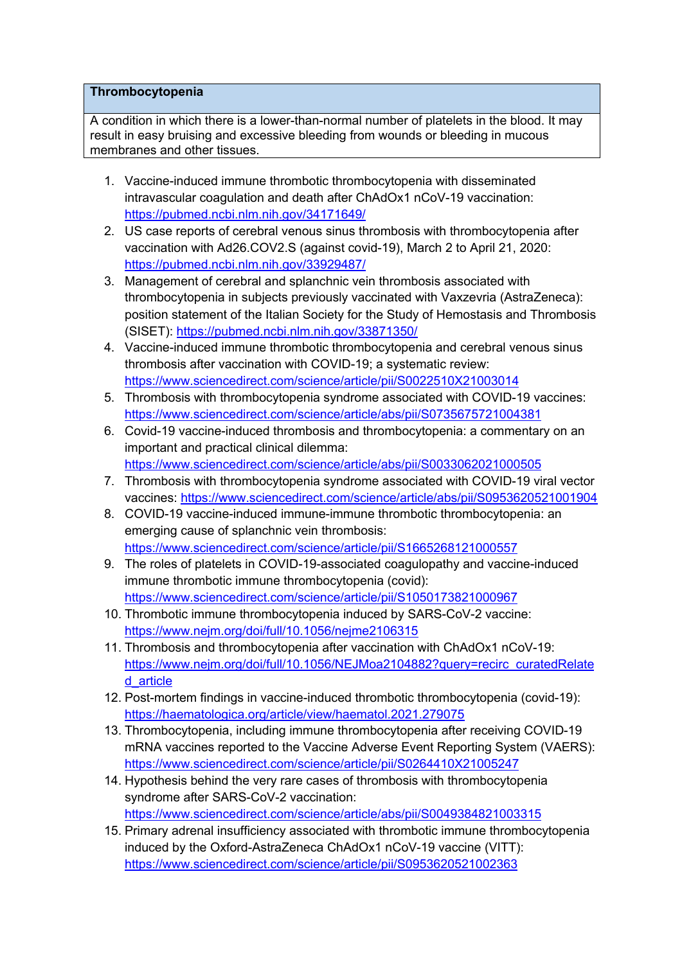### **Thrombocytopenia**

A condition in which there is a lower-than-normal number of platelets in the blood. It may result in easy bruising and excessive bleeding from wounds or bleeding in mucous membranes and other tissues.

- 1. Vaccine-induced immune thrombotic thrombocytopenia with disseminated intravascular coagulation and death after ChAdOx1 nCoV-19 vaccination: https://pubmed.ncbi.nlm.nih.gov/34171649/
- 2. US case reports of cerebral venous sinus thrombosis with thrombocytopenia after vaccination with Ad26.COV2.S (against covid-19), March 2 to April 21, 2020: https://pubmed.ncbi.nlm.nih.gov/33929487/
- 3. Management of cerebral and splanchnic vein thrombosis associated with thrombocytopenia in subjects previously vaccinated with Vaxzevria (AstraZeneca): position statement of the Italian Society for the Study of Hemostasis and Thrombosis (SISET): https://pubmed.ncbi.nlm.nih.gov/33871350/
- 4. Vaccine-induced immune thrombotic thrombocytopenia and cerebral venous sinus thrombosis after vaccination with COVID-19; a systematic review: https://www.sciencedirect.com/science/article/pii/S0022510X21003014
- 5. Thrombosis with thrombocytopenia syndrome associated with COVID-19 vaccines: https://www.sciencedirect.com/science/article/abs/pii/S0735675721004381
- 6. Covid-19 vaccine-induced thrombosis and thrombocytopenia: a commentary on an important and practical clinical dilemma: https://www.sciencedirect.com/science/article/abs/pii/S0033062021000505
- 7. Thrombosis with thrombocytopenia syndrome associated with COVID-19 viral vector vaccines: https://www.sciencedirect.com/science/article/abs/pii/S0953620521001904
- 8. COVID-19 vaccine-induced immune-immune thrombotic thrombocytopenia: an emerging cause of splanchnic vein thrombosis: https://www.sciencedirect.com/science/article/pii/S1665268121000557
- 9. The roles of platelets in COVID-19-associated coagulopathy and vaccine-induced immune thrombotic immune thrombocytopenia (covid): https://www.sciencedirect.com/science/article/pii/S1050173821000967
- 10. Thrombotic immune thrombocytopenia induced by SARS-CoV-2 vaccine: https://www.nejm.org/doi/full/10.1056/nejme2106315
- 11. Thrombosis and thrombocytopenia after vaccination with ChAdOx1 nCoV-19: https://www.nejm.org/doi/full/10.1056/NEJMoa2104882?query=recirc\_curatedRelate d\_article
- 12. Post-mortem findings in vaccine-induced thrombotic thrombocytopenia (covid-19): https://haematologica.org/article/view/haematol.2021.279075
- 13. Thrombocytopenia, including immune thrombocytopenia after receiving COVID-19 mRNA vaccines reported to the Vaccine Adverse Event Reporting System (VAERS): https://www.sciencedirect.com/science/article/pii/S0264410X21005247
- 14. Hypothesis behind the very rare cases of thrombosis with thrombocytopenia syndrome after SARS-CoV-2 vaccination: https://www.sciencedirect.com/science/article/abs/pii/S0049384821003315
- 15. Primary adrenal insufficiency associated with thrombotic immune thrombocytopenia induced by the Oxford-AstraZeneca ChAdOx1 nCoV-19 vaccine (VITT): https://www.sciencedirect.com/science/article/pii/S0953620521002363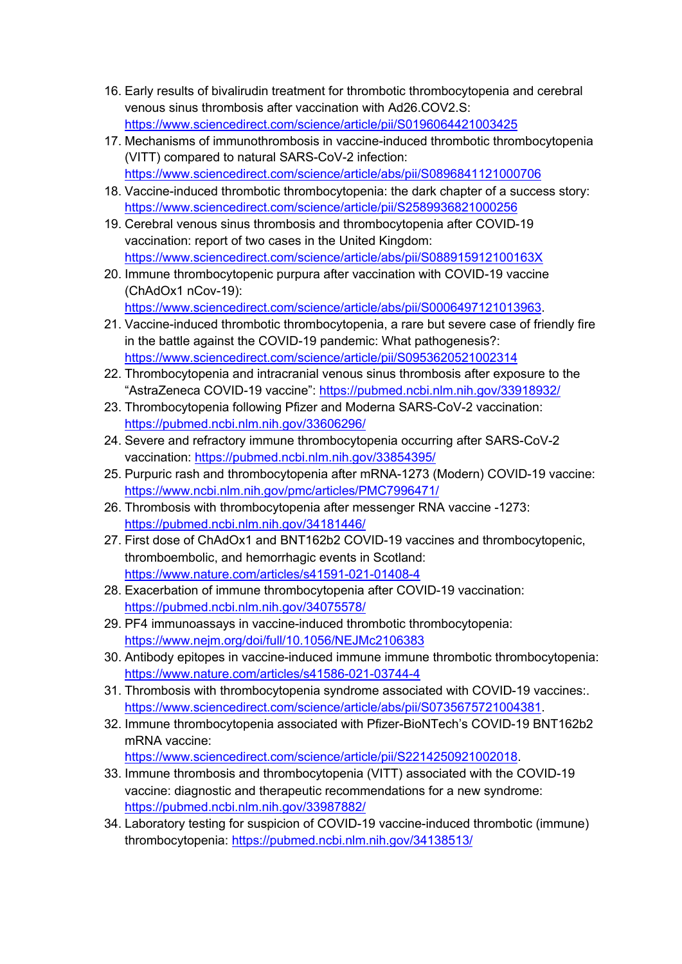- 16. Early results of bivalirudin treatment for thrombotic thrombocytopenia and cerebral venous sinus thrombosis after vaccination with Ad26.COV2.S: https://www.sciencedirect.com/science/article/pii/S0196064421003425
- 17. Mechanisms of immunothrombosis in vaccine-induced thrombotic thrombocytopenia (VITT) compared to natural SARS-CoV-2 infection: https://www.sciencedirect.com/science/article/abs/pii/S0896841121000706
- 18. Vaccine-induced thrombotic thrombocytopenia: the dark chapter of a success story: https://www.sciencedirect.com/science/article/pii/S2589936821000256
- 19. Cerebral venous sinus thrombosis and thrombocytopenia after COVID-19 vaccination: report of two cases in the United Kingdom: https://www.sciencedirect.com/science/article/abs/pii/S088915912100163X
- 20. Immune thrombocytopenic purpura after vaccination with COVID-19 vaccine (ChAdOx1 nCov-19): https://www.sciencedirect.com/science/article/abs/pii/S0006497121013963.
- 21. Vaccine-induced thrombotic thrombocytopenia, a rare but severe case of friendly fire in the battle against the COVID-19 pandemic: What pathogenesis?: https://www.sciencedirect.com/science/article/pii/S0953620521002314
- 22. Thrombocytopenia and intracranial venous sinus thrombosis after exposure to the "AstraZeneca COVID-19 vaccine": https://pubmed.ncbi.nlm.nih.gov/33918932/
- 23. Thrombocytopenia following Pfizer and Moderna SARS-CoV-2 vaccination: https://pubmed.ncbi.nlm.nih.gov/33606296/
- 24. Severe and refractory immune thrombocytopenia occurring after SARS-CoV-2 vaccination: https://pubmed.ncbi.nlm.nih.gov/33854395/
- 25. Purpuric rash and thrombocytopenia after mRNA-1273 (Modern) COVID-19 vaccine: https://www.ncbi.nlm.nih.gov/pmc/articles/PMC7996471/
- 26. Thrombosis with thrombocytopenia after messenger RNA vaccine -1273: https://pubmed.ncbi.nlm.nih.gov/34181446/
- 27. First dose of ChAdOx1 and BNT162b2 COVID-19 vaccines and thrombocytopenic, thromboembolic, and hemorrhagic events in Scotland: https://www.nature.com/articles/s41591-021-01408-4
- 28. Exacerbation of immune thrombocytopenia after COVID-19 vaccination: https://pubmed.ncbi.nlm.nih.gov/34075578/
- 29. PF4 immunoassays in vaccine-induced thrombotic thrombocytopenia: https://www.nejm.org/doi/full/10.1056/NEJMc2106383
- 30. Antibody epitopes in vaccine-induced immune immune thrombotic thrombocytopenia: https://www.nature.com/articles/s41586-021-03744-4
- 31. Thrombosis with thrombocytopenia syndrome associated with COVID-19 vaccines:. https://www.sciencedirect.com/science/article/abs/pii/S0735675721004381.
- 32. Immune thrombocytopenia associated with Pfizer-BioNTech's COVID-19 BNT162b2 mRNA vaccine:

https://www.sciencedirect.com/science/article/pii/S2214250921002018.

- 33. Immune thrombosis and thrombocytopenia (VITT) associated with the COVID-19 vaccine: diagnostic and therapeutic recommendations for a new syndrome: https://pubmed.ncbi.nlm.nih.gov/33987882/
- 34. Laboratory testing for suspicion of COVID-19 vaccine-induced thrombotic (immune) thrombocytopenia: https://pubmed.ncbi.nlm.nih.gov/34138513/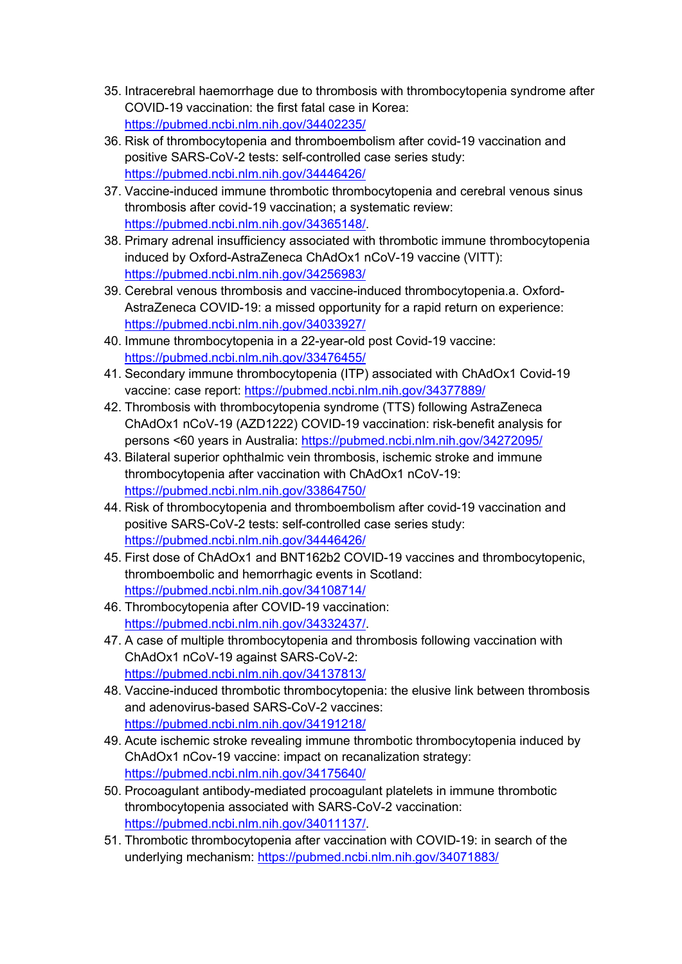- 35. Intracerebral haemorrhage due to thrombosis with thrombocytopenia syndrome after COVID-19 vaccination: the first fatal case in Korea: https://pubmed.ncbi.nlm.nih.gov/34402235/
- 36. Risk of thrombocytopenia and thromboembolism after covid-19 vaccination and positive SARS-CoV-2 tests: self-controlled case series study: https://pubmed.ncbi.nlm.nih.gov/34446426/
- 37. Vaccine-induced immune thrombotic thrombocytopenia and cerebral venous sinus thrombosis after covid-19 vaccination; a systematic review: https://pubmed.ncbi.nlm.nih.gov/34365148/.
- 38. Primary adrenal insufficiency associated with thrombotic immune thrombocytopenia induced by Oxford-AstraZeneca ChAdOx1 nCoV-19 vaccine (VITT): https://pubmed.ncbi.nlm.nih.gov/34256983/
- 39. Cerebral venous thrombosis and vaccine-induced thrombocytopenia.a. Oxford-AstraZeneca COVID-19: a missed opportunity for a rapid return on experience: https://pubmed.ncbi.nlm.nih.gov/34033927/
- 40. Immune thrombocytopenia in a 22-year-old post Covid-19 vaccine: https://pubmed.ncbi.nlm.nih.gov/33476455/
- 41. Secondary immune thrombocytopenia (ITP) associated with ChAdOx1 Covid-19 vaccine: case report: https://pubmed.ncbi.nlm.nih.gov/34377889/
- 42. Thrombosis with thrombocytopenia syndrome (TTS) following AstraZeneca ChAdOx1 nCoV-19 (AZD1222) COVID-19 vaccination: risk-benefit analysis for persons <60 years in Australia: https://pubmed.ncbi.nlm.nih.gov/34272095/
- 43. Bilateral superior ophthalmic vein thrombosis, ischemic stroke and immune thrombocytopenia after vaccination with ChAdOx1 nCoV-19: https://pubmed.ncbi.nlm.nih.gov/33864750/
- 44. Risk of thrombocytopenia and thromboembolism after covid-19 vaccination and positive SARS-CoV-2 tests: self-controlled case series study: https://pubmed.ncbi.nlm.nih.gov/34446426/
- 45. First dose of ChAdOx1 and BNT162b2 COVID-19 vaccines and thrombocytopenic, thromboembolic and hemorrhagic events in Scotland: https://pubmed.ncbi.nlm.nih.gov/34108714/
- 46. Thrombocytopenia after COVID-19 vaccination: https://pubmed.ncbi.nlm.nih.gov/34332437/.
- 47. A case of multiple thrombocytopenia and thrombosis following vaccination with ChAdOx1 nCoV-19 against SARS-CoV-2: https://pubmed.ncbi.nlm.nih.gov/34137813/
- 48. Vaccine-induced thrombotic thrombocytopenia: the elusive link between thrombosis and adenovirus-based SARS-CoV-2 vaccines: https://pubmed.ncbi.nlm.nih.gov/34191218/
- 49. Acute ischemic stroke revealing immune thrombotic thrombocytopenia induced by ChAdOx1 nCov-19 vaccine: impact on recanalization strategy: https://pubmed.ncbi.nlm.nih.gov/34175640/
- 50. Procoagulant antibody-mediated procoagulant platelets in immune thrombotic thrombocytopenia associated with SARS-CoV-2 vaccination: https://pubmed.ncbi.nlm.nih.gov/34011137/.
- 51. Thrombotic thrombocytopenia after vaccination with COVID-19: in search of the underlying mechanism: https://pubmed.ncbi.nlm.nih.gov/34071883/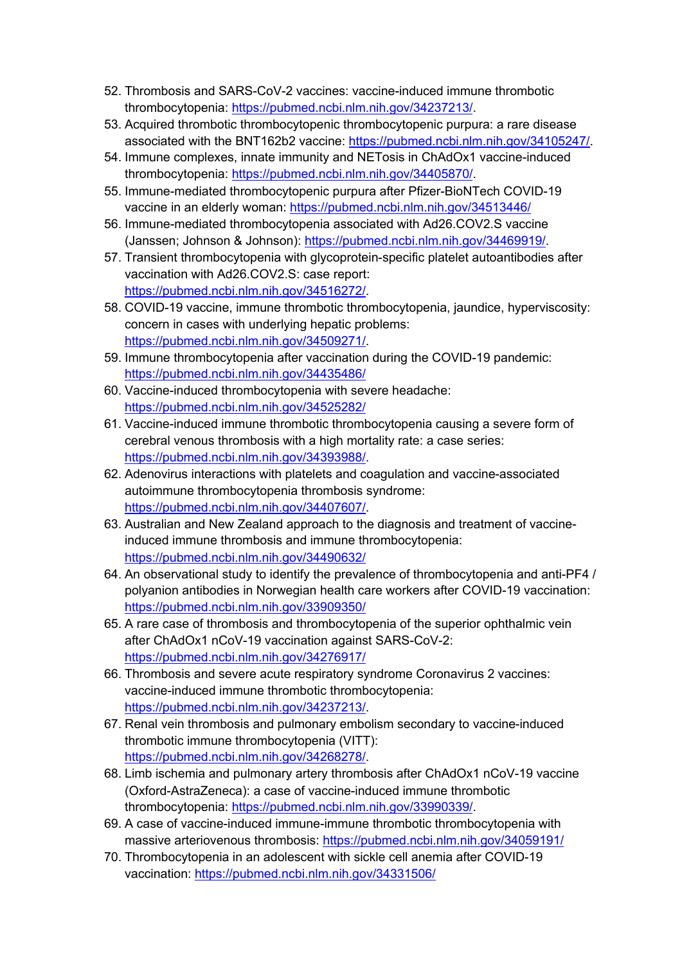- 52. Thrombosis and SARS-CoV-2 vaccines: vaccine-induced immune thrombotic thrombocytopenia: https://pubmed.ncbi.nlm.nih.gov/34237213/.
- 53. Acquired thrombotic thrombocytopenic thrombocytopenic purpura: a rare disease associated with the BNT162b2 vaccine: https://pubmed.ncbi.nlm.nih.gov/34105247/.
- 54. Immune complexes, innate immunity and NETosis in ChAdOx1 vaccine-induced thrombocytopenia: https://pubmed.ncbi.nlm.nih.gov/34405870/.
- 55. Immune-mediated thrombocytopenic purpura after Pfizer-BioNTech COVID-19 vaccine in an elderly woman: https://pubmed.ncbi.nlm.nih.gov/34513446/
- 56. Immune-mediated thrombocytopenia associated with Ad26.COV2.S vaccine (Janssen; Johnson & Johnson): https://pubmed.ncbi.nlm.nih.gov/34469919/.
- 57. Transient thrombocytopenia with glycoprotein-specific platelet autoantibodies after vaccination with Ad26.COV2.S: case report: https://pubmed.ncbi.nlm.nih.gov/34516272/.
- 58. COVID-19 vaccine, immune thrombotic thrombocytopenia, jaundice, hyperviscosity: concern in cases with underlying hepatic problems: https://pubmed.ncbi.nlm.nih.gov/34509271/.
- 59. Immune thrombocytopenia after vaccination during the COVID-19 pandemic: https://pubmed.ncbi.nlm.nih.gov/34435486/
- 60. Vaccine-induced thrombocytopenia with severe headache: https://pubmed.ncbi.nlm.nih.gov/34525282/
- 61. Vaccine-induced immune thrombotic thrombocytopenia causing a severe form of cerebral venous thrombosis with a high mortality rate: a case series: https://pubmed.ncbi.nlm.nih.gov/34393988/.
- 62. Adenovirus interactions with platelets and coagulation and vaccine-associated autoimmune thrombocytopenia thrombosis syndrome: https://pubmed.ncbi.nlm.nih.gov/34407607/.
- 63. Australian and New Zealand approach to the diagnosis and treatment of vaccineinduced immune thrombosis and immune thrombocytopenia: https://pubmed.ncbi.nlm.nih.gov/34490632/
- 64. An observational study to identify the prevalence of thrombocytopenia and anti-PF4 / polyanion antibodies in Norwegian health care workers after COVID-19 vaccination: https://pubmed.ncbi.nlm.nih.gov/33909350/
- 65. A rare case of thrombosis and thrombocytopenia of the superior ophthalmic vein after ChAdOx1 nCoV-19 vaccination against SARS-CoV-2: https://pubmed.ncbi.nlm.nih.gov/34276917/
- 66. Thrombosis and severe acute respiratory syndrome Coronavirus 2 vaccines: vaccine-induced immune thrombotic thrombocytopenia: https://pubmed.ncbi.nlm.nih.gov/34237213/.
- 67. Renal vein thrombosis and pulmonary embolism secondary to vaccine-induced thrombotic immune thrombocytopenia (VITT): https://pubmed.ncbi.nlm.nih.gov/34268278/.
- 68. Limb ischemia and pulmonary artery thrombosis after ChAdOx1 nCoV-19 vaccine (Oxford-AstraZeneca): a case of vaccine-induced immune thrombotic thrombocytopenia: https://pubmed.ncbi.nlm.nih.gov/33990339/.
- 69. A case of vaccine-induced immune-immune thrombotic thrombocytopenia with massive arteriovenous thrombosis: https://pubmed.ncbi.nlm.nih.gov/34059191/
- 70. Thrombocytopenia in an adolescent with sickle cell anemia after COVID-19 vaccination: https://pubmed.ncbi.nlm.nih.gov/34331506/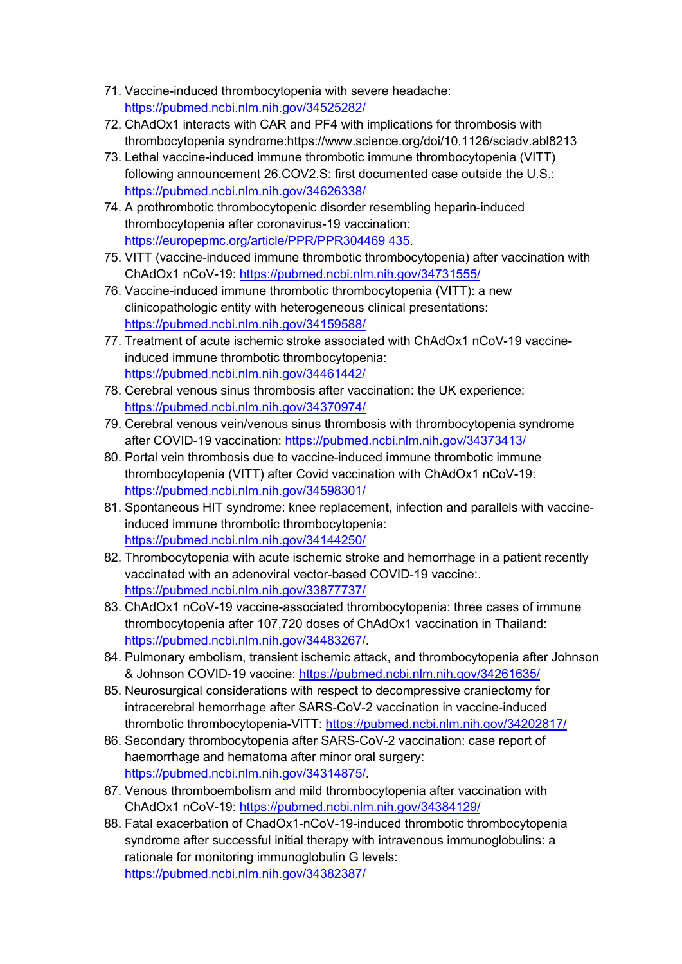- 71. Vaccine-induced thrombocytopenia with severe headache: https://pubmed.ncbi.nlm.nih.gov/34525282/
- 72. ChAdOx1 interacts with CAR and PF4 with implications for thrombosis with thrombocytopenia syndrome:https://www.science.org/doi/10.1126/sciadv.abl8213
- 73. Lethal vaccine-induced immune thrombotic immune thrombocytopenia (VITT) following announcement 26.COV2.S: first documented case outside the U.S.: https://pubmed.ncbi.nlm.nih.gov/34626338/
- 74. A prothrombotic thrombocytopenic disorder resembling heparin-induced thrombocytopenia after coronavirus-19 vaccination: https://europepmc.org/article/PPR/PPR304469 435.
- 75. VITT (vaccine-induced immune thrombotic thrombocytopenia) after vaccination with ChAdOx1 nCoV-19: https://pubmed.ncbi.nlm.nih.gov/34731555/
- 76. Vaccine-induced immune thrombotic thrombocytopenia (VITT): a new clinicopathologic entity with heterogeneous clinical presentations: https://pubmed.ncbi.nlm.nih.gov/34159588/
- 77. Treatment of acute ischemic stroke associated with ChAdOx1 nCoV-19 vaccineinduced immune thrombotic thrombocytopenia: https://pubmed.ncbi.nlm.nih.gov/34461442/
- 78. Cerebral venous sinus thrombosis after vaccination: the UK experience: https://pubmed.ncbi.nlm.nih.gov/34370974/
- 79. Cerebral venous vein/venous sinus thrombosis with thrombocytopenia syndrome after COVID-19 vaccination: https://pubmed.ncbi.nlm.nih.gov/34373413/
- 80. Portal vein thrombosis due to vaccine-induced immune thrombotic immune thrombocytopenia (VITT) after Covid vaccination with ChAdOx1 nCoV-19: https://pubmed.ncbi.nlm.nih.gov/34598301/
- 81. Spontaneous HIT syndrome: knee replacement, infection and parallels with vaccineinduced immune thrombotic thrombocytopenia: https://pubmed.ncbi.nlm.nih.gov/34144250/
- 82. Thrombocytopenia with acute ischemic stroke and hemorrhage in a patient recently vaccinated with an adenoviral vector-based COVID-19 vaccine:. https://pubmed.ncbi.nlm.nih.gov/33877737/
- 83. ChAdOx1 nCoV-19 vaccine-associated thrombocytopenia: three cases of immune thrombocytopenia after 107,720 doses of ChAdOx1 vaccination in Thailand: https://pubmed.ncbi.nlm.nih.gov/34483267/.
- 84. Pulmonary embolism, transient ischemic attack, and thrombocytopenia after Johnson & Johnson COVID-19 vaccine: https://pubmed.ncbi.nlm.nih.gov/34261635/
- 85. Neurosurgical considerations with respect to decompressive craniectomy for intracerebral hemorrhage after SARS-CoV-2 vaccination in vaccine-induced thrombotic thrombocytopenia-VITT: https://pubmed.ncbi.nlm.nih.gov/34202817/
- 86. Secondary thrombocytopenia after SARS-CoV-2 vaccination: case report of haemorrhage and hematoma after minor oral surgery: https://pubmed.ncbi.nlm.nih.gov/34314875/.
- 87. Venous thromboembolism and mild thrombocytopenia after vaccination with ChAdOx1 nCoV-19: https://pubmed.ncbi.nlm.nih.gov/34384129/
- 88. Fatal exacerbation of ChadOx1-nCoV-19-induced thrombotic thrombocytopenia syndrome after successful initial therapy with intravenous immunoglobulins: a rationale for monitoring immunoglobulin G levels: https://pubmed.ncbi.nlm.nih.gov/34382387/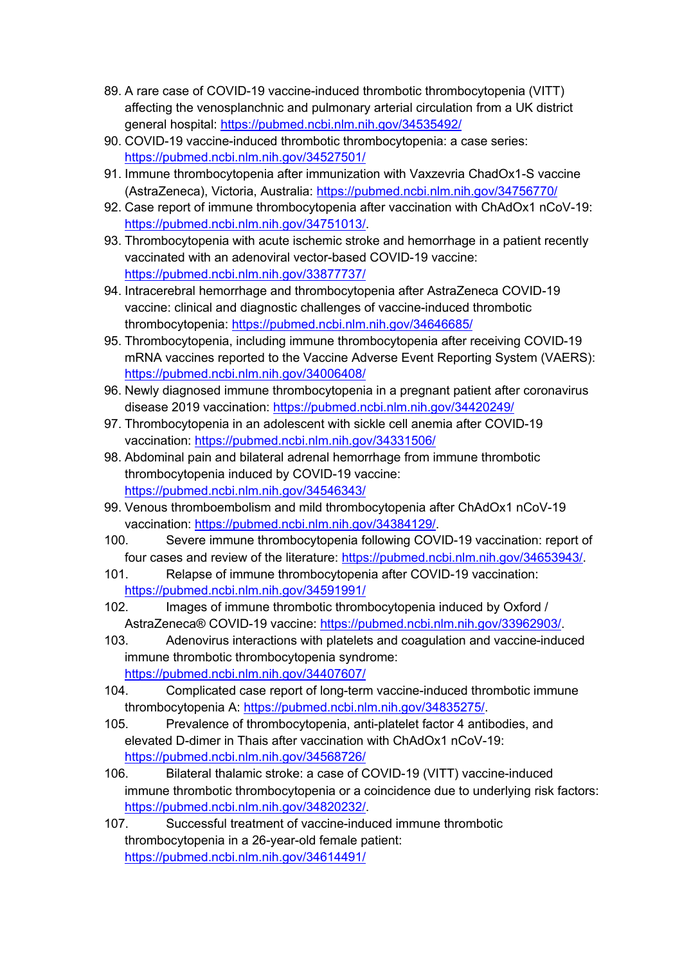- 89. A rare case of COVID-19 vaccine-induced thrombotic thrombocytopenia (VITT) affecting the venosplanchnic and pulmonary arterial circulation from a UK district general hospital: https://pubmed.ncbi.nlm.nih.gov/34535492/
- 90. COVID-19 vaccine-induced thrombotic thrombocytopenia: a case series: https://pubmed.ncbi.nlm.nih.gov/34527501/
- 91. Immune thrombocytopenia after immunization with Vaxzevria ChadOx1-S vaccine (AstraZeneca), Victoria, Australia: https://pubmed.ncbi.nlm.nih.gov/34756770/
- 92. Case report of immune thrombocytopenia after vaccination with ChAdOx1 nCoV-19: https://pubmed.ncbi.nlm.nih.gov/34751013/.
- 93. Thrombocytopenia with acute ischemic stroke and hemorrhage in a patient recently vaccinated with an adenoviral vector-based COVID-19 vaccine: https://pubmed.ncbi.nlm.nih.gov/33877737/
- 94. Intracerebral hemorrhage and thrombocytopenia after AstraZeneca COVID-19 vaccine: clinical and diagnostic challenges of vaccine-induced thrombotic thrombocytopenia: https://pubmed.ncbi.nlm.nih.gov/34646685/
- 95. Thrombocytopenia, including immune thrombocytopenia after receiving COVID-19 mRNA vaccines reported to the Vaccine Adverse Event Reporting System (VAERS): https://pubmed.ncbi.nlm.nih.gov/34006408/
- 96. Newly diagnosed immune thrombocytopenia in a pregnant patient after coronavirus disease 2019 vaccination: https://pubmed.ncbi.nlm.nih.gov/34420249/
- 97. Thrombocytopenia in an adolescent with sickle cell anemia after COVID-19 vaccination: https://pubmed.ncbi.nlm.nih.gov/34331506/
- 98. Abdominal pain and bilateral adrenal hemorrhage from immune thrombotic thrombocytopenia induced by COVID-19 vaccine: https://pubmed.ncbi.nlm.nih.gov/34546343/
- 99. Venous thromboembolism and mild thrombocytopenia after ChAdOx1 nCoV-19 vaccination: https://pubmed.ncbi.nlm.nih.gov/34384129/.
- 100. Severe immune thrombocytopenia following COVID-19 vaccination: report of four cases and review of the literature: https://pubmed.ncbi.nlm.nih.gov/34653943/.
- 101. Relapse of immune thrombocytopenia after COVID-19 vaccination: https://pubmed.ncbi.nlm.nih.gov/34591991/
- 102. Images of immune thrombotic thrombocytopenia induced by Oxford / AstraZeneca® COVID-19 vaccine: https://pubmed.ncbi.nlm.nih.gov/33962903/.
- 103. Adenovirus interactions with platelets and coagulation and vaccine-induced immune thrombotic thrombocytopenia syndrome: https://pubmed.ncbi.nlm.nih.gov/34407607/
- 104. Complicated case report of long-term vaccine-induced thrombotic immune thrombocytopenia A: https://pubmed.ncbi.nlm.nih.gov/34835275/.
- 105. Prevalence of thrombocytopenia, anti-platelet factor 4 antibodies, and elevated D-dimer in Thais after vaccination with ChAdOx1 nCoV-19: https://pubmed.ncbi.nlm.nih.gov/34568726/
- 106. Bilateral thalamic stroke: a case of COVID-19 (VITT) vaccine-induced immune thrombotic thrombocytopenia or a coincidence due to underlying risk factors: https://pubmed.ncbi.nlm.nih.gov/34820232/.
- 107. Successful treatment of vaccine-induced immune thrombotic thrombocytopenia in a 26-year-old female patient: https://pubmed.ncbi.nlm.nih.gov/34614491/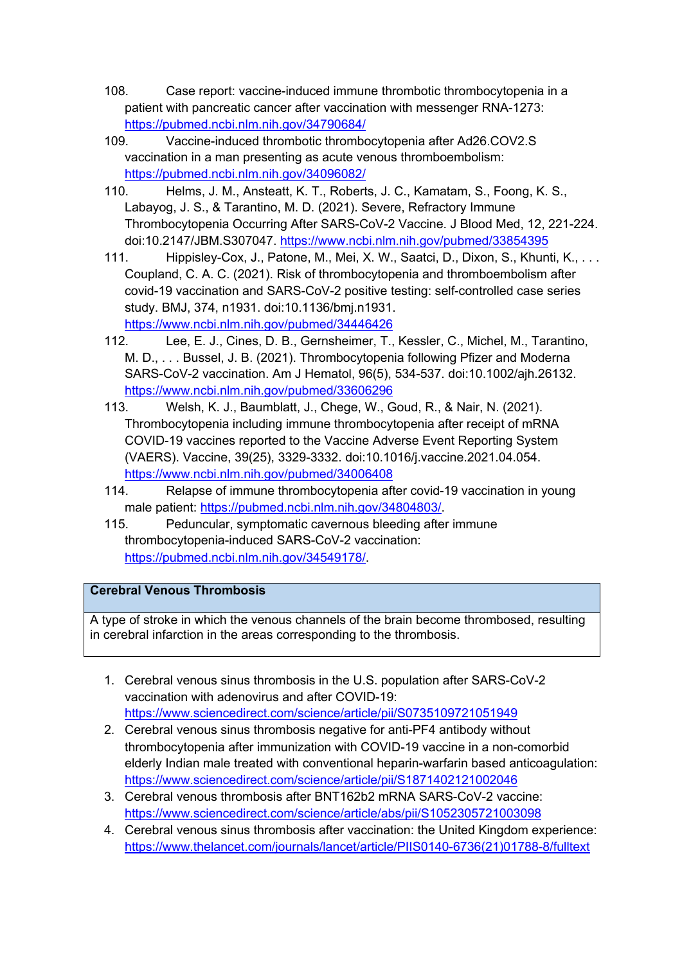- 108. Case report: vaccine-induced immune thrombotic thrombocytopenia in a patient with pancreatic cancer after vaccination with messenger RNA-1273: https://pubmed.ncbi.nlm.nih.gov/34790684/
- 109. Vaccine-induced thrombotic thrombocytopenia after Ad26.COV2.S vaccination in a man presenting as acute venous thromboembolism: https://pubmed.ncbi.nlm.nih.gov/34096082/
- 110. Helms, J. M., Ansteatt, K. T., Roberts, J. C., Kamatam, S., Foong, K. S., Labayog, J. S., & Tarantino, M. D. (2021). Severe, Refractory Immune Thrombocytopenia Occurring After SARS-CoV-2 Vaccine. J Blood Med, 12, 221-224. doi:10.2147/JBM.S307047. https://www.ncbi.nlm.nih.gov/pubmed/33854395
- 111. Hippisley-Cox, J., Patone, M., Mei, X. W., Saatci, D., Dixon, S., Khunti, K., . . . Coupland, C. A. C. (2021). Risk of thrombocytopenia and thromboembolism after covid-19 vaccination and SARS-CoV-2 positive testing: self-controlled case series study. BMJ, 374, n1931. doi:10.1136/bmj.n1931. https://www.ncbi.nlm.nih.gov/pubmed/34446426
- 112. Lee, E. J., Cines, D. B., Gernsheimer, T., Kessler, C., Michel, M., Tarantino, M. D., . . . Bussel, J. B. (2021). Thrombocytopenia following Pfizer and Moderna SARS-CoV-2 vaccination. Am J Hematol, 96(5), 534-537. doi:10.1002/ajh.26132. https://www.ncbi.nlm.nih.gov/pubmed/33606296
- 113. Welsh, K. J., Baumblatt, J., Chege, W., Goud, R., & Nair, N. (2021). Thrombocytopenia including immune thrombocytopenia after receipt of mRNA COVID-19 vaccines reported to the Vaccine Adverse Event Reporting System (VAERS). Vaccine, 39(25), 3329-3332. doi:10.1016/j.vaccine.2021.04.054. https://www.ncbi.nlm.nih.gov/pubmed/34006408
- 114. Relapse of immune thrombocytopenia after covid-19 vaccination in young male patient: https://pubmed.ncbi.nlm.nih.gov/34804803/.
- 115. Peduncular, symptomatic cavernous bleeding after immune thrombocytopenia-induced SARS-CoV-2 vaccination: https://pubmed.ncbi.nlm.nih.gov/34549178/.

# **Cerebral Venous Thrombosis**

A type of stroke in which the venous channels of the brain become thrombosed, resulting in cerebral infarction in the areas corresponding to the thrombosis.

- 1. Cerebral venous sinus thrombosis in the U.S. population after SARS-CoV-2 vaccination with adenovirus and after COVID-19: https://www.sciencedirect.com/science/article/pii/S0735109721051949
- 2. Cerebral venous sinus thrombosis negative for anti-PF4 antibody without thrombocytopenia after immunization with COVID-19 vaccine in a non-comorbid elderly Indian male treated with conventional heparin-warfarin based anticoagulation: https://www.sciencedirect.com/science/article/pii/S1871402121002046
- 3. Cerebral venous thrombosis after BNT162b2 mRNA SARS-CoV-2 vaccine: https://www.sciencedirect.com/science/article/abs/pii/S1052305721003098
- 4. Cerebral venous sinus thrombosis after vaccination: the United Kingdom experience: https://www.thelancet.com/journals/lancet/article/PIIS0140-6736(21)01788-8/fulltext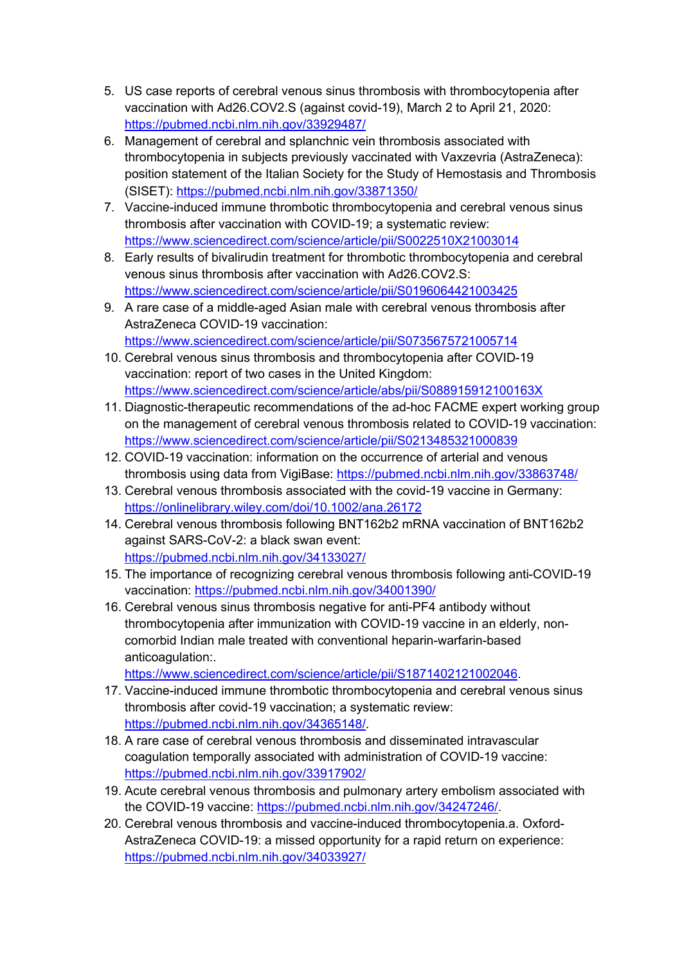- 5. US case reports of cerebral venous sinus thrombosis with thrombocytopenia after vaccination with Ad26.COV2.S (against covid-19), March 2 to April 21, 2020: https://pubmed.ncbi.nlm.nih.gov/33929487/
- 6. Management of cerebral and splanchnic vein thrombosis associated with thrombocytopenia in subjects previously vaccinated with Vaxzevria (AstraZeneca): position statement of the Italian Society for the Study of Hemostasis and Thrombosis (SISET): https://pubmed.ncbi.nlm.nih.gov/33871350/
- 7. Vaccine-induced immune thrombotic thrombocytopenia and cerebral venous sinus thrombosis after vaccination with COVID-19; a systematic review: https://www.sciencedirect.com/science/article/pii/S0022510X21003014
- 8. Early results of bivalirudin treatment for thrombotic thrombocytopenia and cerebral venous sinus thrombosis after vaccination with Ad26.COV2.S: https://www.sciencedirect.com/science/article/pii/S0196064421003425
- 9. A rare case of a middle-aged Asian male with cerebral venous thrombosis after AstraZeneca COVID-19 vaccination: https://www.sciencedirect.com/science/article/pii/S0735675721005714
- 10. Cerebral venous sinus thrombosis and thrombocytopenia after COVID-19 vaccination: report of two cases in the United Kingdom: https://www.sciencedirect.com/science/article/abs/pii/S088915912100163X
- 11. Diagnostic-therapeutic recommendations of the ad-hoc FACME expert working group on the management of cerebral venous thrombosis related to COVID-19 vaccination: https://www.sciencedirect.com/science/article/pii/S0213485321000839
- 12. COVID-19 vaccination: information on the occurrence of arterial and venous thrombosis using data from VigiBase: https://pubmed.ncbi.nlm.nih.gov/33863748/
- 13. Cerebral venous thrombosis associated with the covid-19 vaccine in Germany: https://onlinelibrary.wiley.com/doi/10.1002/ana.26172
- 14. Cerebral venous thrombosis following BNT162b2 mRNA vaccination of BNT162b2 against SARS-CoV-2: a black swan event: https://pubmed.ncbi.nlm.nih.gov/34133027/
- 15. The importance of recognizing cerebral venous thrombosis following anti-COVID-19 vaccination: https://pubmed.ncbi.nlm.nih.gov/34001390/
- 16. Cerebral venous sinus thrombosis negative for anti-PF4 antibody without thrombocytopenia after immunization with COVID-19 vaccine in an elderly, noncomorbid Indian male treated with conventional heparin-warfarin-based anticoagulation:.

https://www.sciencedirect.com/science/article/pii/S1871402121002046.

- 17. Vaccine-induced immune thrombotic thrombocytopenia and cerebral venous sinus thrombosis after covid-19 vaccination; a systematic review: https://pubmed.ncbi.nlm.nih.gov/34365148/.
- 18. A rare case of cerebral venous thrombosis and disseminated intravascular coagulation temporally associated with administration of COVID-19 vaccine: https://pubmed.ncbi.nlm.nih.gov/33917902/
- 19. Acute cerebral venous thrombosis and pulmonary artery embolism associated with the COVID-19 vaccine: https://pubmed.ncbi.nlm.nih.gov/34247246/.
- 20. Cerebral venous thrombosis and vaccine-induced thrombocytopenia.a. Oxford-AstraZeneca COVID-19: a missed opportunity for a rapid return on experience: https://pubmed.ncbi.nlm.nih.gov/34033927/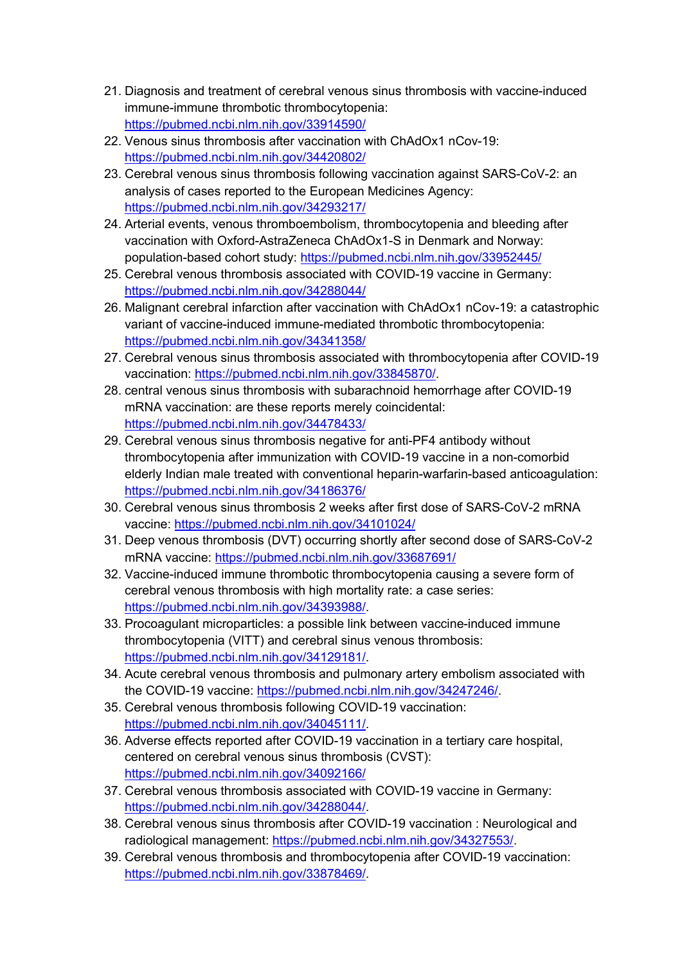- 21. Diagnosis and treatment of cerebral venous sinus thrombosis with vaccine-induced immune-immune thrombotic thrombocytopenia: https://pubmed.ncbi.nlm.nih.gov/33914590/
- 22. Venous sinus thrombosis after vaccination with ChAdOx1 nCov-19: https://pubmed.ncbi.nlm.nih.gov/34420802/
- 23. Cerebral venous sinus thrombosis following vaccination against SARS-CoV-2: an analysis of cases reported to the European Medicines Agency: https://pubmed.ncbi.nlm.nih.gov/34293217/
- 24. Arterial events, venous thromboembolism, thrombocytopenia and bleeding after vaccination with Oxford-AstraZeneca ChAdOx1-S in Denmark and Norway: population-based cohort study: https://pubmed.ncbi.nlm.nih.gov/33952445/
- 25. Cerebral venous thrombosis associated with COVID-19 vaccine in Germany: https://pubmed.ncbi.nlm.nih.gov/34288044/
- 26. Malignant cerebral infarction after vaccination with ChAdOx1 nCov-19: a catastrophic variant of vaccine-induced immune-mediated thrombotic thrombocytopenia: https://pubmed.ncbi.nlm.nih.gov/34341358/
- 27. Cerebral venous sinus thrombosis associated with thrombocytopenia after COVID-19 vaccination: https://pubmed.ncbi.nlm.nih.gov/33845870/.
- 28. central venous sinus thrombosis with subarachnoid hemorrhage after COVID-19 mRNA vaccination: are these reports merely coincidental: https://pubmed.ncbi.nlm.nih.gov/34478433/
- 29. Cerebral venous sinus thrombosis negative for anti-PF4 antibody without thrombocytopenia after immunization with COVID-19 vaccine in a non-comorbid elderly Indian male treated with conventional heparin-warfarin-based anticoagulation: https://pubmed.ncbi.nlm.nih.gov/34186376/
- 30. Cerebral venous sinus thrombosis 2 weeks after first dose of SARS-CoV-2 mRNA vaccine: https://pubmed.ncbi.nlm.nih.gov/34101024/
- 31. Deep venous thrombosis (DVT) occurring shortly after second dose of SARS-CoV-2 mRNA vaccine: https://pubmed.ncbi.nlm.nih.gov/33687691/
- 32. Vaccine-induced immune thrombotic thrombocytopenia causing a severe form of cerebral venous thrombosis with high mortality rate: a case series: https://pubmed.ncbi.nlm.nih.gov/34393988/.
- 33. Procoagulant microparticles: a possible link between vaccine-induced immune thrombocytopenia (VITT) and cerebral sinus venous thrombosis: https://pubmed.ncbi.nlm.nih.gov/34129181/.
- 34. Acute cerebral venous thrombosis and pulmonary artery embolism associated with the COVID-19 vaccine: https://pubmed.ncbi.nlm.nih.gov/34247246/.
- 35. Cerebral venous thrombosis following COVID-19 vaccination: https://pubmed.ncbi.nlm.nih.gov/34045111/.
- 36. Adverse effects reported after COVID-19 vaccination in a tertiary care hospital, centered on cerebral venous sinus thrombosis (CVST): https://pubmed.ncbi.nlm.nih.gov/34092166/
- 37. Cerebral venous thrombosis associated with COVID-19 vaccine in Germany: https://pubmed.ncbi.nlm.nih.gov/34288044/.
- 38. Cerebral venous sinus thrombosis after COVID-19 vaccination : Neurological and radiological management: https://pubmed.ncbi.nlm.nih.gov/34327553/.
- 39. Cerebral venous thrombosis and thrombocytopenia after COVID-19 vaccination: https://pubmed.ncbi.nlm.nih.gov/33878469/.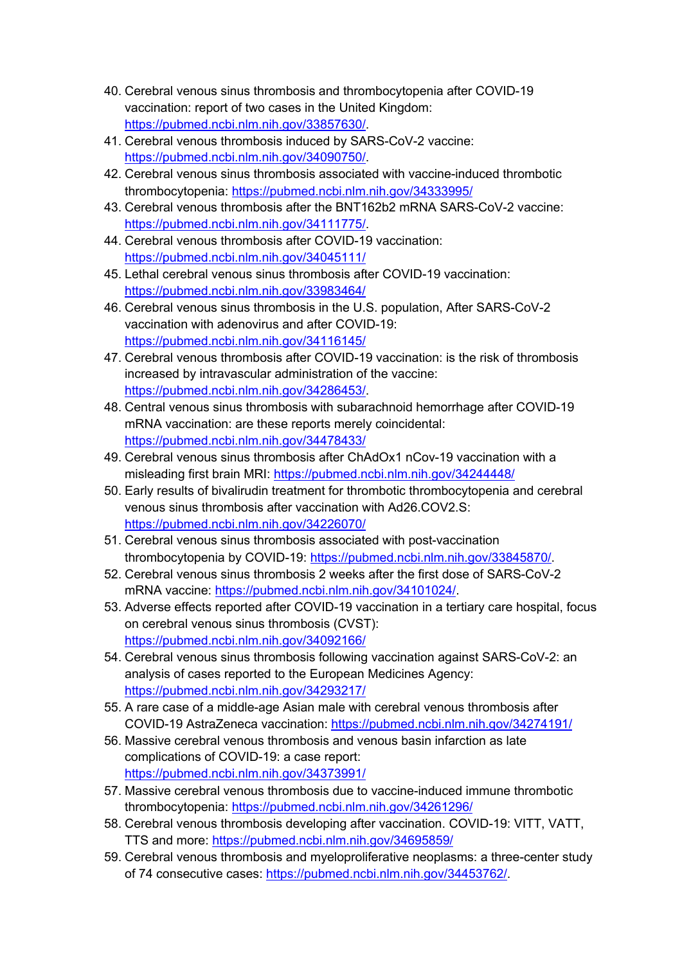- 40. Cerebral venous sinus thrombosis and thrombocytopenia after COVID-19 vaccination: report of two cases in the United Kingdom: https://pubmed.ncbi.nlm.nih.gov/33857630/.
- 41. Cerebral venous thrombosis induced by SARS-CoV-2 vaccine: https://pubmed.ncbi.nlm.nih.gov/34090750/.
- 42. Cerebral venous sinus thrombosis associated with vaccine-induced thrombotic thrombocytopenia: https://pubmed.ncbi.nlm.nih.gov/34333995/
- 43. Cerebral venous thrombosis after the BNT162b2 mRNA SARS-CoV-2 vaccine: https://pubmed.ncbi.nlm.nih.gov/34111775/.
- 44. Cerebral venous thrombosis after COVID-19 vaccination: https://pubmed.ncbi.nlm.nih.gov/34045111/
- 45. Lethal cerebral venous sinus thrombosis after COVID-19 vaccination: https://pubmed.ncbi.nlm.nih.gov/33983464/
- 46. Cerebral venous sinus thrombosis in the U.S. population, After SARS-CoV-2 vaccination with adenovirus and after COVID-19: https://pubmed.ncbi.nlm.nih.gov/34116145/
- 47. Cerebral venous thrombosis after COVID-19 vaccination: is the risk of thrombosis increased by intravascular administration of the vaccine: https://pubmed.ncbi.nlm.nih.gov/34286453/.
- 48. Central venous sinus thrombosis with subarachnoid hemorrhage after COVID-19 mRNA vaccination: are these reports merely coincidental: https://pubmed.ncbi.nlm.nih.gov/34478433/
- 49. Cerebral venous sinus thrombosis after ChAdOx1 nCov-19 vaccination with a misleading first brain MRI: https://pubmed.ncbi.nlm.nih.gov/34244448/
- 50. Early results of bivalirudin treatment for thrombotic thrombocytopenia and cerebral venous sinus thrombosis after vaccination with Ad26.COV2.S: https://pubmed.ncbi.nlm.nih.gov/34226070/
- 51. Cerebral venous sinus thrombosis associated with post-vaccination thrombocytopenia by COVID-19: https://pubmed.ncbi.nlm.nih.gov/33845870/.
- 52. Cerebral venous sinus thrombosis 2 weeks after the first dose of SARS-CoV-2 mRNA vaccine: https://pubmed.ncbi.nlm.nih.gov/34101024/.
- 53. Adverse effects reported after COVID-19 vaccination in a tertiary care hospital, focus on cerebral venous sinus thrombosis (CVST): https://pubmed.ncbi.nlm.nih.gov/34092166/
- 54. Cerebral venous sinus thrombosis following vaccination against SARS-CoV-2: an analysis of cases reported to the European Medicines Agency: https://pubmed.ncbi.nlm.nih.gov/34293217/
- 55. A rare case of a middle-age Asian male with cerebral venous thrombosis after COVID-19 AstraZeneca vaccination: https://pubmed.ncbi.nlm.nih.gov/34274191/
- 56. Massive cerebral venous thrombosis and venous basin infarction as late complications of COVID-19: a case report: https://pubmed.ncbi.nlm.nih.gov/34373991/
- 57. Massive cerebral venous thrombosis due to vaccine-induced immune thrombotic thrombocytopenia: https://pubmed.ncbi.nlm.nih.gov/34261296/
- 58. Cerebral venous thrombosis developing after vaccination. COVID-19: VITT, VATT, TTS and more: https://pubmed.ncbi.nlm.nih.gov/34695859/
- 59. Cerebral venous thrombosis and myeloproliferative neoplasms: a three-center study of 74 consecutive cases: https://pubmed.ncbi.nlm.nih.gov/34453762/.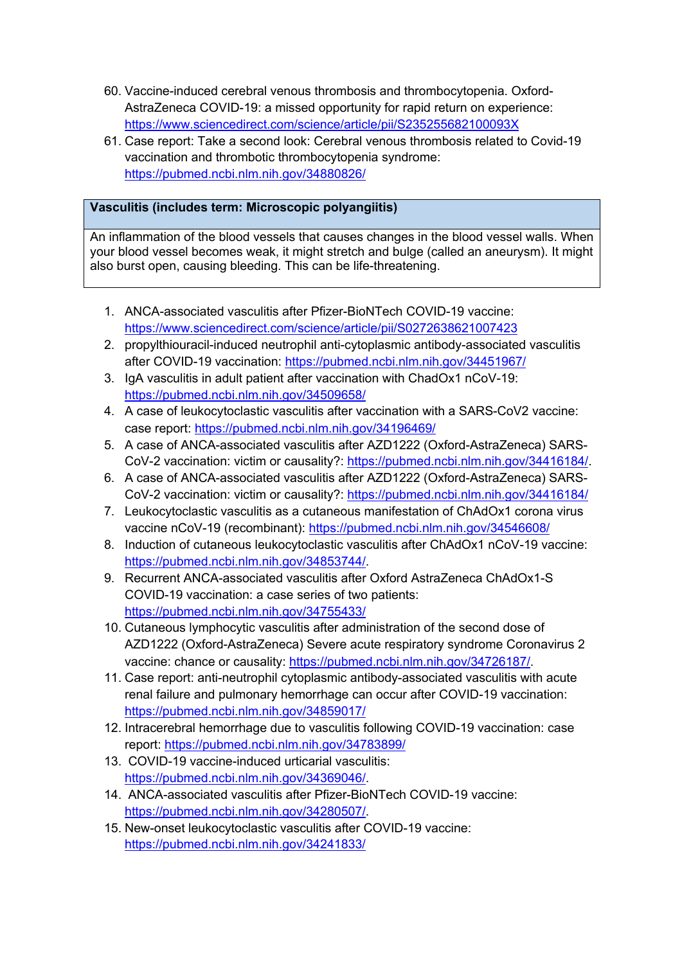- 60. Vaccine-induced cerebral venous thrombosis and thrombocytopenia. Oxford-AstraZeneca COVID-19: a missed opportunity for rapid return on experience: https://www.sciencedirect.com/science/article/pii/S235255682100093X
- 61. Case report: Take a second look: Cerebral venous thrombosis related to Covid-19 vaccination and thrombotic thrombocytopenia syndrome: https://pubmed.ncbi.nlm.nih.gov/34880826/

### **Vasculitis (includes term: Microscopic polyangiitis)**

An inflammation of the blood vessels that causes changes in the blood vessel walls. When your blood vessel becomes weak, it might stretch and bulge (called an aneurysm). It might also burst open, causing bleeding. This can be life-threatening.

- 1. ANCA-associated vasculitis after Pfizer-BioNTech COVID-19 vaccine: https://www.sciencedirect.com/science/article/pii/S0272638621007423
- 2. propylthiouracil-induced neutrophil anti-cytoplasmic antibody-associated vasculitis after COVID-19 vaccination: https://pubmed.ncbi.nlm.nih.gov/34451967/
- 3. IgA vasculitis in adult patient after vaccination with ChadOx1 nCoV-19: https://pubmed.ncbi.nlm.nih.gov/34509658/
- 4. A case of leukocytoclastic vasculitis after vaccination with a SARS-CoV2 vaccine: case report: https://pubmed.ncbi.nlm.nih.gov/34196469/
- 5. A case of ANCA-associated vasculitis after AZD1222 (Oxford-AstraZeneca) SARS-CoV-2 vaccination: victim or causality?: https://pubmed.ncbi.nlm.nih.gov/34416184/.
- 6. A case of ANCA-associated vasculitis after AZD1222 (Oxford-AstraZeneca) SARS-CoV-2 vaccination: victim or causality?: https://pubmed.ncbi.nlm.nih.gov/34416184/
- 7. Leukocytoclastic vasculitis as a cutaneous manifestation of ChAdOx1 corona virus vaccine nCoV-19 (recombinant): https://pubmed.ncbi.nlm.nih.gov/34546608/
- 8. Induction of cutaneous leukocytoclastic vasculitis after ChAdOx1 nCoV-19 vaccine: https://pubmed.ncbi.nlm.nih.gov/34853744/.
- 9. Recurrent ANCA-associated vasculitis after Oxford AstraZeneca ChAdOx1-S COVID-19 vaccination: a case series of two patients: https://pubmed.ncbi.nlm.nih.gov/34755433/
- 10. Cutaneous lymphocytic vasculitis after administration of the second dose of AZD1222 (Oxford-AstraZeneca) Severe acute respiratory syndrome Coronavirus 2 vaccine: chance or causality: https://pubmed.ncbi.nlm.nih.gov/34726187/.
- 11. Case report: anti-neutrophil cytoplasmic antibody-associated vasculitis with acute renal failure and pulmonary hemorrhage can occur after COVID-19 vaccination: https://pubmed.ncbi.nlm.nih.gov/34859017/
- 12. Intracerebral hemorrhage due to vasculitis following COVID-19 vaccination: case report: https://pubmed.ncbi.nlm.nih.gov/34783899/
- 13. COVID-19 vaccine-induced urticarial vasculitis: https://pubmed.ncbi.nlm.nih.gov/34369046/.
- 14. ANCA-associated vasculitis after Pfizer-BioNTech COVID-19 vaccine: https://pubmed.ncbi.nlm.nih.gov/34280507/.
- 15. New-onset leukocytoclastic vasculitis after COVID-19 vaccine: https://pubmed.ncbi.nlm.nih.gov/34241833/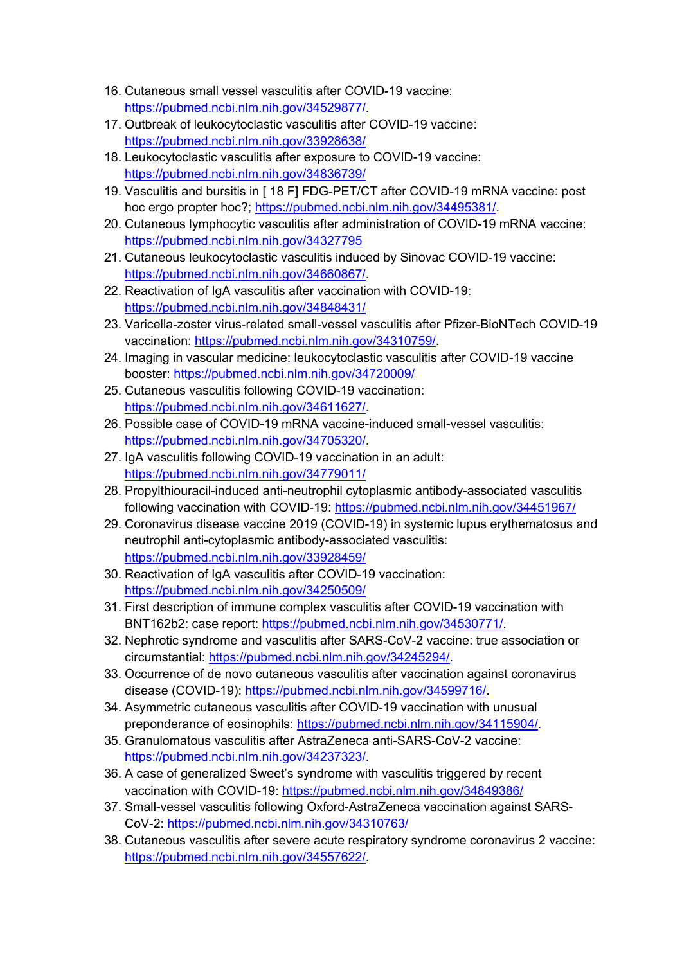- 16. Cutaneous small vessel vasculitis after COVID-19 vaccine: https://pubmed.ncbi.nlm.nih.gov/34529877/.
- 17. Outbreak of leukocytoclastic vasculitis after COVID-19 vaccine: https://pubmed.ncbi.nlm.nih.gov/33928638/
- 18. Leukocytoclastic vasculitis after exposure to COVID-19 vaccine: https://pubmed.ncbi.nlm.nih.gov/34836739/
- 19. Vasculitis and bursitis in [ 18 F] FDG-PET/CT after COVID-19 mRNA vaccine: post hoc ergo propter hoc?; https://pubmed.ncbi.nlm.nih.gov/34495381/.
- 20. Cutaneous lymphocytic vasculitis after administration of COVID-19 mRNA vaccine: https://pubmed.ncbi.nlm.nih.gov/34327795
- 21. Cutaneous leukocytoclastic vasculitis induced by Sinovac COVID-19 vaccine: https://pubmed.ncbi.nlm.nih.gov/34660867/.
- 22. Reactivation of IgA vasculitis after vaccination with COVID-19: https://pubmed.ncbi.nlm.nih.gov/34848431/
- 23. Varicella-zoster virus-related small-vessel vasculitis after Pfizer-BioNTech COVID-19 vaccination: https://pubmed.ncbi.nlm.nih.gov/34310759/.
- 24. Imaging in vascular medicine: leukocytoclastic vasculitis after COVID-19 vaccine booster: https://pubmed.ncbi.nlm.nih.gov/34720009/
- 25. Cutaneous vasculitis following COVID-19 vaccination: https://pubmed.ncbi.nlm.nih.gov/34611627/.
- 26. Possible case of COVID-19 mRNA vaccine-induced small-vessel vasculitis: https://pubmed.ncbi.nlm.nih.gov/34705320/.
- 27. IgA vasculitis following COVID-19 vaccination in an adult: https://pubmed.ncbi.nlm.nih.gov/34779011/
- 28. Propylthiouracil-induced anti-neutrophil cytoplasmic antibody-associated vasculitis following vaccination with COVID-19: https://pubmed.ncbi.nlm.nih.gov/34451967/
- 29. Coronavirus disease vaccine 2019 (COVID-19) in systemic lupus erythematosus and neutrophil anti-cytoplasmic antibody-associated vasculitis: https://pubmed.ncbi.nlm.nih.gov/33928459/
- 30. Reactivation of IgA vasculitis after COVID-19 vaccination: https://pubmed.ncbi.nlm.nih.gov/34250509/
- 31. First description of immune complex vasculitis after COVID-19 vaccination with BNT162b2: case report: https://pubmed.ncbi.nlm.nih.gov/34530771/.
- 32. Nephrotic syndrome and vasculitis after SARS-CoV-2 vaccine: true association or circumstantial: https://pubmed.ncbi.nlm.nih.gov/34245294/.
- 33. Occurrence of de novo cutaneous vasculitis after vaccination against coronavirus disease (COVID-19): https://pubmed.ncbi.nlm.nih.gov/34599716/.
- 34. Asymmetric cutaneous vasculitis after COVID-19 vaccination with unusual preponderance of eosinophils: https://pubmed.ncbi.nlm.nih.gov/34115904/.
- 35. Granulomatous vasculitis after AstraZeneca anti-SARS-CoV-2 vaccine: https://pubmed.ncbi.nlm.nih.gov/34237323/.
- 36. A case of generalized Sweet's syndrome with vasculitis triggered by recent vaccination with COVID-19: https://pubmed.ncbi.nlm.nih.gov/34849386/
- 37. Small-vessel vasculitis following Oxford-AstraZeneca vaccination against SARS-CoV-2: https://pubmed.ncbi.nlm.nih.gov/34310763/
- 38. Cutaneous vasculitis after severe acute respiratory syndrome coronavirus 2 vaccine: https://pubmed.ncbi.nlm.nih.gov/34557622/.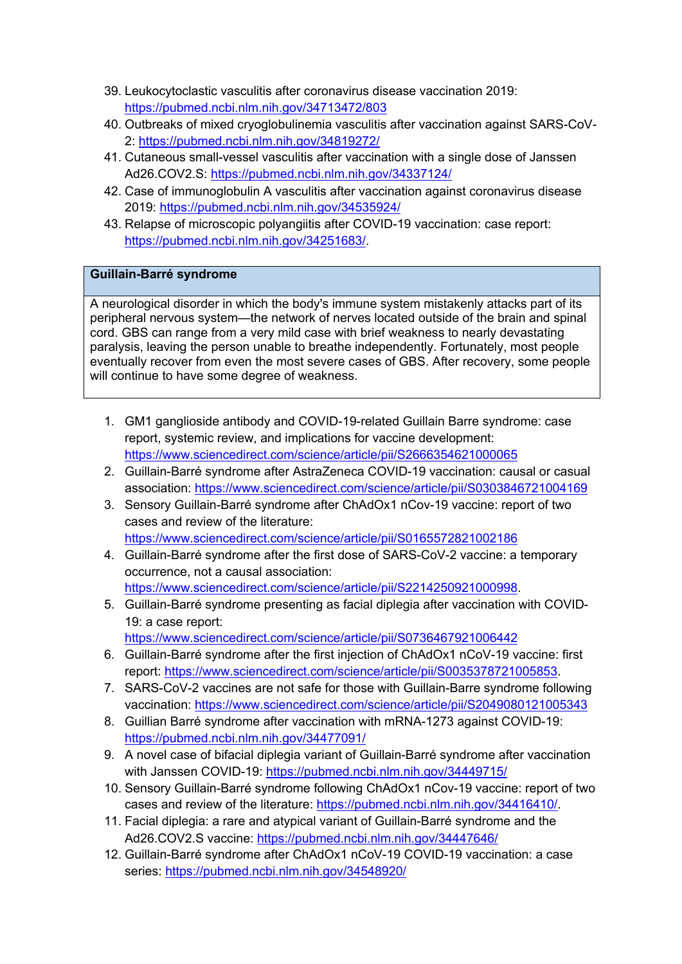- 39. Leukocytoclastic vasculitis after coronavirus disease vaccination 2019: https://pubmed.ncbi.nlm.nih.gov/34713472/803
- 40. Outbreaks of mixed cryoglobulinemia vasculitis after vaccination against SARS-CoV-2: https://pubmed.ncbi.nlm.nih.gov/34819272/
- 41. Cutaneous small-vessel vasculitis after vaccination with a single dose of Janssen Ad26.COV2.S: https://pubmed.ncbi.nlm.nih.gov/34337124/
- 42. Case of immunoglobulin A vasculitis after vaccination against coronavirus disease 2019: https://pubmed.ncbi.nlm.nih.gov/34535924/
- 43. Relapse of microscopic polyangiitis after COVID-19 vaccination: case report: https://pubmed.ncbi.nlm.nih.gov/34251683/.

### **Guillain-Barré syndrome**

A neurological disorder in which the body's immune system mistakenly attacks part of its peripheral nervous system—the network of nerves located outside of the brain and spinal cord. GBS can range from a very mild case with brief weakness to nearly devastating paralysis, leaving the person unable to breathe independently. Fortunately, most people eventually recover from even the most severe cases of GBS. After recovery, some people will continue to have some degree of weakness.

- 1. GM1 ganglioside antibody and COVID-19-related Guillain Barre syndrome: case report, systemic review, and implications for vaccine development: https://www.sciencedirect.com/science/article/pii/S2666354621000065
- 2. Guillain-Barré syndrome after AstraZeneca COVID-19 vaccination: causal or casual association: https://www.sciencedirect.com/science/article/pii/S0303846721004169
- 3. Sensory Guillain-Barré syndrome after ChAdOx1 nCov-19 vaccine: report of two cases and review of the literature: https://www.sciencedirect.com/science/article/pii/S0165572821002186
- 4. Guillain-Barré syndrome after the first dose of SARS-CoV-2 vaccine: a temporary occurrence, not a causal association: https://www.sciencedirect.com/science/article/pii/S2214250921000998.
- 5. Guillain-Barré syndrome presenting as facial diplegia after vaccination with COVID-19: a case report: https://www.sciencedirect.com/science/article/pii/S0736467921006442
- 6. Guillain-Barré syndrome after the first injection of ChAdOx1 nCoV-19 vaccine: first report: https://www.sciencedirect.com/science/article/pii/S0035378721005853.
- 7. SARS-CoV-2 vaccines are not safe for those with Guillain-Barre syndrome following vaccination: https://www.sciencedirect.com/science/article/pii/S2049080121005343
- 8. Guillian Barré syndrome after vaccination with mRNA-1273 against COVID-19: https://pubmed.ncbi.nlm.nih.gov/34477091/
- 9. A novel case of bifacial diplegia variant of Guillain-Barré syndrome after vaccination with Janssen COVID-19: https://pubmed.ncbi.nlm.nih.gov/34449715/
- 10. Sensory Guillain-Barré syndrome following ChAdOx1 nCov-19 vaccine: report of two cases and review of the literature: https://pubmed.ncbi.nlm.nih.gov/34416410/.
- 11. Facial diplegia: a rare and atypical variant of Guillain-Barré syndrome and the Ad26.COV2.S vaccine: https://pubmed.ncbi.nlm.nih.gov/34447646/
- 12. Guillain-Barré syndrome after ChAdOx1 nCoV-19 COVID-19 vaccination: a case series: https://pubmed.ncbi.nlm.nih.gov/34548920/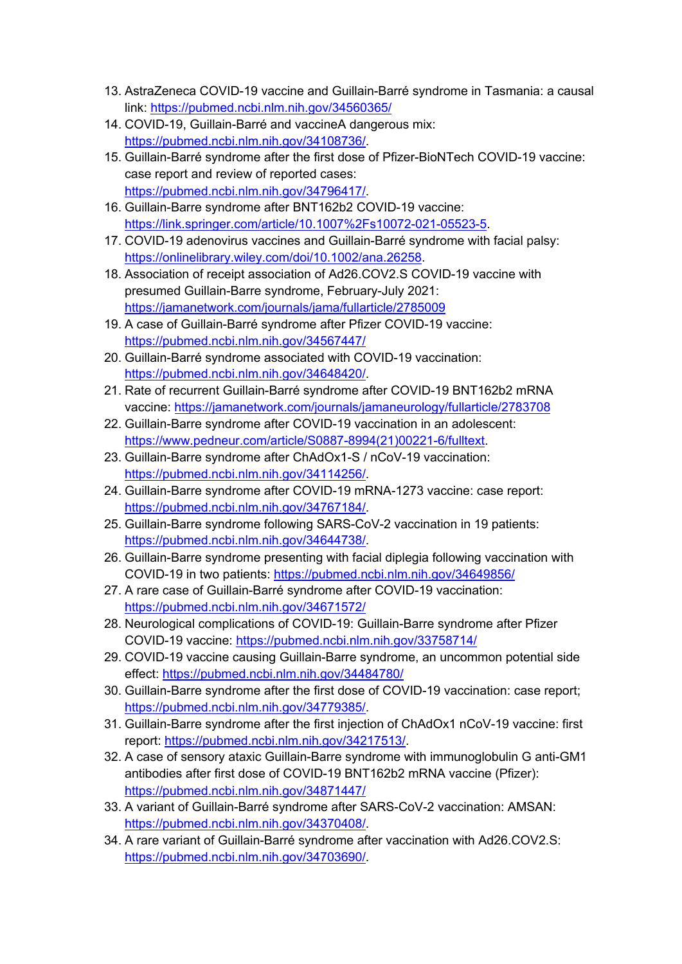- 13. AstraZeneca COVID-19 vaccine and Guillain-Barré syndrome in Tasmania: a causal link: https://pubmed.ncbi.nlm.nih.gov/34560365/
- 14. COVID-19, Guillain-Barré and vaccineA dangerous mix: https://pubmed.ncbi.nlm.nih.gov/34108736/.
- 15. Guillain-Barré syndrome after the first dose of Pfizer-BioNTech COVID-19 vaccine: case report and review of reported cases: https://pubmed.ncbi.nlm.nih.gov/34796417/.
- 16. Guillain-Barre syndrome after BNT162b2 COVID-19 vaccine: https://link.springer.com/article/10.1007%2Fs10072-021-05523-5.
- 17. COVID-19 adenovirus vaccines and Guillain-Barré syndrome with facial palsy: https://onlinelibrary.wiley.com/doi/10.1002/ana.26258.
- 18. Association of receipt association of Ad26.COV2.S COVID-19 vaccine with presumed Guillain-Barre syndrome, February-July 2021: https://jamanetwork.com/journals/jama/fullarticle/2785009
- 19. A case of Guillain-Barré syndrome after Pfizer COVID-19 vaccine: https://pubmed.ncbi.nlm.nih.gov/34567447/
- 20. Guillain-Barré syndrome associated with COVID-19 vaccination: https://pubmed.ncbi.nlm.nih.gov/34648420/.
- 21. Rate of recurrent Guillain-Barré syndrome after COVID-19 BNT162b2 mRNA vaccine: https://jamanetwork.com/journals/jamaneurology/fullarticle/2783708
- 22. Guillain-Barre syndrome after COVID-19 vaccination in an adolescent: https://www.pedneur.com/article/S0887-8994(21)00221-6/fulltext.
- 23. Guillain-Barre syndrome after ChAdOx1-S / nCoV-19 vaccination: https://pubmed.ncbi.nlm.nih.gov/34114256/.
- 24. Guillain-Barre syndrome after COVID-19 mRNA-1273 vaccine: case report: https://pubmed.ncbi.nlm.nih.gov/34767184/.
- 25. Guillain-Barre syndrome following SARS-CoV-2 vaccination in 19 patients: https://pubmed.ncbi.nlm.nih.gov/34644738/.
- 26. Guillain-Barre syndrome presenting with facial diplegia following vaccination with COVID-19 in two patients: https://pubmed.ncbi.nlm.nih.gov/34649856/
- 27. A rare case of Guillain-Barré syndrome after COVID-19 vaccination: https://pubmed.ncbi.nlm.nih.gov/34671572/
- 28. Neurological complications of COVID-19: Guillain-Barre syndrome after Pfizer COVID-19 vaccine: https://pubmed.ncbi.nlm.nih.gov/33758714/
- 29. COVID-19 vaccine causing Guillain-Barre syndrome, an uncommon potential side effect: https://pubmed.ncbi.nlm.nih.gov/34484780/
- 30. Guillain-Barre syndrome after the first dose of COVID-19 vaccination: case report; https://pubmed.ncbi.nlm.nih.gov/34779385/.
- 31. Guillain-Barre syndrome after the first injection of ChAdOx1 nCoV-19 vaccine: first report: https://pubmed.ncbi.nlm.nih.gov/34217513/.
- 32. A case of sensory ataxic Guillain-Barre syndrome with immunoglobulin G anti-GM1 antibodies after first dose of COVID-19 BNT162b2 mRNA vaccine (Pfizer): https://pubmed.ncbi.nlm.nih.gov/34871447/
- 33. A variant of Guillain-Barré syndrome after SARS-CoV-2 vaccination: AMSAN: https://pubmed.ncbi.nlm.nih.gov/34370408/.
- 34. A rare variant of Guillain-Barré syndrome after vaccination with Ad26.COV2.S: https://pubmed.ncbi.nlm.nih.gov/34703690/.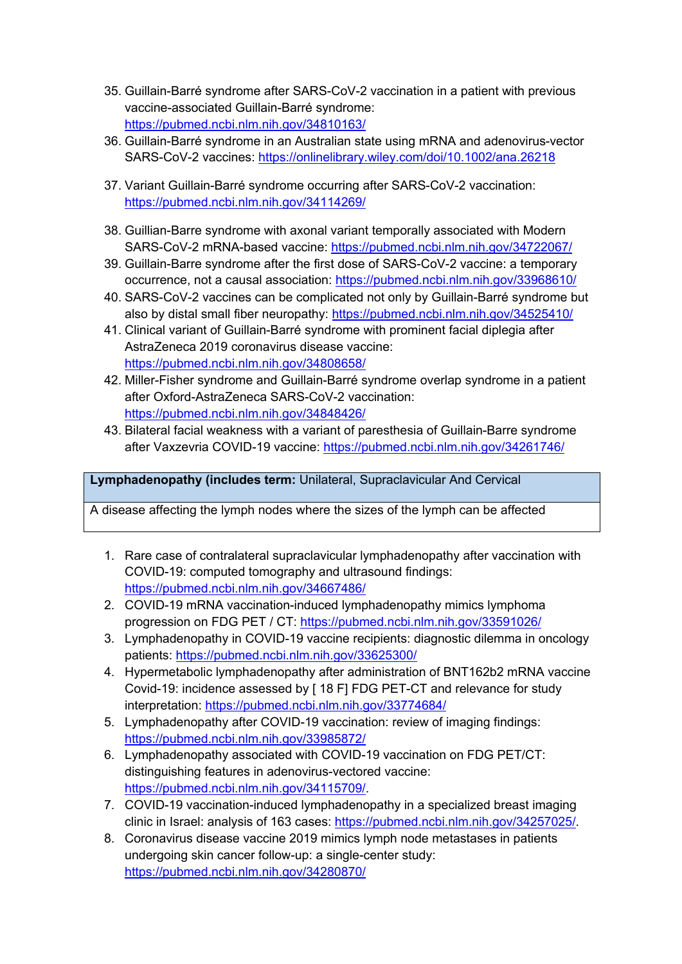- 35. Guillain-Barré syndrome after SARS-CoV-2 vaccination in a patient with previous vaccine-associated Guillain-Barré syndrome: https://pubmed.ncbi.nlm.nih.gov/34810163/
- 36. Guillain-Barré syndrome in an Australian state using mRNA and adenovirus-vector SARS-CoV-2 vaccines: https://onlinelibrary.wiley.com/doi/10.1002/ana.26218
- 37. Variant Guillain-Barré syndrome occurring after SARS-CoV-2 vaccination: https://pubmed.ncbi.nlm.nih.gov/34114269/
- 38. Guillian-Barre syndrome with axonal variant temporally associated with Modern SARS-CoV-2 mRNA-based vaccine: https://pubmed.ncbi.nlm.nih.gov/34722067/
- 39. Guillain-Barre syndrome after the first dose of SARS-CoV-2 vaccine: a temporary occurrence, not a causal association: https://pubmed.ncbi.nlm.nih.gov/33968610/
- 40. SARS-CoV-2 vaccines can be complicated not only by Guillain-Barré syndrome but also by distal small fiber neuropathy: https://pubmed.ncbi.nlm.nih.gov/34525410/
- 41. Clinical variant of Guillain-Barré syndrome with prominent facial diplegia after AstraZeneca 2019 coronavirus disease vaccine: https://pubmed.ncbi.nlm.nih.gov/34808658/
- 42. Miller-Fisher syndrome and Guillain-Barré syndrome overlap syndrome in a patient after Oxford-AstraZeneca SARS-CoV-2 vaccination: https://pubmed.ncbi.nlm.nih.gov/34848426/
- 43. Bilateral facial weakness with a variant of paresthesia of Guillain-Barre syndrome after Vaxzevria COVID-19 vaccine: https://pubmed.ncbi.nlm.nih.gov/34261746/

**Lymphadenopathy (includes term:** Unilateral, Supraclavicular And Cervical

A disease affecting the lymph nodes where the sizes of the lymph can be affected

- 1. Rare case of contralateral supraclavicular lymphadenopathy after vaccination with COVID-19: computed tomography and ultrasound findings: https://pubmed.ncbi.nlm.nih.gov/34667486/
- 2. COVID-19 mRNA vaccination-induced lymphadenopathy mimics lymphoma progression on FDG PET / CT: https://pubmed.ncbi.nlm.nih.gov/33591026/
- 3. Lymphadenopathy in COVID-19 vaccine recipients: diagnostic dilemma in oncology patients: https://pubmed.ncbi.nlm.nih.gov/33625300/
- 4. Hypermetabolic lymphadenopathy after administration of BNT162b2 mRNA vaccine Covid-19: incidence assessed by [ 18 F] FDG PET-CT and relevance for study interpretation: https://pubmed.ncbi.nlm.nih.gov/33774684/
- 5. Lymphadenopathy after COVID-19 vaccination: review of imaging findings: https://pubmed.ncbi.nlm.nih.gov/33985872/
- 6. Lymphadenopathy associated with COVID-19 vaccination on FDG PET/CT: distinguishing features in adenovirus-vectored vaccine: https://pubmed.ncbi.nlm.nih.gov/34115709/.
- 7. COVID-19 vaccination-induced lymphadenopathy in a specialized breast imaging clinic in Israel: analysis of 163 cases: https://pubmed.ncbi.nlm.nih.gov/34257025/.
- 8. Coronavirus disease vaccine 2019 mimics lymph node metastases in patients undergoing skin cancer follow-up: a single-center study: https://pubmed.ncbi.nlm.nih.gov/34280870/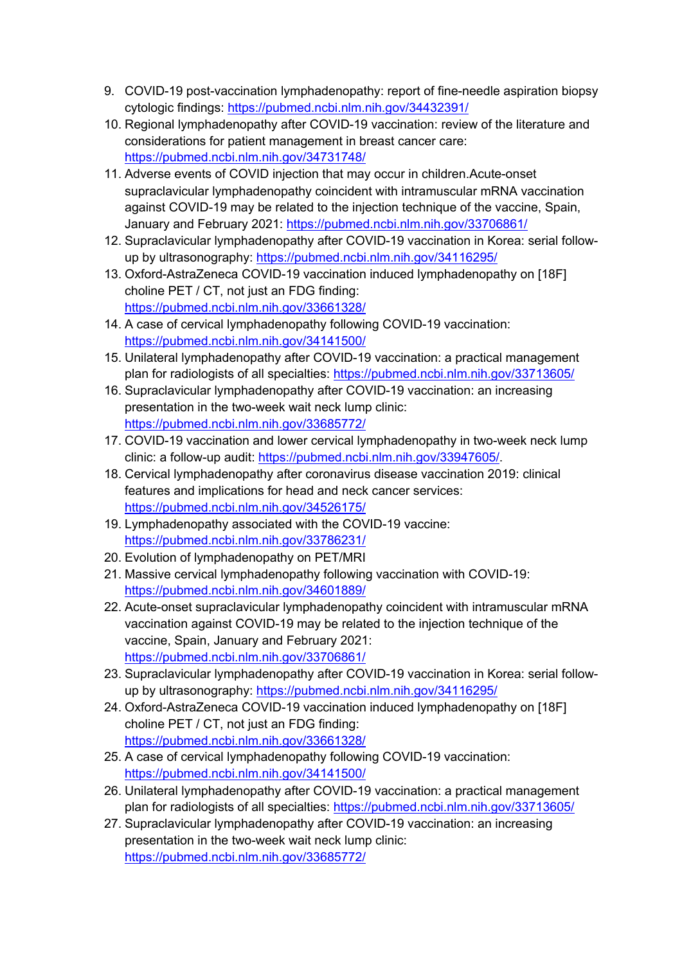- 9. COVID-19 post-vaccination lymphadenopathy: report of fine-needle aspiration biopsy cytologic findings: https://pubmed.ncbi.nlm.nih.gov/34432391/
- 10. Regional lymphadenopathy after COVID-19 vaccination: review of the literature and considerations for patient management in breast cancer care: https://pubmed.ncbi.nlm.nih.gov/34731748/
- 11. Adverse events of COVID injection that may occur in children.Acute-onset supraclavicular lymphadenopathy coincident with intramuscular mRNA vaccination against COVID-19 may be related to the injection technique of the vaccine, Spain, January and February 2021: https://pubmed.ncbi.nlm.nih.gov/33706861/
- 12. Supraclavicular lymphadenopathy after COVID-19 vaccination in Korea: serial followup by ultrasonography: https://pubmed.ncbi.nlm.nih.gov/34116295/
- 13. Oxford-AstraZeneca COVID-19 vaccination induced lymphadenopathy on [18F] choline PET / CT, not just an FDG finding: https://pubmed.ncbi.nlm.nih.gov/33661328/
- 14. A case of cervical lymphadenopathy following COVID-19 vaccination: https://pubmed.ncbi.nlm.nih.gov/34141500/
- 15. Unilateral lymphadenopathy after COVID-19 vaccination: a practical management plan for radiologists of all specialties: https://pubmed.ncbi.nlm.nih.gov/33713605/
- 16. Supraclavicular lymphadenopathy after COVID-19 vaccination: an increasing presentation in the two-week wait neck lump clinic: https://pubmed.ncbi.nlm.nih.gov/33685772/
- 17. COVID-19 vaccination and lower cervical lymphadenopathy in two-week neck lump clinic: a follow-up audit: https://pubmed.ncbi.nlm.nih.gov/33947605/.
- 18. Cervical lymphadenopathy after coronavirus disease vaccination 2019: clinical features and implications for head and neck cancer services: https://pubmed.ncbi.nlm.nih.gov/34526175/
- 19. Lymphadenopathy associated with the COVID-19 vaccine: https://pubmed.ncbi.nlm.nih.gov/33786231/
- 20. Evolution of lymphadenopathy on PET/MRI
- 21. Massive cervical lymphadenopathy following vaccination with COVID-19: https://pubmed.ncbi.nlm.nih.gov/34601889/
- 22. Acute-onset supraclavicular lymphadenopathy coincident with intramuscular mRNA vaccination against COVID-19 may be related to the injection technique of the vaccine, Spain, January and February 2021: https://pubmed.ncbi.nlm.nih.gov/33706861/
- 23. Supraclavicular lymphadenopathy after COVID-19 vaccination in Korea: serial followup by ultrasonography: https://pubmed.ncbi.nlm.nih.gov/34116295/
- 24. Oxford-AstraZeneca COVID-19 vaccination induced lymphadenopathy on [18F] choline PET / CT, not just an FDG finding: https://pubmed.ncbi.nlm.nih.gov/33661328/
- 25. A case of cervical lymphadenopathy following COVID-19 vaccination: https://pubmed.ncbi.nlm.nih.gov/34141500/
- 26. Unilateral lymphadenopathy after COVID-19 vaccination: a practical management plan for radiologists of all specialties: https://pubmed.ncbi.nlm.nih.gov/33713605/
- 27. Supraclavicular lymphadenopathy after COVID-19 vaccination: an increasing presentation in the two-week wait neck lump clinic: https://pubmed.ncbi.nlm.nih.gov/33685772/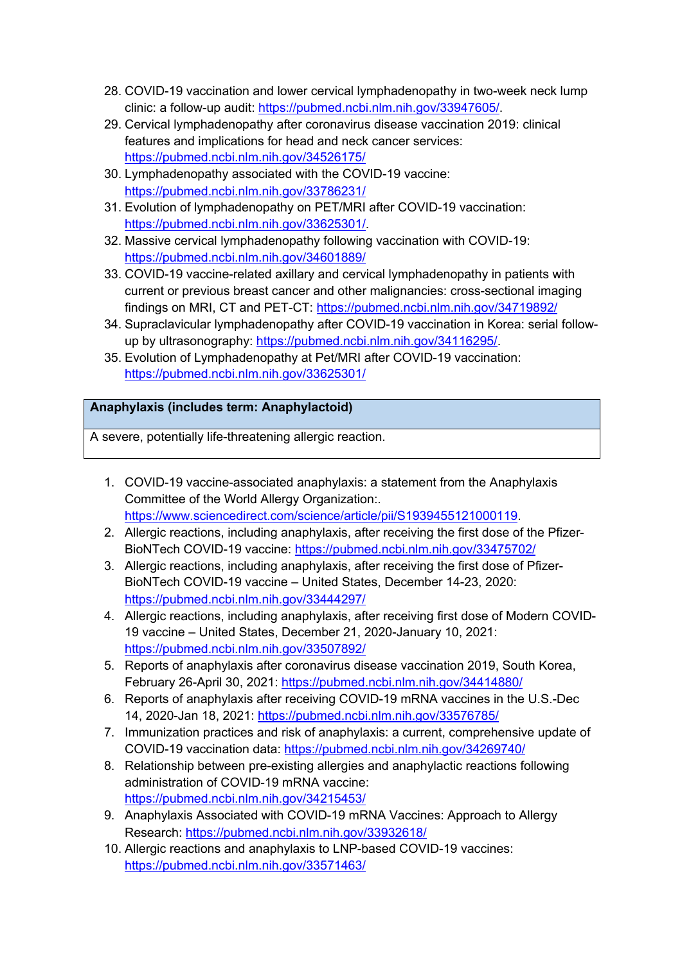- 28. COVID-19 vaccination and lower cervical lymphadenopathy in two-week neck lump clinic: a follow-up audit: https://pubmed.ncbi.nlm.nih.gov/33947605/.
- 29. Cervical lymphadenopathy after coronavirus disease vaccination 2019: clinical features and implications for head and neck cancer services: https://pubmed.ncbi.nlm.nih.gov/34526175/
- 30. Lymphadenopathy associated with the COVID-19 vaccine: https://pubmed.ncbi.nlm.nih.gov/33786231/
- 31. Evolution of lymphadenopathy on PET/MRI after COVID-19 vaccination: https://pubmed.ncbi.nlm.nih.gov/33625301/.
- 32. Massive cervical lymphadenopathy following vaccination with COVID-19: https://pubmed.ncbi.nlm.nih.gov/34601889/
- 33. COVID-19 vaccine-related axillary and cervical lymphadenopathy in patients with current or previous breast cancer and other malignancies: cross-sectional imaging findings on MRI, CT and PET-CT: https://pubmed.ncbi.nlm.nih.gov/34719892/
- 34. Supraclavicular lymphadenopathy after COVID-19 vaccination in Korea: serial followup by ultrasonography: https://pubmed.ncbi.nlm.nih.gov/34116295/.
- 35. Evolution of Lymphadenopathy at Pet/MRI after COVID-19 vaccination: https://pubmed.ncbi.nlm.nih.gov/33625301/

## **Anaphylaxis (includes term: Anaphylactoid)**

A severe, potentially life-threatening allergic reaction.

- 1. COVID-19 vaccine-associated anaphylaxis: a statement from the Anaphylaxis Committee of the World Allergy Organization:. https://www.sciencedirect.com/science/article/pii/S1939455121000119.
- 2. Allergic reactions, including anaphylaxis, after receiving the first dose of the Pfizer-BioNTech COVID-19 vaccine: https://pubmed.ncbi.nlm.nih.gov/33475702/
- 3. Allergic reactions, including anaphylaxis, after receiving the first dose of Pfizer-BioNTech COVID-19 vaccine – United States, December 14-23, 2020: https://pubmed.ncbi.nlm.nih.gov/33444297/
- 4. Allergic reactions, including anaphylaxis, after receiving first dose of Modern COVID-19 vaccine – United States, December 21, 2020-January 10, 2021: https://pubmed.ncbi.nlm.nih.gov/33507892/
- 5. Reports of anaphylaxis after coronavirus disease vaccination 2019, South Korea, February 26-April 30, 2021: https://pubmed.ncbi.nlm.nih.gov/34414880/
- 6. Reports of anaphylaxis after receiving COVID-19 mRNA vaccines in the U.S.-Dec 14, 2020-Jan 18, 2021: https://pubmed.ncbi.nlm.nih.gov/33576785/
- 7. Immunization practices and risk of anaphylaxis: a current, comprehensive update of COVID-19 vaccination data: https://pubmed.ncbi.nlm.nih.gov/34269740/
- 8. Relationship between pre-existing allergies and anaphylactic reactions following administration of COVID-19 mRNA vaccine: https://pubmed.ncbi.nlm.nih.gov/34215453/
- 9. Anaphylaxis Associated with COVID-19 mRNA Vaccines: Approach to Allergy Research: https://pubmed.ncbi.nlm.nih.gov/33932618/
- 10. Allergic reactions and anaphylaxis to LNP-based COVID-19 vaccines: https://pubmed.ncbi.nlm.nih.gov/33571463/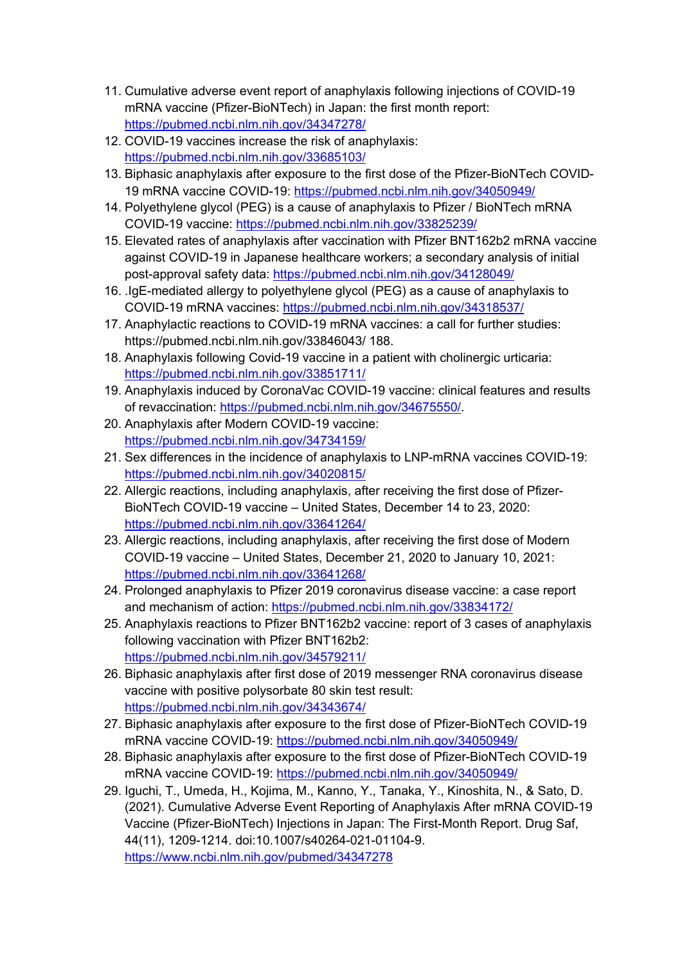- 11. Cumulative adverse event report of anaphylaxis following injections of COVID-19 mRNA vaccine (Pfizer-BioNTech) in Japan: the first month report: https://pubmed.ncbi.nlm.nih.gov/34347278/
- 12. COVID-19 vaccines increase the risk of anaphylaxis: https://pubmed.ncbi.nlm.nih.gov/33685103/
- 13. Biphasic anaphylaxis after exposure to the first dose of the Pfizer-BioNTech COVID-19 mRNA vaccine COVID-19: https://pubmed.ncbi.nlm.nih.gov/34050949/
- 14. Polyethylene glycol (PEG) is a cause of anaphylaxis to Pfizer / BioNTech mRNA COVID-19 vaccine: https://pubmed.ncbi.nlm.nih.gov/33825239/
- 15. Elevated rates of anaphylaxis after vaccination with Pfizer BNT162b2 mRNA vaccine against COVID-19 in Japanese healthcare workers; a secondary analysis of initial post-approval safety data: https://pubmed.ncbi.nlm.nih.gov/34128049/
- 16. .IgE-mediated allergy to polyethylene glycol (PEG) as a cause of anaphylaxis to COVID-19 mRNA vaccines: https://pubmed.ncbi.nlm.nih.gov/34318537/
- 17. Anaphylactic reactions to COVID-19 mRNA vaccines: a call for further studies: https://pubmed.ncbi.nlm.nih.gov/33846043/ 188.
- 18. Anaphylaxis following Covid-19 vaccine in a patient with cholinergic urticaria: https://pubmed.ncbi.nlm.nih.gov/33851711/
- 19. Anaphylaxis induced by CoronaVac COVID-19 vaccine: clinical features and results of revaccination: https://pubmed.ncbi.nlm.nih.gov/34675550/.
- 20. Anaphylaxis after Modern COVID-19 vaccine: https://pubmed.ncbi.nlm.nih.gov/34734159/
- 21. Sex differences in the incidence of anaphylaxis to LNP-mRNA vaccines COVID-19: https://pubmed.ncbi.nlm.nih.gov/34020815/
- 22. Allergic reactions, including anaphylaxis, after receiving the first dose of Pfizer-BioNTech COVID-19 vaccine – United States, December 14 to 23, 2020: https://pubmed.ncbi.nlm.nih.gov/33641264/
- 23. Allergic reactions, including anaphylaxis, after receiving the first dose of Modern COVID-19 vaccine – United States, December 21, 2020 to January 10, 2021: https://pubmed.ncbi.nlm.nih.gov/33641268/
- 24. Prolonged anaphylaxis to Pfizer 2019 coronavirus disease vaccine: a case report and mechanism of action: https://pubmed.ncbi.nlm.nih.gov/33834172/
- 25. Anaphylaxis reactions to Pfizer BNT162b2 vaccine: report of 3 cases of anaphylaxis following vaccination with Pfizer BNT162b2: https://pubmed.ncbi.nlm.nih.gov/34579211/
- 26. Biphasic anaphylaxis after first dose of 2019 messenger RNA coronavirus disease vaccine with positive polysorbate 80 skin test result: https://pubmed.ncbi.nlm.nih.gov/34343674/
- 27. Biphasic anaphylaxis after exposure to the first dose of Pfizer-BioNTech COVID-19 mRNA vaccine COVID-19: https://pubmed.ncbi.nlm.nih.gov/34050949/
- 28. Biphasic anaphylaxis after exposure to the first dose of Pfizer-BioNTech COVID-19 mRNA vaccine COVID-19: https://pubmed.ncbi.nlm.nih.gov/34050949/
- 29. Iguchi, T., Umeda, H., Kojima, M., Kanno, Y., Tanaka, Y., Kinoshita, N., & Sato, D. (2021). Cumulative Adverse Event Reporting of Anaphylaxis After mRNA COVID-19 Vaccine (Pfizer-BioNTech) Injections in Japan: The First-Month Report. Drug Saf, 44(11), 1209-1214. doi:10.1007/s40264-021-01104-9. https://www.ncbi.nlm.nih.gov/pubmed/34347278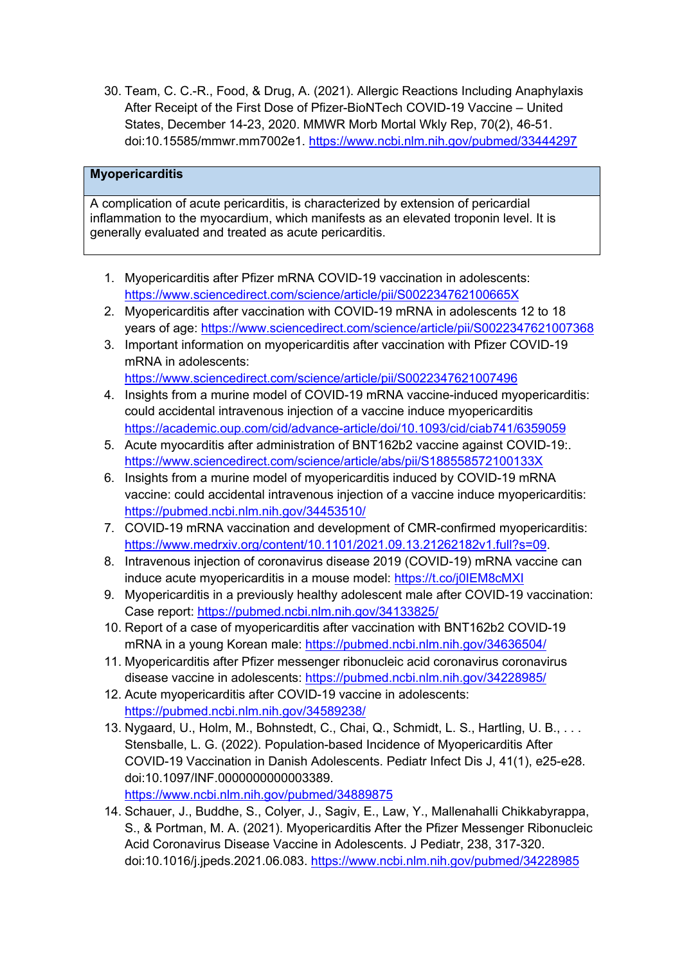30. Team, C. C.-R., Food, & Drug, A. (2021). Allergic Reactions Including Anaphylaxis After Receipt of the First Dose of Pfizer-BioNTech COVID-19 Vaccine – United States, December 14-23, 2020. MMWR Morb Mortal Wkly Rep, 70(2), 46-51. doi:10.15585/mmwr.mm7002e1. https://www.ncbi.nlm.nih.gov/pubmed/33444297

### **Myopericarditis**

A complication of acute pericarditis, is characterized by extension of pericardial inflammation to the myocardium, which manifests as an elevated troponin level. It is generally evaluated and treated as acute pericarditis.

- 1. Myopericarditis after Pfizer mRNA COVID-19 vaccination in adolescents: https://www.sciencedirect.com/science/article/pii/S002234762100665X
- 2. Myopericarditis after vaccination with COVID-19 mRNA in adolescents 12 to 18 years of age: https://www.sciencedirect.com/science/article/pii/S0022347621007368
- 3. Important information on myopericarditis after vaccination with Pfizer COVID-19 mRNA in adolescents: https://www.sciencedirect.com/science/article/pii/S0022347621007496
- 4. Insights from a murine model of COVID-19 mRNA vaccine-induced myopericarditis: could accidental intravenous injection of a vaccine induce myopericarditis https://academic.oup.com/cid/advance-article/doi/10.1093/cid/ciab741/6359059
- 5. Acute myocarditis after administration of BNT162b2 vaccine against COVID-19:. https://www.sciencedirect.com/science/article/abs/pii/S188558572100133X
- 6. Insights from a murine model of myopericarditis induced by COVID-19 mRNA vaccine: could accidental intravenous injection of a vaccine induce myopericarditis: https://pubmed.ncbi.nlm.nih.gov/34453510/
- 7. COVID-19 mRNA vaccination and development of CMR-confirmed myopericarditis: https://www.medrxiv.org/content/10.1101/2021.09.13.21262182v1.full?s=09.
- 8. Intravenous injection of coronavirus disease 2019 (COVID-19) mRNA vaccine can induce acute myopericarditis in a mouse model: https://t.co/j0IEM8cMXI
- 9. Myopericarditis in a previously healthy adolescent male after COVID-19 vaccination: Case report: https://pubmed.ncbi.nlm.nih.gov/34133825/
- 10. Report of a case of myopericarditis after vaccination with BNT162b2 COVID-19 mRNA in a young Korean male: https://pubmed.ncbi.nlm.nih.gov/34636504/
- 11. Myopericarditis after Pfizer messenger ribonucleic acid coronavirus coronavirus disease vaccine in adolescents: https://pubmed.ncbi.nlm.nih.gov/34228985/
- 12. Acute myopericarditis after COVID-19 vaccine in adolescents: https://pubmed.ncbi.nlm.nih.gov/34589238/
- 13. Nygaard, U., Holm, M., Bohnstedt, C., Chai, Q., Schmidt, L. S., Hartling, U. B., . . . Stensballe, L. G. (2022). Population-based Incidence of Myopericarditis After COVID-19 Vaccination in Danish Adolescents. Pediatr Infect Dis J, 41(1), e25-e28. doi:10.1097/INF.0000000000003389.

https://www.ncbi.nlm.nih.gov/pubmed/34889875

14. Schauer, J., Buddhe, S., Colyer, J., Sagiv, E., Law, Y., Mallenahalli Chikkabyrappa, S., & Portman, M. A. (2021). Myopericarditis After the Pfizer Messenger Ribonucleic Acid Coronavirus Disease Vaccine in Adolescents. J Pediatr, 238, 317-320. doi:10.1016/j.jpeds.2021.06.083. https://www.ncbi.nlm.nih.gov/pubmed/34228985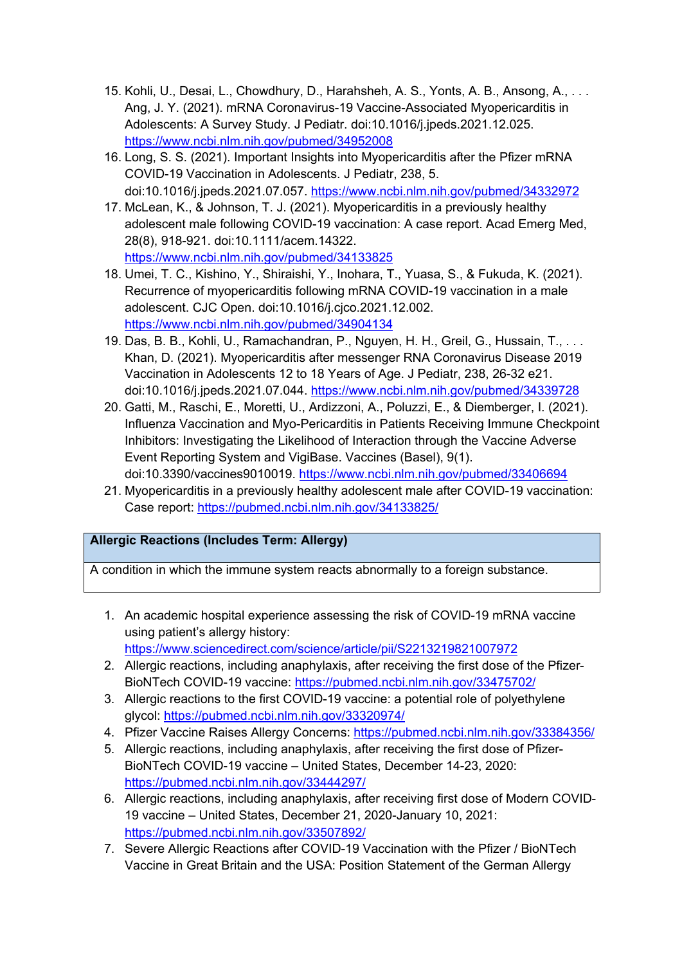- 15. Kohli, U., Desai, L., Chowdhury, D., Harahsheh, A. S., Yonts, A. B., Ansong, A., . . . Ang, J. Y. (2021). mRNA Coronavirus-19 Vaccine-Associated Myopericarditis in Adolescents: A Survey Study. J Pediatr. doi:10.1016/j.jpeds.2021.12.025. https://www.ncbi.nlm.nih.gov/pubmed/34952008
- 16. Long, S. S. (2021). Important Insights into Myopericarditis after the Pfizer mRNA COVID-19 Vaccination in Adolescents. J Pediatr, 238, 5. doi:10.1016/j.jpeds.2021.07.057. https://www.ncbi.nlm.nih.gov/pubmed/34332972
- 17. McLean, K., & Johnson, T. J. (2021). Myopericarditis in a previously healthy adolescent male following COVID-19 vaccination: A case report. Acad Emerg Med, 28(8), 918-921. doi:10.1111/acem.14322. https://www.ncbi.nlm.nih.gov/pubmed/34133825
- 18. Umei, T. C., Kishino, Y., Shiraishi, Y., Inohara, T., Yuasa, S., & Fukuda, K. (2021). Recurrence of myopericarditis following mRNA COVID-19 vaccination in a male adolescent. CJC Open. doi:10.1016/j.cjco.2021.12.002. https://www.ncbi.nlm.nih.gov/pubmed/34904134
- 19. Das, B. B., Kohli, U., Ramachandran, P., Nguyen, H. H., Greil, G., Hussain, T., . . . Khan, D. (2021). Myopericarditis after messenger RNA Coronavirus Disease 2019 Vaccination in Adolescents 12 to 18 Years of Age. J Pediatr, 238, 26-32 e21. doi:10.1016/j.jpeds.2021.07.044. https://www.ncbi.nlm.nih.gov/pubmed/34339728
- 20. Gatti, M., Raschi, E., Moretti, U., Ardizzoni, A., Poluzzi, E., & Diemberger, I. (2021). Influenza Vaccination and Myo-Pericarditis in Patients Receiving Immune Checkpoint Inhibitors: Investigating the Likelihood of Interaction through the Vaccine Adverse Event Reporting System and VigiBase. Vaccines (Basel), 9(1). doi:10.3390/vaccines9010019. https://www.ncbi.nlm.nih.gov/pubmed/33406694
- 21. Myopericarditis in a previously healthy adolescent male after COVID-19 vaccination: Case report: https://pubmed.ncbi.nlm.nih.gov/34133825/

## **Allergic Reactions (Includes Term: Allergy)**

A condition in which the immune system reacts abnormally to a foreign substance.

- 1. An academic hospital experience assessing the risk of COVID-19 mRNA vaccine using patient's allergy history: https://www.sciencedirect.com/science/article/pii/S2213219821007972
- 2. Allergic reactions, including anaphylaxis, after receiving the first dose of the Pfizer-BioNTech COVID-19 vaccine: https://pubmed.ncbi.nlm.nih.gov/33475702/
- 3. Allergic reactions to the first COVID-19 vaccine: a potential role of polyethylene glycol: https://pubmed.ncbi.nlm.nih.gov/33320974/
- 4. Pfizer Vaccine Raises Allergy Concerns: https://pubmed.ncbi.nlm.nih.gov/33384356/
- 5. Allergic reactions, including anaphylaxis, after receiving the first dose of Pfizer-BioNTech COVID-19 vaccine – United States, December 14-23, 2020: https://pubmed.ncbi.nlm.nih.gov/33444297/
- 6. Allergic reactions, including anaphylaxis, after receiving first dose of Modern COVID-19 vaccine – United States, December 21, 2020-January 10, 2021: https://pubmed.ncbi.nlm.nih.gov/33507892/
- 7. Severe Allergic Reactions after COVID-19 Vaccination with the Pfizer / BioNTech Vaccine in Great Britain and the USA: Position Statement of the German Allergy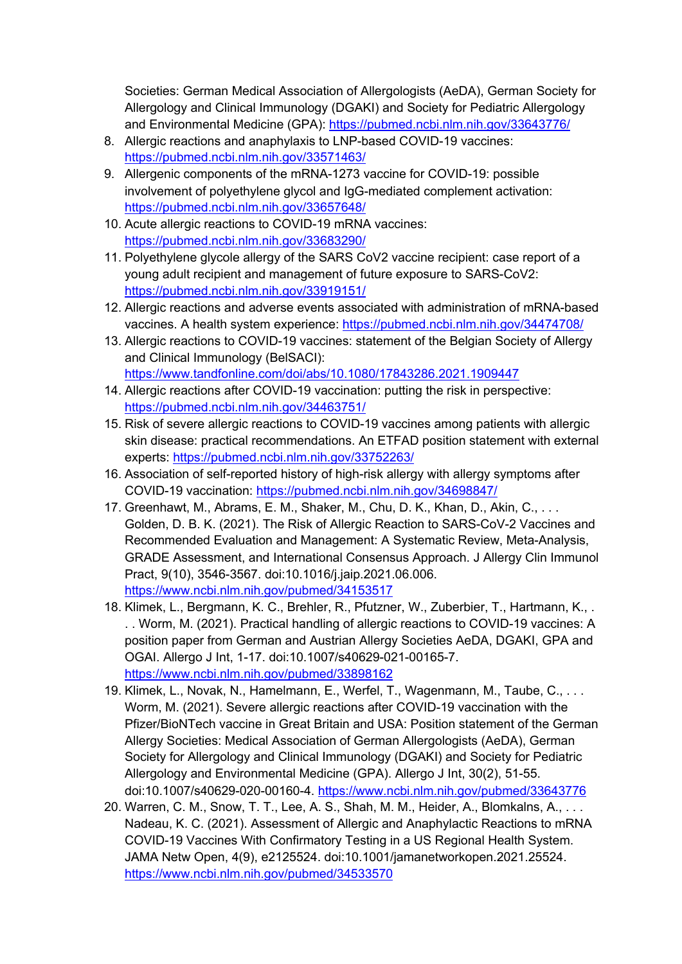Societies: German Medical Association of Allergologists (AeDA), German Society for Allergology and Clinical Immunology (DGAKI) and Society for Pediatric Allergology and Environmental Medicine (GPA): https://pubmed.ncbi.nlm.nih.gov/33643776/

- 8. Allergic reactions and anaphylaxis to LNP-based COVID-19 vaccines: https://pubmed.ncbi.nlm.nih.gov/33571463/
- 9. Allergenic components of the mRNA-1273 vaccine for COVID-19: possible involvement of polyethylene glycol and IgG-mediated complement activation: https://pubmed.ncbi.nlm.nih.gov/33657648/
- 10. Acute allergic reactions to COVID-19 mRNA vaccines: https://pubmed.ncbi.nlm.nih.gov/33683290/
- 11. Polyethylene glycole allergy of the SARS CoV2 vaccine recipient: case report of a young adult recipient and management of future exposure to SARS-CoV2: https://pubmed.ncbi.nlm.nih.gov/33919151/
- 12. Allergic reactions and adverse events associated with administration of mRNA-based vaccines. A health system experience: https://pubmed.ncbi.nlm.nih.gov/34474708/
- 13. Allergic reactions to COVID-19 vaccines: statement of the Belgian Society of Allergy and Clinical Immunology (BelSACI): https://www.tandfonline.com/doi/abs/10.1080/17843286.2021.1909447
- 14. Allergic reactions after COVID-19 vaccination: putting the risk in perspective: https://pubmed.ncbi.nlm.nih.gov/34463751/
- 15. Risk of severe allergic reactions to COVID-19 vaccines among patients with allergic skin disease: practical recommendations. An ETFAD position statement with external experts: https://pubmed.ncbi.nlm.nih.gov/33752263/
- 16. Association of self-reported history of high-risk allergy with allergy symptoms after COVID-19 vaccination: https://pubmed.ncbi.nlm.nih.gov/34698847/
- 17. Greenhawt, M., Abrams, E. M., Shaker, M., Chu, D. K., Khan, D., Akin, C., . . . Golden, D. B. K. (2021). The Risk of Allergic Reaction to SARS-CoV-2 Vaccines and Recommended Evaluation and Management: A Systematic Review, Meta-Analysis, GRADE Assessment, and International Consensus Approach. J Allergy Clin Immunol Pract, 9(10), 3546-3567. doi:10.1016/j.jaip.2021.06.006. https://www.ncbi.nlm.nih.gov/pubmed/34153517
- 18. Klimek, L., Bergmann, K. C., Brehler, R., Pfutzner, W., Zuberbier, T., Hartmann, K., . . . Worm, M. (2021). Practical handling of allergic reactions to COVID-19 vaccines: A position paper from German and Austrian Allergy Societies AeDA, DGAKI, GPA and OGAI. Allergo J Int, 1-17. doi:10.1007/s40629-021-00165-7. https://www.ncbi.nlm.nih.gov/pubmed/33898162
- 19. Klimek, L., Novak, N., Hamelmann, E., Werfel, T., Wagenmann, M., Taube, C., . . . Worm, M. (2021). Severe allergic reactions after COVID-19 vaccination with the Pfizer/BioNTech vaccine in Great Britain and USA: Position statement of the German Allergy Societies: Medical Association of German Allergologists (AeDA), German Society for Allergology and Clinical Immunology (DGAKI) and Society for Pediatric Allergology and Environmental Medicine (GPA). Allergo J Int, 30(2), 51-55. doi:10.1007/s40629-020-00160-4. https://www.ncbi.nlm.nih.gov/pubmed/33643776
- 20. Warren, C. M., Snow, T. T., Lee, A. S., Shah, M. M., Heider, A., Blomkalns, A., . . . Nadeau, K. C. (2021). Assessment of Allergic and Anaphylactic Reactions to mRNA COVID-19 Vaccines With Confirmatory Testing in a US Regional Health System. JAMA Netw Open, 4(9), e2125524. doi:10.1001/jamanetworkopen.2021.25524. https://www.ncbi.nlm.nih.gov/pubmed/34533570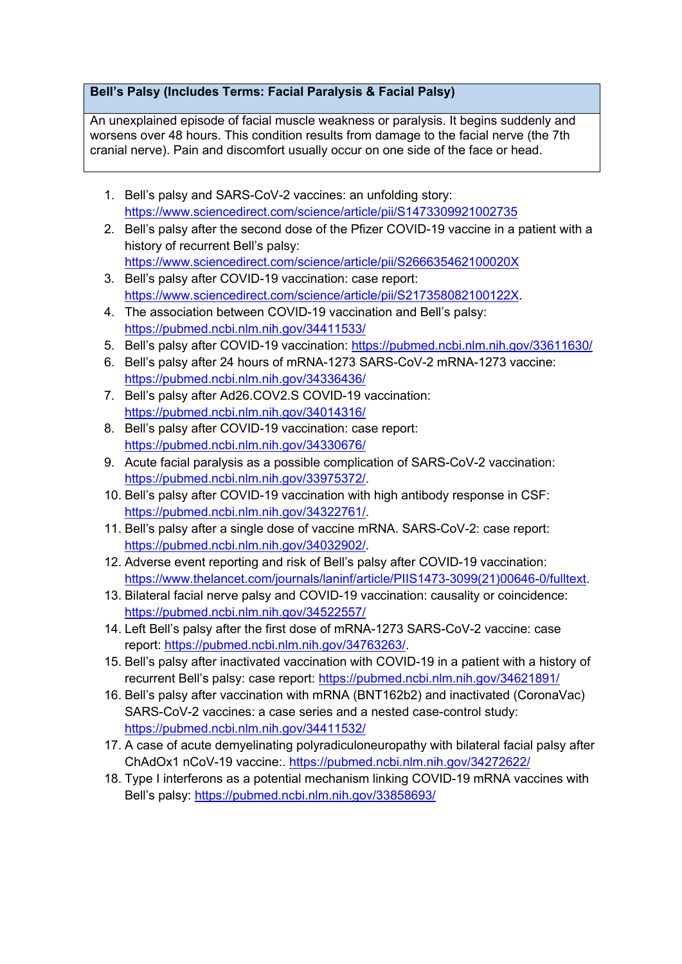## **Bell's Palsy (Includes Terms: Facial Paralysis & Facial Palsy)**

An unexplained episode of facial muscle weakness or paralysis. It begins suddenly and worsens over 48 hours. This condition results from damage to the facial nerve (the 7th cranial nerve). Pain and discomfort usually occur on one side of the face or head.

- 1. Bell's palsy and SARS-CoV-2 vaccines: an unfolding story: https://www.sciencedirect.com/science/article/pii/S1473309921002735
- 2. Bell's palsy after the second dose of the Pfizer COVID-19 vaccine in a patient with a history of recurrent Bell's palsy: https://www.sciencedirect.com/science/article/pii/S266635462100020X
- 3. Bell's palsy after COVID-19 vaccination: case report: https://www.sciencedirect.com/science/article/pii/S217358082100122X.
- 4. The association between COVID-19 vaccination and Bell's palsy: https://pubmed.ncbi.nlm.nih.gov/34411533/
- 5. Bell's palsy after COVID-19 vaccination: https://pubmed.ncbi.nlm.nih.gov/33611630/
- 6. Bell's palsy after 24 hours of mRNA-1273 SARS-CoV-2 mRNA-1273 vaccine: https://pubmed.ncbi.nlm.nih.gov/34336436/
- 7. Bell's palsy after Ad26.COV2.S COVID-19 vaccination: https://pubmed.ncbi.nlm.nih.gov/34014316/
- 8. Bell's palsy after COVID-19 vaccination: case report: https://pubmed.ncbi.nlm.nih.gov/34330676/
- 9. Acute facial paralysis as a possible complication of SARS-CoV-2 vaccination: https://pubmed.ncbi.nlm.nih.gov/33975372/.
- 10. Bell's palsy after COVID-19 vaccination with high antibody response in CSF: https://pubmed.ncbi.nlm.nih.gov/34322761/.
- 11. Bell's palsy after a single dose of vaccine mRNA. SARS-CoV-2: case report: https://pubmed.ncbi.nlm.nih.gov/34032902/.
- 12. Adverse event reporting and risk of Bell's palsy after COVID-19 vaccination: https://www.thelancet.com/journals/laninf/article/PIIS1473-3099(21)00646-0/fulltext.
- 13. Bilateral facial nerve palsy and COVID-19 vaccination: causality or coincidence: https://pubmed.ncbi.nlm.nih.gov/34522557/
- 14. Left Bell's palsy after the first dose of mRNA-1273 SARS-CoV-2 vaccine: case report: https://pubmed.ncbi.nlm.nih.gov/34763263/.
- 15. Bell's palsy after inactivated vaccination with COVID-19 in a patient with a history of recurrent Bell's palsy: case report: https://pubmed.ncbi.nlm.nih.gov/34621891/
- 16. Bell's palsy after vaccination with mRNA (BNT162b2) and inactivated (CoronaVac) SARS-CoV-2 vaccines: a case series and a nested case-control study: https://pubmed.ncbi.nlm.nih.gov/34411532/
- 17. A case of acute demyelinating polyradiculoneuropathy with bilateral facial palsy after ChAdOx1 nCoV-19 vaccine:. https://pubmed.ncbi.nlm.nih.gov/34272622/
- 18. Type I interferons as a potential mechanism linking COVID-19 mRNA vaccines with Bell's palsy: https://pubmed.ncbi.nlm.nih.gov/33858693/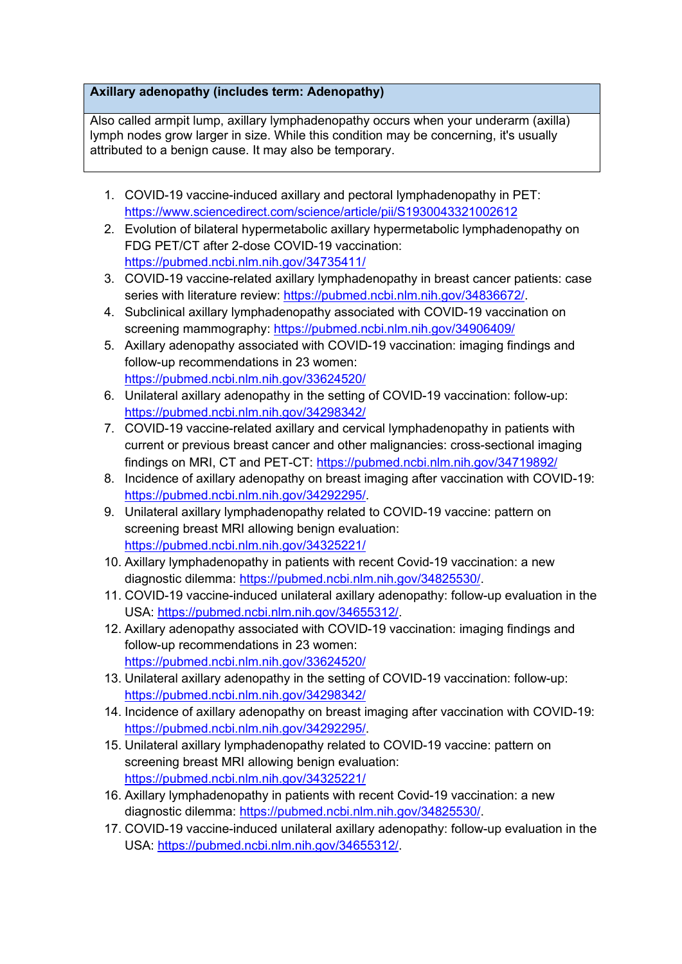## **Axillary adenopathy (includes term: Adenopathy)**

Also called armpit lump, axillary lymphadenopathy occurs when your underarm (axilla) lymph nodes grow larger in size. While this condition may be concerning, it's usually attributed to a benign cause. It may also be temporary.

- 1. COVID-19 vaccine-induced axillary and pectoral lymphadenopathy in PET: https://www.sciencedirect.com/science/article/pii/S1930043321002612
- 2. Evolution of bilateral hypermetabolic axillary hypermetabolic lymphadenopathy on FDG PET/CT after 2-dose COVID-19 vaccination: https://pubmed.ncbi.nlm.nih.gov/34735411/
- 3. COVID-19 vaccine-related axillary lymphadenopathy in breast cancer patients: case series with literature review: https://pubmed.ncbi.nlm.nih.gov/34836672/.
- 4. Subclinical axillary lymphadenopathy associated with COVID-19 vaccination on screening mammography: https://pubmed.ncbi.nlm.nih.gov/34906409/
- 5. Axillary adenopathy associated with COVID-19 vaccination: imaging findings and follow-up recommendations in 23 women: https://pubmed.ncbi.nlm.nih.gov/33624520/
- 6. Unilateral axillary adenopathy in the setting of COVID-19 vaccination: follow-up: https://pubmed.ncbi.nlm.nih.gov/34298342/
- 7. COVID-19 vaccine-related axillary and cervical lymphadenopathy in patients with current or previous breast cancer and other malignancies: cross-sectional imaging findings on MRI, CT and PET-CT: https://pubmed.ncbi.nlm.nih.gov/34719892/
- 8. Incidence of axillary adenopathy on breast imaging after vaccination with COVID-19: https://pubmed.ncbi.nlm.nih.gov/34292295/.
- 9. Unilateral axillary lymphadenopathy related to COVID-19 vaccine: pattern on screening breast MRI allowing benign evaluation: https://pubmed.ncbi.nlm.nih.gov/34325221/
- 10. Axillary lymphadenopathy in patients with recent Covid-19 vaccination: a new diagnostic dilemma: https://pubmed.ncbi.nlm.nih.gov/34825530/.
- 11. COVID-19 vaccine-induced unilateral axillary adenopathy: follow-up evaluation in the USA: https://pubmed.ncbi.nlm.nih.gov/34655312/.
- 12. Axillary adenopathy associated with COVID-19 vaccination: imaging findings and follow-up recommendations in 23 women: https://pubmed.ncbi.nlm.nih.gov/33624520/
- 13. Unilateral axillary adenopathy in the setting of COVID-19 vaccination: follow-up: https://pubmed.ncbi.nlm.nih.gov/34298342/
- 14. Incidence of axillary adenopathy on breast imaging after vaccination with COVID-19: https://pubmed.ncbi.nlm.nih.gov/34292295/.
- 15. Unilateral axillary lymphadenopathy related to COVID-19 vaccine: pattern on screening breast MRI allowing benign evaluation: https://pubmed.ncbi.nlm.nih.gov/34325221/
- 16. Axillary lymphadenopathy in patients with recent Covid-19 vaccination: a new diagnostic dilemma: https://pubmed.ncbi.nlm.nih.gov/34825530/.
- 17. COVID-19 vaccine-induced unilateral axillary adenopathy: follow-up evaluation in the USA: https://pubmed.ncbi.nlm.nih.gov/34655312/.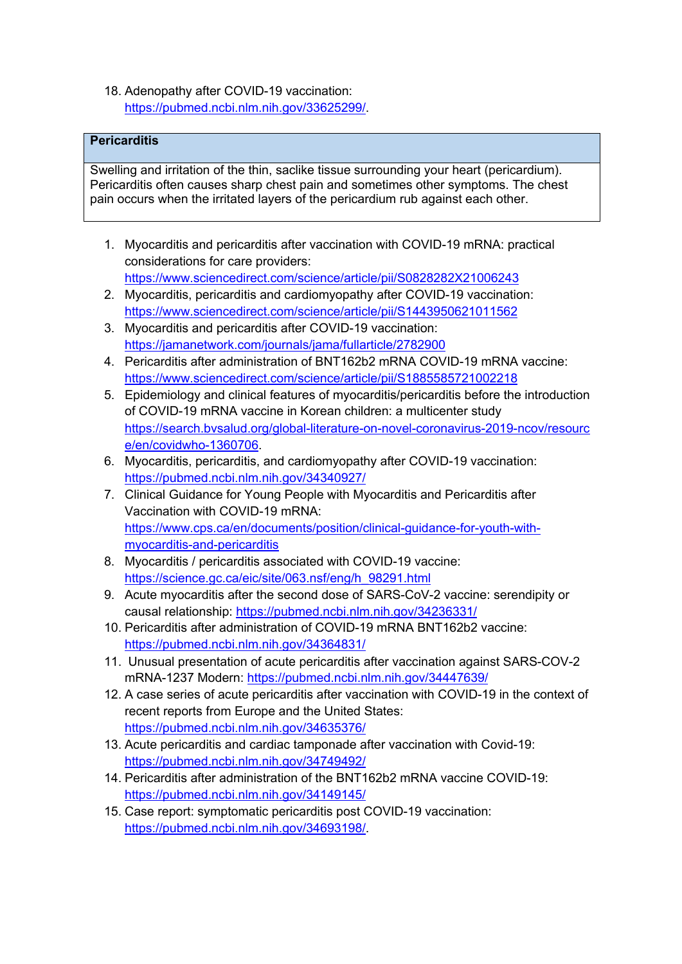18. Adenopathy after COVID-19 vaccination: https://pubmed.ncbi.nlm.nih.gov/33625299/.

# **Pericarditis**

Swelling and irritation of the thin, saclike tissue surrounding your heart (pericardium). Pericarditis often causes sharp chest pain and sometimes other symptoms. The chest pain occurs when the irritated layers of the pericardium rub against each other.

1. Myocarditis and pericarditis after vaccination with COVID-19 mRNA: practical considerations for care providers:

https://www.sciencedirect.com/science/article/pii/S0828282X21006243

- 2. Myocarditis, pericarditis and cardiomyopathy after COVID-19 vaccination: https://www.sciencedirect.com/science/article/pii/S1443950621011562
- 3. Myocarditis and pericarditis after COVID-19 vaccination: https://jamanetwork.com/journals/jama/fullarticle/2782900
- 4. Pericarditis after administration of BNT162b2 mRNA COVID-19 mRNA vaccine: https://www.sciencedirect.com/science/article/pii/S1885585721002218
- 5. Epidemiology and clinical features of myocarditis/pericarditis before the introduction of COVID-19 mRNA vaccine in Korean children: a multicenter study https://search.bvsalud.org/global-literature-on-novel-coronavirus-2019-ncov/resourc e/en/covidwho-1360706.
- 6. Myocarditis, pericarditis, and cardiomyopathy after COVID-19 vaccination: https://pubmed.ncbi.nlm.nih.gov/34340927/
- 7. Clinical Guidance for Young People with Myocarditis and Pericarditis after Vaccination with COVID-19 mRNA: https://www.cps.ca/en/documents/position/clinical-guidance-for-youth-withmyocarditis-and-pericarditis
- 8. Myocarditis / pericarditis associated with COVID-19 vaccine: https://science.gc.ca/eic/site/063.nsf/eng/h\_98291.html
- 9. Acute myocarditis after the second dose of SARS-CoV-2 vaccine: serendipity or causal relationship: https://pubmed.ncbi.nlm.nih.gov/34236331/
- 10. Pericarditis after administration of COVID-19 mRNA BNT162b2 vaccine: https://pubmed.ncbi.nlm.nih.gov/34364831/
- 11. Unusual presentation of acute pericarditis after vaccination against SARS-COV-2 mRNA-1237 Modern: https://pubmed.ncbi.nlm.nih.gov/34447639/
- 12. A case series of acute pericarditis after vaccination with COVID-19 in the context of recent reports from Europe and the United States: https://pubmed.ncbi.nlm.nih.gov/34635376/
- 13. Acute pericarditis and cardiac tamponade after vaccination with Covid-19: https://pubmed.ncbi.nlm.nih.gov/34749492/
- 14. Pericarditis after administration of the BNT162b2 mRNA vaccine COVID-19: https://pubmed.ncbi.nlm.nih.gov/34149145/
- 15. Case report: symptomatic pericarditis post COVID-19 vaccination: https://pubmed.ncbi.nlm.nih.gov/34693198/.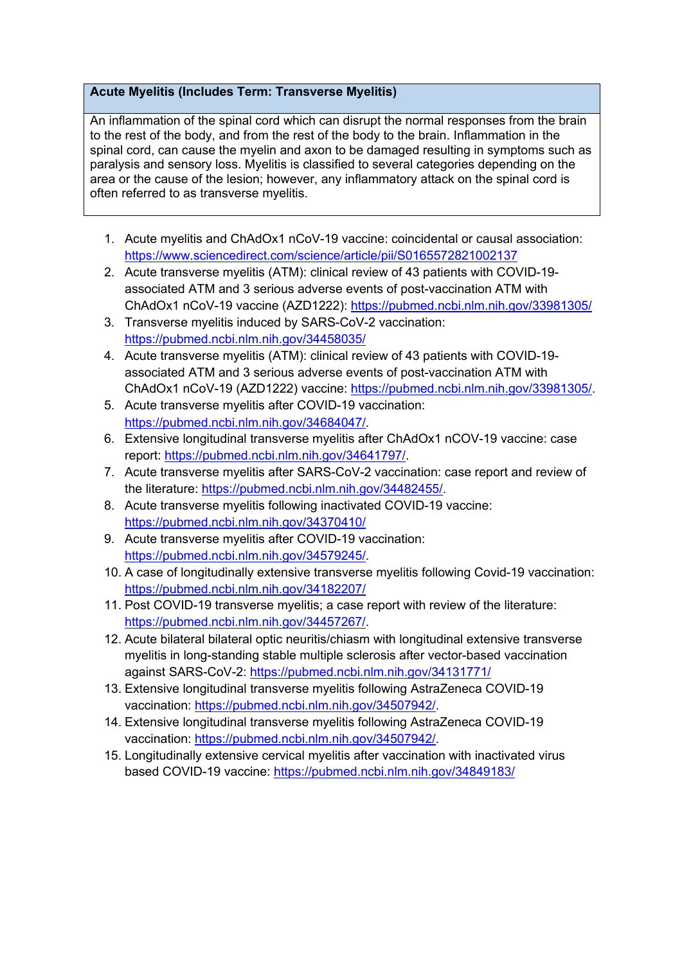## **Acute Myelitis (Includes Term: Transverse Myelitis)**

An inflammation of the spinal cord which can disrupt the normal responses from the brain to the rest of the body, and from the rest of the body to the brain. Inflammation in the spinal cord, can cause the myelin and axon to be damaged resulting in symptoms such as paralysis and sensory loss. Myelitis is classified to several categories depending on the area or the cause of the lesion; however, any inflammatory attack on the spinal cord is often referred to as transverse myelitis.

- 1. Acute myelitis and ChAdOx1 nCoV-19 vaccine: coincidental or causal association: https://www.sciencedirect.com/science/article/pii/S0165572821002137
- 2. Acute transverse myelitis (ATM): clinical review of 43 patients with COVID-19 associated ATM and 3 serious adverse events of post-vaccination ATM with ChAdOx1 nCoV-19 vaccine (AZD1222): https://pubmed.ncbi.nlm.nih.gov/33981305/
- 3. Transverse myelitis induced by SARS-CoV-2 vaccination: https://pubmed.ncbi.nlm.nih.gov/34458035/
- 4. Acute transverse myelitis (ATM): clinical review of 43 patients with COVID-19 associated ATM and 3 serious adverse events of post-vaccination ATM with ChAdOx1 nCoV-19 (AZD1222) vaccine: https://pubmed.ncbi.nlm.nih.gov/33981305/.
- 5. Acute transverse myelitis after COVID-19 vaccination: https://pubmed.ncbi.nlm.nih.gov/34684047/.
- 6. Extensive longitudinal transverse myelitis after ChAdOx1 nCOV-19 vaccine: case report: https://pubmed.ncbi.nlm.nih.gov/34641797/.
- 7. Acute transverse myelitis after SARS-CoV-2 vaccination: case report and review of the literature: https://pubmed.ncbi.nlm.nih.gov/34482455/.
- 8. Acute transverse myelitis following inactivated COVID-19 vaccine: https://pubmed.ncbi.nlm.nih.gov/34370410/
- 9. Acute transverse myelitis after COVID-19 vaccination: https://pubmed.ncbi.nlm.nih.gov/34579245/.
- 10. A case of longitudinally extensive transverse myelitis following Covid-19 vaccination: https://pubmed.ncbi.nlm.nih.gov/34182207/
- 11. Post COVID-19 transverse myelitis; a case report with review of the literature: https://pubmed.ncbi.nlm.nih.gov/34457267/.
- 12. Acute bilateral bilateral optic neuritis/chiasm with longitudinal extensive transverse myelitis in long-standing stable multiple sclerosis after vector-based vaccination against SARS-CoV-2: https://pubmed.ncbi.nlm.nih.gov/34131771/
- 13. Extensive longitudinal transverse myelitis following AstraZeneca COVID-19 vaccination: https://pubmed.ncbi.nlm.nih.gov/34507942/.
- 14. Extensive longitudinal transverse myelitis following AstraZeneca COVID-19 vaccination: https://pubmed.ncbi.nlm.nih.gov/34507942/.
- 15. Longitudinally extensive cervical myelitis after vaccination with inactivated virus based COVID-19 vaccine: https://pubmed.ncbi.nlm.nih.gov/34849183/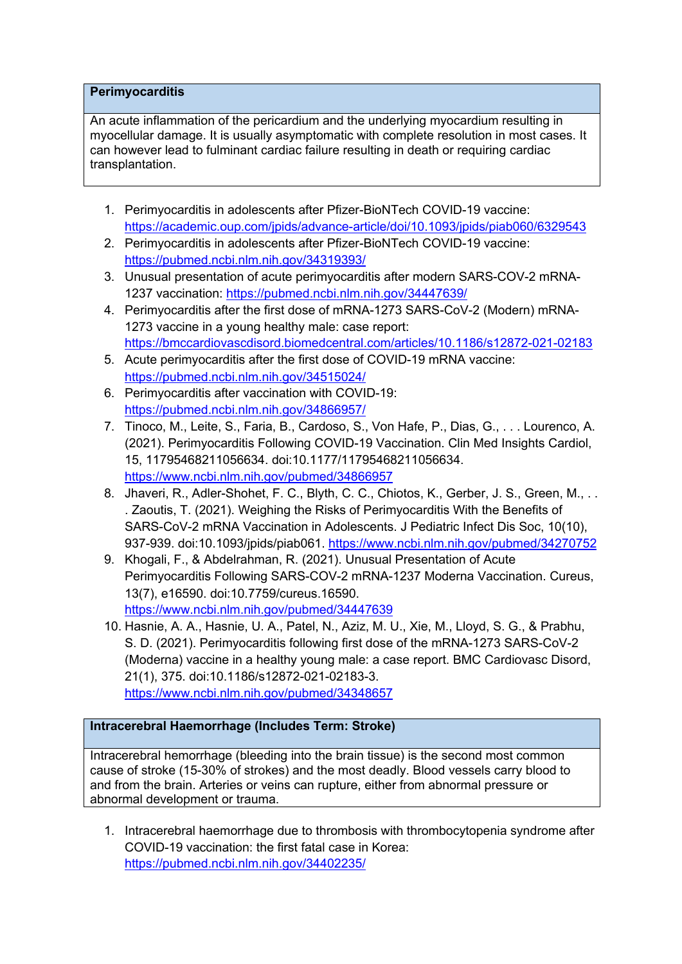## **Perimyocarditis**

An acute inflammation of the pericardium and the underlying myocardium resulting in myocellular damage. It is usually asymptomatic with complete resolution in most cases. It can however lead to fulminant cardiac failure resulting in death or requiring cardiac transplantation.

- 1. Perimyocarditis in adolescents after Pfizer-BioNTech COVID-19 vaccine: https://academic.oup.com/jpids/advance-article/doi/10.1093/jpids/piab060/6329543
- 2. Perimyocarditis in adolescents after Pfizer-BioNTech COVID-19 vaccine: https://pubmed.ncbi.nlm.nih.gov/34319393/
- 3. Unusual presentation of acute perimyocarditis after modern SARS-COV-2 mRNA-1237 vaccination: https://pubmed.ncbi.nlm.nih.gov/34447639/
- 4. Perimyocarditis after the first dose of mRNA-1273 SARS-CoV-2 (Modern) mRNA-1273 vaccine in a young healthy male: case report: https://bmccardiovascdisord.biomedcentral.com/articles/10.1186/s12872-021-02183
- 5. Acute perimyocarditis after the first dose of COVID-19 mRNA vaccine: https://pubmed.ncbi.nlm.nih.gov/34515024/
- 6. Perimyocarditis after vaccination with COVID-19: https://pubmed.ncbi.nlm.nih.gov/34866957/
- 7. Tinoco, M., Leite, S., Faria, B., Cardoso, S., Von Hafe, P., Dias, G., . . . Lourenco, A. (2021). Perimyocarditis Following COVID-19 Vaccination. Clin Med Insights Cardiol, 15, 11795468211056634. doi:10.1177/11795468211056634. https://www.ncbi.nlm.nih.gov/pubmed/34866957
- 8. Jhaveri, R., Adler-Shohet, F. C., Blyth, C. C., Chiotos, K., Gerber, J. S., Green, M., .. . Zaoutis, T. (2021). Weighing the Risks of Perimyocarditis With the Benefits of SARS-CoV-2 mRNA Vaccination in Adolescents. J Pediatric Infect Dis Soc, 10(10), 937-939. doi:10.1093/jpids/piab061. https://www.ncbi.nlm.nih.gov/pubmed/34270752
- 9. Khogali, F., & Abdelrahman, R. (2021). Unusual Presentation of Acute Perimyocarditis Following SARS-COV-2 mRNA-1237 Moderna Vaccination. Cureus, 13(7), e16590. doi:10.7759/cureus.16590. https://www.ncbi.nlm.nih.gov/pubmed/34447639
- 10. Hasnie, A. A., Hasnie, U. A., Patel, N., Aziz, M. U., Xie, M., Lloyd, S. G., & Prabhu, S. D. (2021). Perimyocarditis following first dose of the mRNA-1273 SARS-CoV-2 (Moderna) vaccine in a healthy young male: a case report. BMC Cardiovasc Disord, 21(1), 375. doi:10.1186/s12872-021-02183-3. https://www.ncbi.nlm.nih.gov/pubmed/34348657

## **Intracerebral Haemorrhage (Includes Term: Stroke)**

Intracerebral hemorrhage (bleeding into the brain tissue) is the second most common cause of stroke (15-30% of strokes) and the most deadly. Blood vessels carry blood to and from the brain. Arteries or veins can rupture, either from abnormal pressure or abnormal development or trauma.

1. Intracerebral haemorrhage due to thrombosis with thrombocytopenia syndrome after COVID-19 vaccination: the first fatal case in Korea: https://pubmed.ncbi.nlm.nih.gov/34402235/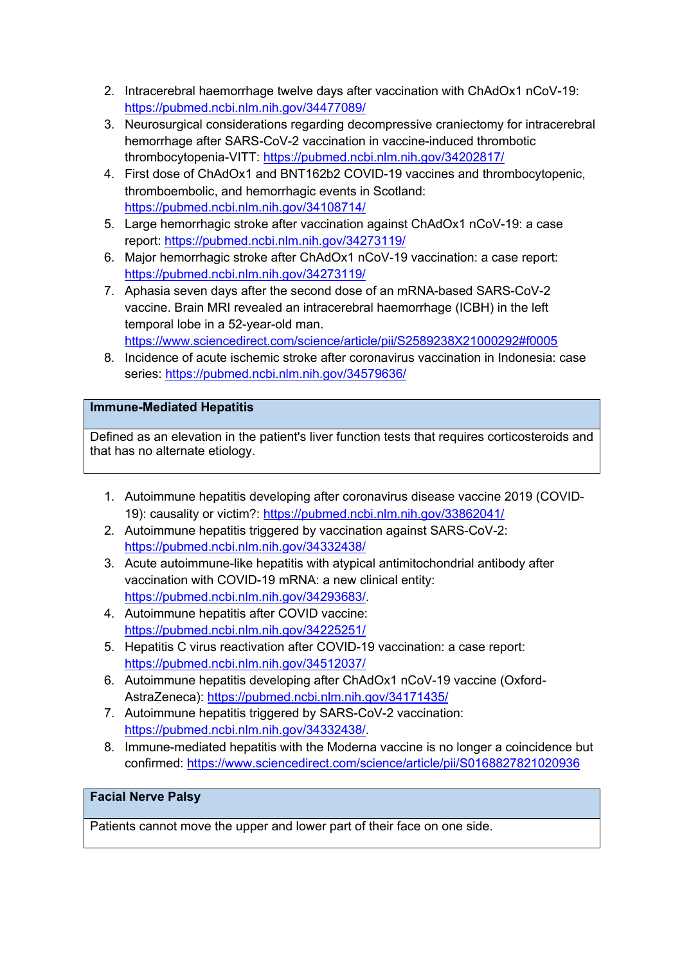- 2. Intracerebral haemorrhage twelve days after vaccination with ChAdOx1 nCoV-19: https://pubmed.ncbi.nlm.nih.gov/34477089/
- 3. Neurosurgical considerations regarding decompressive craniectomy for intracerebral hemorrhage after SARS-CoV-2 vaccination in vaccine-induced thrombotic thrombocytopenia-VITT: https://pubmed.ncbi.nlm.nih.gov/34202817/
- 4. First dose of ChAdOx1 and BNT162b2 COVID-19 vaccines and thrombocytopenic, thromboembolic, and hemorrhagic events in Scotland: https://pubmed.ncbi.nlm.nih.gov/34108714/
- 5. Large hemorrhagic stroke after vaccination against ChAdOx1 nCoV-19: a case report: https://pubmed.ncbi.nlm.nih.gov/34273119/
- 6. Major hemorrhagic stroke after ChAdOx1 nCoV-19 vaccination: a case report: https://pubmed.ncbi.nlm.nih.gov/34273119/
- 7. Aphasia seven days after the second dose of an mRNA-based SARS-CoV-2 vaccine. Brain MRI revealed an intracerebral haemorrhage (ICBH) in the left temporal lobe in a 52-year-old man.

https://www.sciencedirect.com/science/article/pii/S2589238X21000292#f0005

8. Incidence of acute ischemic stroke after coronavirus vaccination in Indonesia: case series: https://pubmed.ncbi.nlm.nih.gov/34579636/

## **Immune-Mediated Hepatitis**

Defined as an elevation in the patient's liver function tests that requires corticosteroids and that has no alternate etiology.

- 1. Autoimmune hepatitis developing after coronavirus disease vaccine 2019 (COVID-19): causality or victim?: https://pubmed.ncbi.nlm.nih.gov/33862041/
- 2. Autoimmune hepatitis triggered by vaccination against SARS-CoV-2: https://pubmed.ncbi.nlm.nih.gov/34332438/
- 3. Acute autoimmune-like hepatitis with atypical antimitochondrial antibody after vaccination with COVID-19 mRNA: a new clinical entity: https://pubmed.ncbi.nlm.nih.gov/34293683/.
- 4. Autoimmune hepatitis after COVID vaccine: https://pubmed.ncbi.nlm.nih.gov/34225251/
- 5. Hepatitis C virus reactivation after COVID-19 vaccination: a case report: https://pubmed.ncbi.nlm.nih.gov/34512037/
- 6. Autoimmune hepatitis developing after ChAdOx1 nCoV-19 vaccine (Oxford-AstraZeneca): https://pubmed.ncbi.nlm.nih.gov/34171435/
- 7. Autoimmune hepatitis triggered by SARS-CoV-2 vaccination: https://pubmed.ncbi.nlm.nih.gov/34332438/.
- 8. Immune-mediated hepatitis with the Moderna vaccine is no longer a coincidence but confirmed: https://www.sciencedirect.com/science/article/pii/S0168827821020936

## **Facial Nerve Palsy**

Patients cannot move the upper and lower part of their face on one side.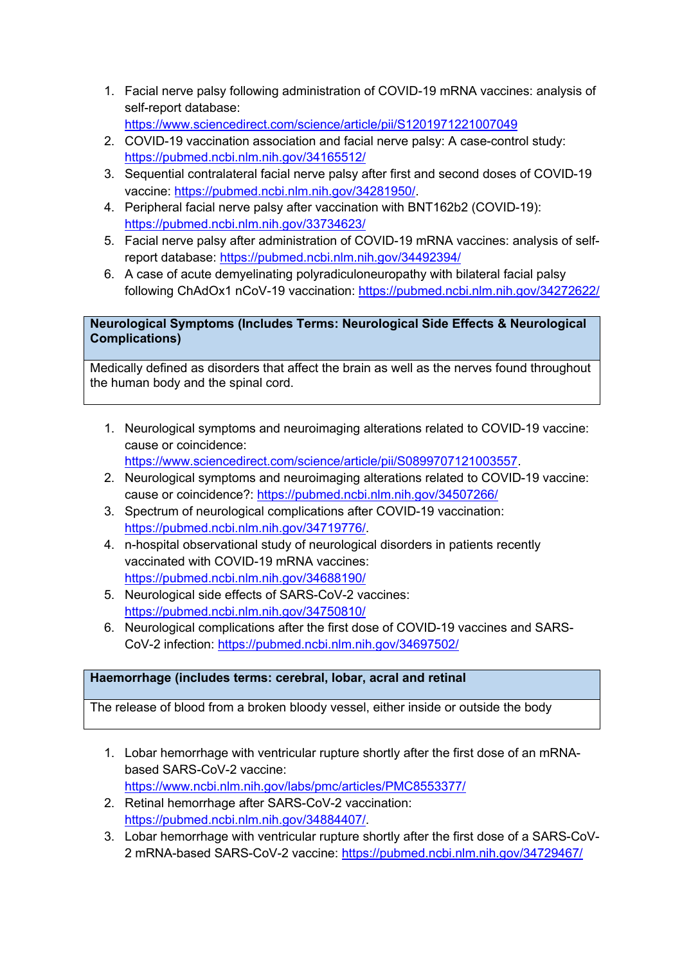- 1. Facial nerve palsy following administration of COVID-19 mRNA vaccines: analysis of self-report database: https://www.sciencedirect.com/science/article/pii/S1201971221007049
- 2. COVID-19 vaccination association and facial nerve palsy: A case-control study: https://pubmed.ncbi.nlm.nih.gov/34165512/
- 3. Sequential contralateral facial nerve palsy after first and second doses of COVID-19 vaccine: https://pubmed.ncbi.nlm.nih.gov/34281950/.
- 4. Peripheral facial nerve palsy after vaccination with BNT162b2 (COVID-19): https://pubmed.ncbi.nlm.nih.gov/33734623/
- 5. Facial nerve palsy after administration of COVID-19 mRNA vaccines: analysis of selfreport database: https://pubmed.ncbi.nlm.nih.gov/34492394/
- 6. A case of acute demyelinating polyradiculoneuropathy with bilateral facial palsy following ChAdOx1 nCoV-19 vaccination: https://pubmed.ncbi.nlm.nih.gov/34272622/

## **Neurological Symptoms (Includes Terms: Neurological Side Effects & Neurological Complications)**

Medically defined as disorders that affect the brain as well as the nerves found throughout the human body and the spinal cord.

1. Neurological symptoms and neuroimaging alterations related to COVID-19 vaccine: cause or coincidence:

https://www.sciencedirect.com/science/article/pii/S0899707121003557.

- 2. Neurological symptoms and neuroimaging alterations related to COVID-19 vaccine: cause or coincidence?: https://pubmed.ncbi.nlm.nih.gov/34507266/
- 3. Spectrum of neurological complications after COVID-19 vaccination: https://pubmed.ncbi.nlm.nih.gov/34719776/.
- 4. n-hospital observational study of neurological disorders in patients recently vaccinated with COVID-19 mRNA vaccines: https://pubmed.ncbi.nlm.nih.gov/34688190/
- 5. Neurological side effects of SARS-CoV-2 vaccines: https://pubmed.ncbi.nlm.nih.gov/34750810/
- 6. Neurological complications after the first dose of COVID-19 vaccines and SARS-CoV-2 infection: https://pubmed.ncbi.nlm.nih.gov/34697502/

## **Haemorrhage (includes terms: cerebral, lobar, acral and retinal**

The release of blood from a broken bloody vessel, either inside or outside the body

- 1. Lobar hemorrhage with ventricular rupture shortly after the first dose of an mRNAbased SARS-CoV-2 vaccine: https://www.ncbi.nlm.nih.gov/labs/pmc/articles/PMC8553377/
- 2. Retinal hemorrhage after SARS-CoV-2 vaccination: https://pubmed.ncbi.nlm.nih.gov/34884407/.
- 3. Lobar hemorrhage with ventricular rupture shortly after the first dose of a SARS-CoV-2 mRNA-based SARS-CoV-2 vaccine: https://pubmed.ncbi.nlm.nih.gov/34729467/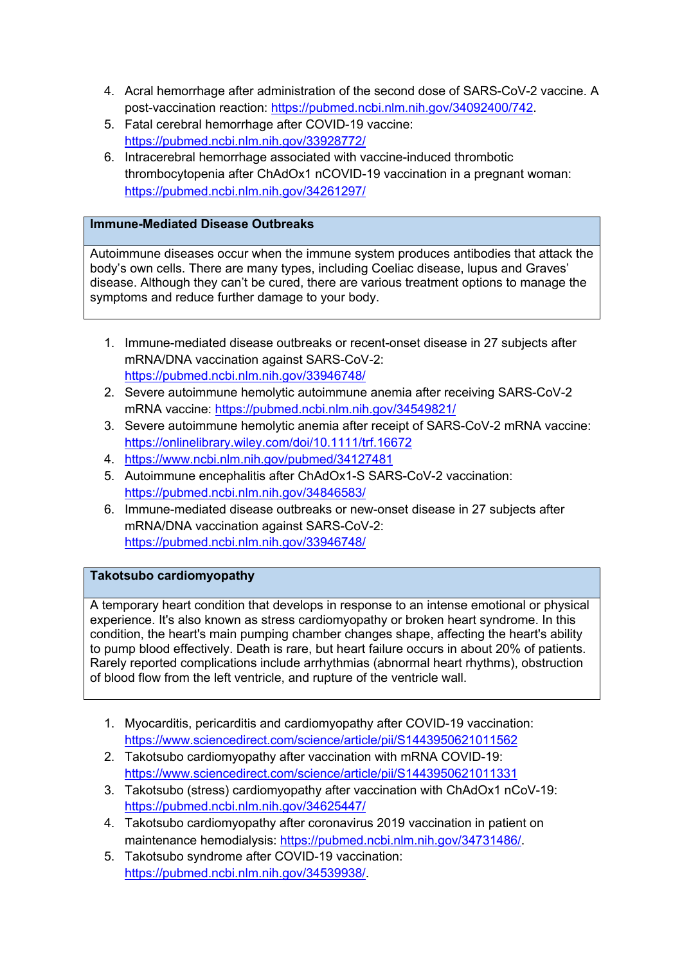- 4. Acral hemorrhage after administration of the second dose of SARS-CoV-2 vaccine. A post-vaccination reaction: https://pubmed.ncbi.nlm.nih.gov/34092400/742.
- 5. Fatal cerebral hemorrhage after COVID-19 vaccine: https://pubmed.ncbi.nlm.nih.gov/33928772/
- 6. Intracerebral hemorrhage associated with vaccine-induced thrombotic thrombocytopenia after ChAdOx1 nCOVID-19 vaccination in a pregnant woman: https://pubmed.ncbi.nlm.nih.gov/34261297/

## **Immune-Mediated Disease Outbreaks**

Autoimmune diseases occur when the immune system produces antibodies that attack the body's own cells. There are many types, including Coeliac disease, lupus and Graves' disease. Although they can't be cured, there are various treatment options to manage the symptoms and reduce further damage to your body.

- 1. Immune-mediated disease outbreaks or recent-onset disease in 27 subjects after mRNA/DNA vaccination against SARS-CoV-2: https://pubmed.ncbi.nlm.nih.gov/33946748/
- 2. Severe autoimmune hemolytic autoimmune anemia after receiving SARS-CoV-2 mRNA vaccine: https://pubmed.ncbi.nlm.nih.gov/34549821/
- 3. Severe autoimmune hemolytic anemia after receipt of SARS-CoV-2 mRNA vaccine: https://onlinelibrary.wiley.com/doi/10.1111/trf.16672
- 4. https://www.ncbi.nlm.nih.gov/pubmed/34127481
- 5. Autoimmune encephalitis after ChAdOx1-S SARS-CoV-2 vaccination: https://pubmed.ncbi.nlm.nih.gov/34846583/
- 6. Immune-mediated disease outbreaks or new-onset disease in 27 subjects after mRNA/DNA vaccination against SARS-CoV-2: https://pubmed.ncbi.nlm.nih.gov/33946748/

## **Takotsubo cardiomyopathy**

A temporary heart condition that develops in response to an intense emotional or physical experience. It's also known as stress cardiomyopathy or broken heart syndrome. In this condition, the heart's main pumping chamber changes shape, affecting the heart's ability to pump blood effectively. Death is rare, but heart failure occurs in about 20% of patients. Rarely reported complications include arrhythmias (abnormal heart rhythms), obstruction of blood flow from the left ventricle, and rupture of the ventricle wall.

- 1. Myocarditis, pericarditis and cardiomyopathy after COVID-19 vaccination: https://www.sciencedirect.com/science/article/pii/S1443950621011562
- 2. Takotsubo cardiomyopathy after vaccination with mRNA COVID-19: https://www.sciencedirect.com/science/article/pii/S1443950621011331
- 3. Takotsubo (stress) cardiomyopathy after vaccination with ChAdOx1 nCoV-19: https://pubmed.ncbi.nlm.nih.gov/34625447/
- 4. Takotsubo cardiomyopathy after coronavirus 2019 vaccination in patient on maintenance hemodialysis: https://pubmed.ncbi.nlm.nih.gov/34731486/.
- 5. Takotsubo syndrome after COVID-19 vaccination: https://pubmed.ncbi.nlm.nih.gov/34539938/.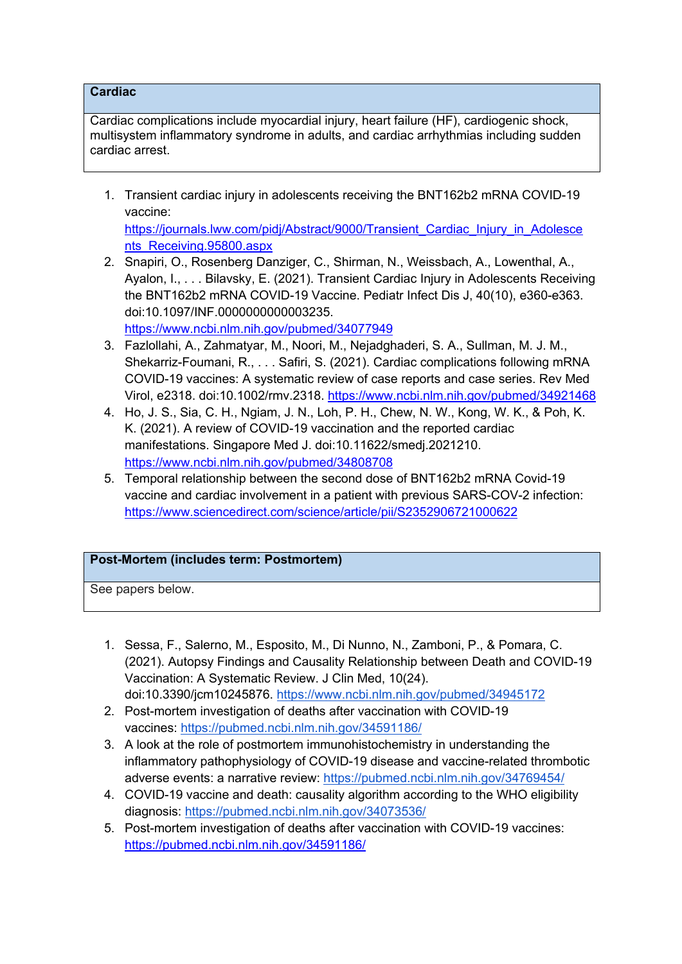## **Cardiac**

Cardiac complications include myocardial injury, heart failure (HF), cardiogenic shock, multisystem inflammatory syndrome in adults, and cardiac arrhythmias including sudden cardiac arrest.

1. Transient cardiac injury in adolescents receiving the BNT162b2 mRNA COVID-19 vaccine:

https://journals.lww.com/pidj/Abstract/9000/Transient\_Cardiac\_Injury\_in\_Adolesce nts\_Receiving.95800.aspx

- 2. Snapiri, O., Rosenberg Danziger, C., Shirman, N., Weissbach, A., Lowenthal, A., Ayalon, I., . . . Bilavsky, E. (2021). Transient Cardiac Injury in Adolescents Receiving the BNT162b2 mRNA COVID-19 Vaccine. Pediatr Infect Dis J, 40(10), e360-e363. doi:10.1097/INF.0000000000003235. https://www.ncbi.nlm.nih.gov/pubmed/34077949
- 3. Fazlollahi, A., Zahmatyar, M., Noori, M., Nejadghaderi, S. A., Sullman, M. J. M., Shekarriz-Foumani, R., . . . Safiri, S. (2021). Cardiac complications following mRNA COVID-19 vaccines: A systematic review of case reports and case series. Rev Med Virol, e2318. doi:10.1002/rmv.2318. https://www.ncbi.nlm.nih.gov/pubmed/34921468
- 4. Ho, J. S., Sia, C. H., Ngiam, J. N., Loh, P. H., Chew, N. W., Kong, W. K., & Poh, K. K. (2021). A review of COVID-19 vaccination and the reported cardiac manifestations. Singapore Med J. doi:10.11622/smedj.2021210. https://www.ncbi.nlm.nih.gov/pubmed/34808708
- 5. Temporal relationship between the second dose of BNT162b2 mRNA Covid-19 vaccine and cardiac involvement in a patient with previous SARS-COV-2 infection: https://www.sciencedirect.com/science/article/pii/S2352906721000622

## **Post-Mortem (includes term: Postmortem)**

See papers below.

- 1. Sessa, F., Salerno, M., Esposito, M., Di Nunno, N., Zamboni, P., & Pomara, C. (2021). Autopsy Findings and Causality Relationship between Death and COVID-19 Vaccination: A Systematic Review. J Clin Med, 10(24). doi:10.3390/jcm10245876. https://www.ncbi.nlm.nih.gov/pubmed/34945172
- 2. Post-mortem investigation of deaths after vaccination with COVID-19 vaccines: https://pubmed.ncbi.nlm.nih.gov/34591186/
- 3. A look at the role of postmortem immunohistochemistry in understanding the inflammatory pathophysiology of COVID-19 disease and vaccine-related thrombotic adverse events: a narrative review: https://pubmed.ncbi.nlm.nih.gov/34769454/
- 4. COVID-19 vaccine and death: causality algorithm according to the WHO eligibility diagnosis: https://pubmed.ncbi.nlm.nih.gov/34073536/
- 5. Post-mortem investigation of deaths after vaccination with COVID-19 vaccines: https://pubmed.ncbi.nlm.nih.gov/34591186/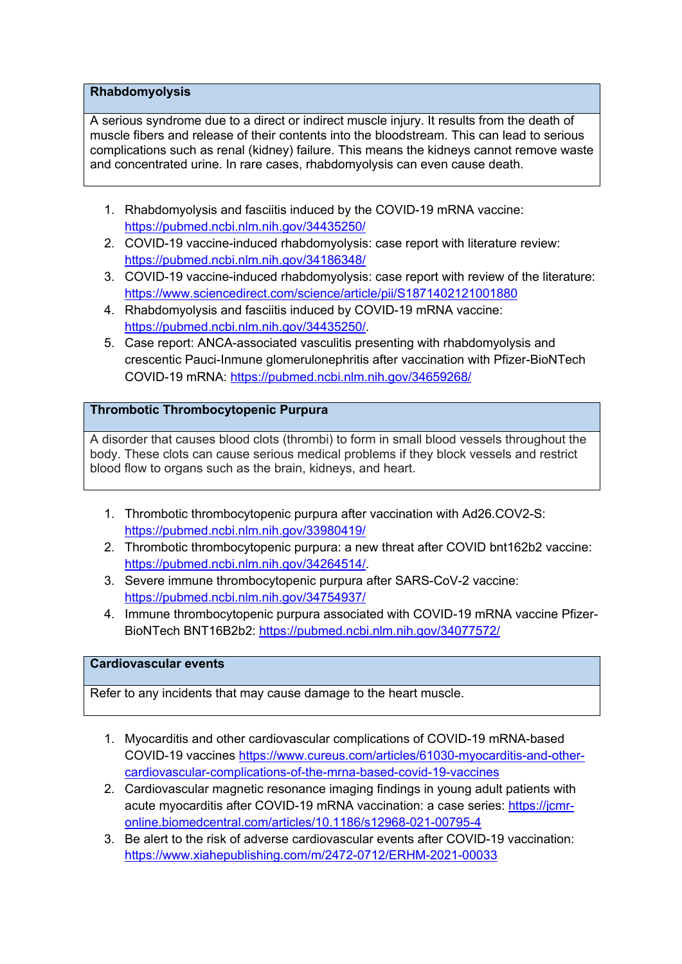## **Rhabdomyolysis**

A serious syndrome due to a direct or indirect muscle injury. It results from the death of muscle fibers and release of their contents into the bloodstream. This can lead to serious complications such as renal (kidney) failure. This means the kidneys cannot remove waste and concentrated urine. In rare cases, rhabdomyolysis can even cause death.

- 1. Rhabdomyolysis and fasciitis induced by the COVID-19 mRNA vaccine: https://pubmed.ncbi.nlm.nih.gov/34435250/
- 2. COVID-19 vaccine-induced rhabdomyolysis: case report with literature review: https://pubmed.ncbi.nlm.nih.gov/34186348/
- 3. COVID-19 vaccine-induced rhabdomyolysis: case report with review of the literature: https://www.sciencedirect.com/science/article/pii/S1871402121001880
- 4. Rhabdomyolysis and fasciitis induced by COVID-19 mRNA vaccine: https://pubmed.ncbi.nlm.nih.gov/34435250/.
- 5. Case report: ANCA-associated vasculitis presenting with rhabdomyolysis and crescentic Pauci-Inmune glomerulonephritis after vaccination with Pfizer-BioNTech COVID-19 mRNA: https://pubmed.ncbi.nlm.nih.gov/34659268/

## **Thrombotic Thrombocytopenic Purpura**

A disorder that causes blood clots (thrombi) to form in small blood vessels throughout the body. These clots can cause serious medical problems if they block vessels and restrict blood flow to organs such as the brain, kidneys, and heart.

- 1. Thrombotic thrombocytopenic purpura after vaccination with Ad26.COV2-S: https://pubmed.ncbi.nlm.nih.gov/33980419/
- 2. Thrombotic thrombocytopenic purpura: a new threat after COVID bnt162b2 vaccine: https://pubmed.ncbi.nlm.nih.gov/34264514/.
- 3. Severe immune thrombocytopenic purpura after SARS-CoV-2 vaccine: https://pubmed.ncbi.nlm.nih.gov/34754937/
- 4. Immune thrombocytopenic purpura associated with COVID-19 mRNA vaccine Pfizer-BioNTech BNT16B2b2: https://pubmed.ncbi.nlm.nih.gov/34077572/

## **Cardiovascular events**

Refer to any incidents that may cause damage to the heart muscle.

- 1. Myocarditis and other cardiovascular complications of COVID-19 mRNA-based COVID-19 vaccines https://www.cureus.com/articles/61030-myocarditis-and-othercardiovascular-complications-of-the-mrna-based-covid-19-vaccines
- 2. Cardiovascular magnetic resonance imaging findings in young adult patients with acute myocarditis after COVID-19 mRNA vaccination: a case series: https://jcmronline.biomedcentral.com/articles/10.1186/s12968-021-00795-4
- 3. Be alert to the risk of adverse cardiovascular events after COVID-19 vaccination: https://www.xiahepublishing.com/m/2472-0712/ERHM-2021-00033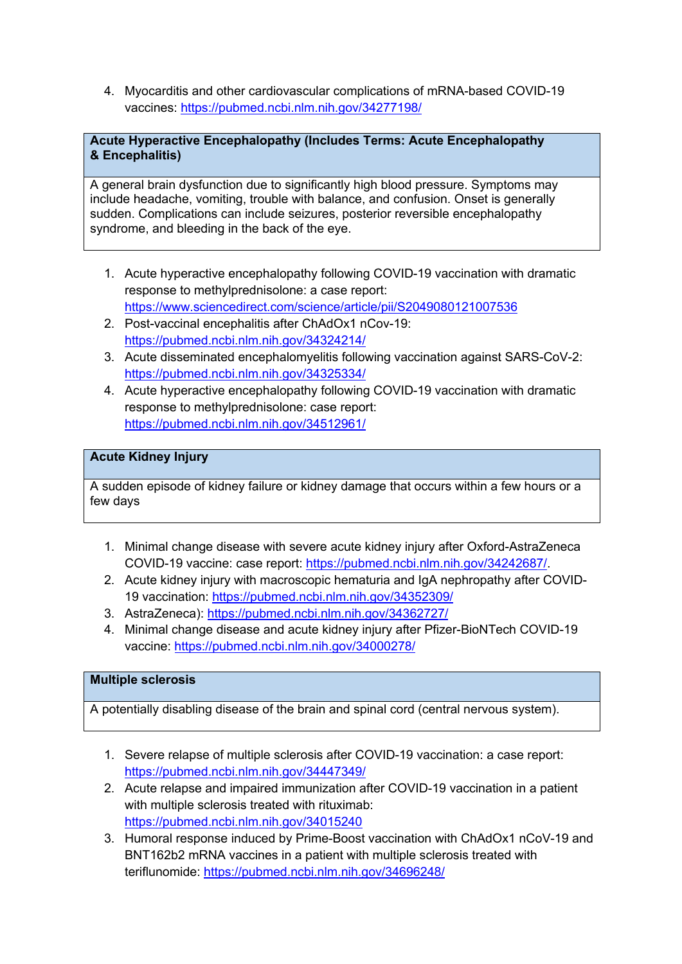4. Myocarditis and other cardiovascular complications of mRNA-based COVID-19 vaccines: https://pubmed.ncbi.nlm.nih.gov/34277198/

## **Acute Hyperactive Encephalopathy (Includes Terms: Acute Encephalopathy & Encephalitis)**

A general brain dysfunction due to significantly high blood pressure. Symptoms may include headache, vomiting, trouble with balance, and confusion. Onset is generally sudden. Complications can include seizures, posterior reversible encephalopathy syndrome, and bleeding in the back of the eye.

- 1. Acute hyperactive encephalopathy following COVID-19 vaccination with dramatic response to methylprednisolone: a case report: https://www.sciencedirect.com/science/article/pii/S2049080121007536
- 2. Post-vaccinal encephalitis after ChAdOx1 nCov-19: https://pubmed.ncbi.nlm.nih.gov/34324214/
- 3. Acute disseminated encephalomyelitis following vaccination against SARS-CoV-2: https://pubmed.ncbi.nlm.nih.gov/34325334/
- 4. Acute hyperactive encephalopathy following COVID-19 vaccination with dramatic response to methylprednisolone: case report: https://pubmed.ncbi.nlm.nih.gov/34512961/

## **Acute Kidney Injury**

A sudden episode of kidney failure or kidney damage that occurs within a few hours or a few days

- 1. Minimal change disease with severe acute kidney injury after Oxford-AstraZeneca COVID-19 vaccine: case report: https://pubmed.ncbi.nlm.nih.gov/34242687/.
- 2. Acute kidney injury with macroscopic hematuria and IgA nephropathy after COVID-19 vaccination: https://pubmed.ncbi.nlm.nih.gov/34352309/
- 3. AstraZeneca): https://pubmed.ncbi.nlm.nih.gov/34362727/
- 4. Minimal change disease and acute kidney injury after Pfizer-BioNTech COVID-19 vaccine: https://pubmed.ncbi.nlm.nih.gov/34000278/

### **Multiple sclerosis**

A potentially disabling disease of the brain and spinal cord (central nervous system).

- 1. Severe relapse of multiple sclerosis after COVID-19 vaccination: a case report: https://pubmed.ncbi.nlm.nih.gov/34447349/
- 2. Acute relapse and impaired immunization after COVID-19 vaccination in a patient with multiple sclerosis treated with rituximab: https://pubmed.ncbi.nlm.nih.gov/34015240
- 3. Humoral response induced by Prime-Boost vaccination with ChAdOx1 nCoV-19 and BNT162b2 mRNA vaccines in a patient with multiple sclerosis treated with teriflunomide: https://pubmed.ncbi.nlm.nih.gov/34696248/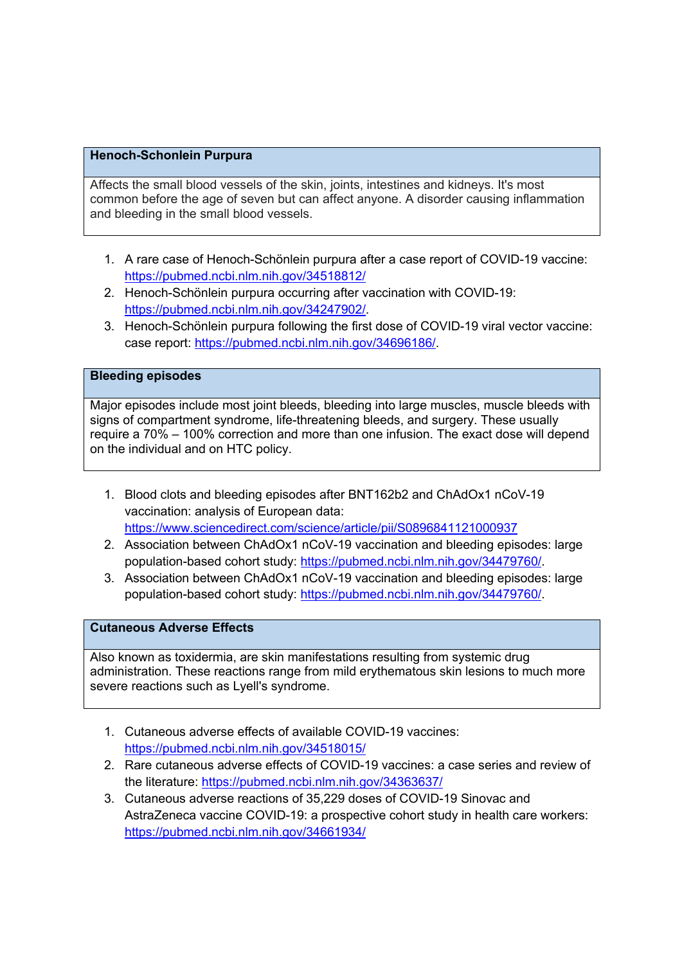### **Henoch-Schonlein Purpura**

Affects the small blood vessels of the skin, joints, intestines and kidneys. It's most common before the age of seven but can affect anyone. A disorder causing inflammation and bleeding in the small blood vessels.

- 1. A rare case of Henoch-Schönlein purpura after a case report of COVID-19 vaccine: https://pubmed.ncbi.nlm.nih.gov/34518812/
- 2. Henoch-Schönlein purpura occurring after vaccination with COVID-19: https://pubmed.ncbi.nlm.nih.gov/34247902/.
- 3. Henoch-Schönlein purpura following the first dose of COVID-19 viral vector vaccine: case report: https://pubmed.ncbi.nlm.nih.gov/34696186/.

#### **Bleeding episodes**

Major episodes include most joint bleeds, bleeding into large muscles, muscle bleeds with signs of compartment syndrome, life-threatening bleeds, and surgery. These usually require a 70% – 100% correction and more than one infusion. The exact dose will depend on the individual and on HTC policy.

- 1. Blood clots and bleeding episodes after BNT162b2 and ChAdOx1 nCoV-19 vaccination: analysis of European data: https://www.sciencedirect.com/science/article/pii/S0896841121000937
- 2. Association between ChAdOx1 nCoV-19 vaccination and bleeding episodes: large population-based cohort study: https://pubmed.ncbi.nlm.nih.gov/34479760/.
- 3. Association between ChAdOx1 nCoV-19 vaccination and bleeding episodes: large population-based cohort study: https://pubmed.ncbi.nlm.nih.gov/34479760/.

#### **Cutaneous Adverse Effects**

Also known as toxidermia, are skin manifestations resulting from systemic drug administration. These reactions range from mild erythematous skin lesions to much more severe reactions such as Lyell's syndrome.

- 1. Cutaneous adverse effects of available COVID-19 vaccines: https://pubmed.ncbi.nlm.nih.gov/34518015/
- 2. Rare cutaneous adverse effects of COVID-19 vaccines: a case series and review of the literature: https://pubmed.ncbi.nlm.nih.gov/34363637/
- 3. Cutaneous adverse reactions of 35,229 doses of COVID-19 Sinovac and AstraZeneca vaccine COVID-19: a prospective cohort study in health care workers: https://pubmed.ncbi.nlm.nih.gov/34661934/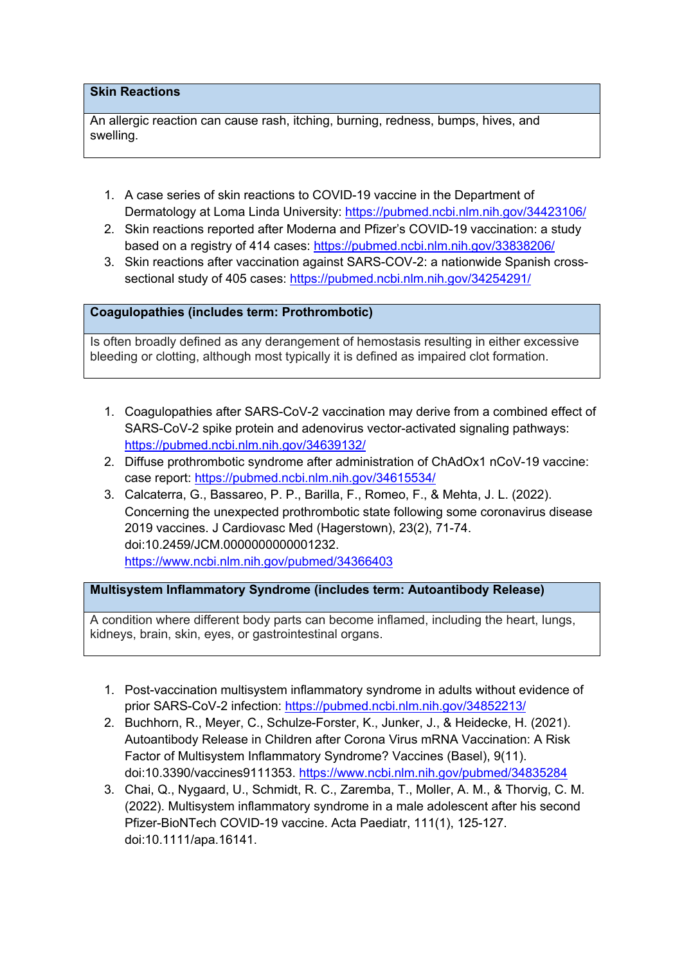## **Skin Reactions**

An allergic reaction can cause rash, itching, burning, redness, bumps, hives, and swelling.

- 1. A case series of skin reactions to COVID-19 vaccine in the Department of Dermatology at Loma Linda University: https://pubmed.ncbi.nlm.nih.gov/34423106/
- 2. Skin reactions reported after Moderna and Pfizer's COVID-19 vaccination: a study based on a registry of 414 cases: https://pubmed.ncbi.nlm.nih.gov/33838206/
- 3. Skin reactions after vaccination against SARS-COV-2: a nationwide Spanish crosssectional study of 405 cases: https://pubmed.ncbi.nlm.nih.gov/34254291/

### **Coagulopathies (includes term: Prothrombotic)**

Is often broadly defined as any derangement of hemostasis resulting in either excessive bleeding or clotting, although most typically it is defined as impaired clot formation.

- 1. Coagulopathies after SARS-CoV-2 vaccination may derive from a combined effect of SARS-CoV-2 spike protein and adenovirus vector-activated signaling pathways: https://pubmed.ncbi.nlm.nih.gov/34639132/
- 2. Diffuse prothrombotic syndrome after administration of ChAdOx1 nCoV-19 vaccine: case report: https://pubmed.ncbi.nlm.nih.gov/34615534/
- 3. Calcaterra, G., Bassareo, P. P., Barilla, F., Romeo, F., & Mehta, J. L. (2022). Concerning the unexpected prothrombotic state following some coronavirus disease 2019 vaccines. J Cardiovasc Med (Hagerstown), 23(2), 71-74. doi:10.2459/JCM.0000000000001232. https://www.ncbi.nlm.nih.gov/pubmed/34366403

### **Multisystem Inflammatory Syndrome (includes term: Autoantibody Release)**

A condition where different body parts can become inflamed, including the heart, lungs, kidneys, brain, skin, eyes, or gastrointestinal organs.

- 1. Post-vaccination multisystem inflammatory syndrome in adults without evidence of prior SARS-CoV-2 infection: https://pubmed.ncbi.nlm.nih.gov/34852213/
- 2. Buchhorn, R., Meyer, C., Schulze-Forster, K., Junker, J., & Heidecke, H. (2021). Autoantibody Release in Children after Corona Virus mRNA Vaccination: A Risk Factor of Multisystem Inflammatory Syndrome? Vaccines (Basel), 9(11). doi:10.3390/vaccines9111353. https://www.ncbi.nlm.nih.gov/pubmed/34835284
- 3. Chai, Q., Nygaard, U., Schmidt, R. C., Zaremba, T., Moller, A. M., & Thorvig, C. M. (2022). Multisystem inflammatory syndrome in a male adolescent after his second Pfizer-BioNTech COVID-19 vaccine. Acta Paediatr, 111(1), 125-127. doi:10.1111/apa.16141.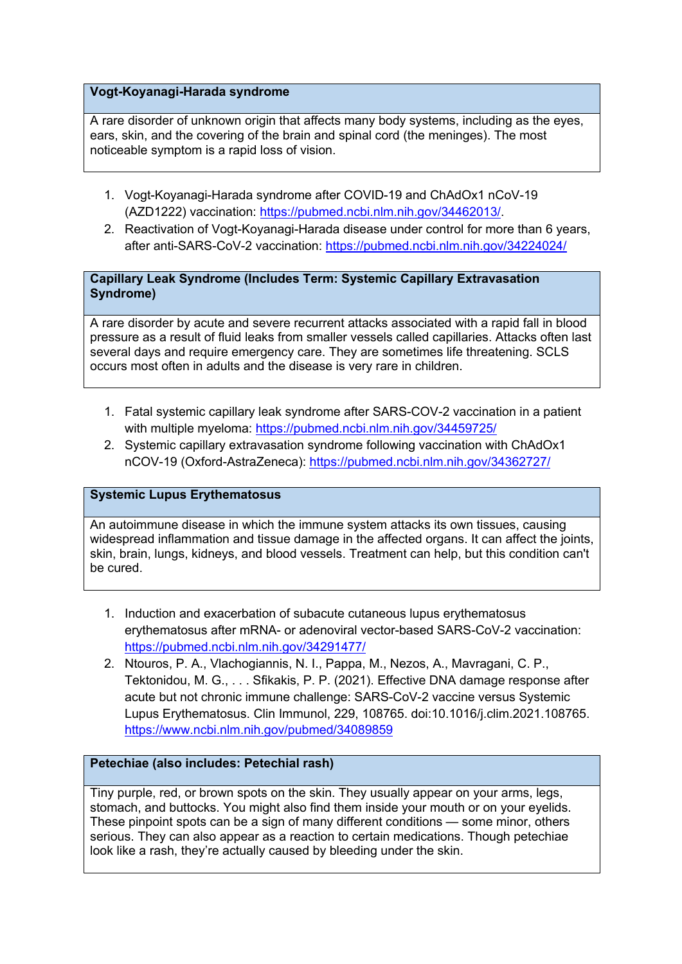### **Vogt-Koyanagi-Harada syndrome**

A rare disorder of unknown origin that affects many body systems, including as the eyes, ears, skin, and the covering of the brain and spinal cord (the meninges). The most noticeable symptom is a rapid loss of vision.

- 1. Vogt-Koyanagi-Harada syndrome after COVID-19 and ChAdOx1 nCoV-19 (AZD1222) vaccination: https://pubmed.ncbi.nlm.nih.gov/34462013/.
- 2. Reactivation of Vogt-Koyanagi-Harada disease under control for more than 6 years, after anti-SARS-CoV-2 vaccination: https://pubmed.ncbi.nlm.nih.gov/34224024/

## **Capillary Leak Syndrome (Includes Term: Systemic Capillary Extravasation Syndrome)**

A rare disorder by acute and severe recurrent attacks associated with a rapid fall in blood pressure as a result of fluid leaks from smaller vessels called capillaries. Attacks often last several days and require emergency care. They are sometimes life threatening. SCLS occurs most often in adults and the disease is very rare in children.

- 1. Fatal systemic capillary leak syndrome after SARS-COV-2 vaccination in a patient with multiple myeloma: https://pubmed.ncbi.nlm.nih.gov/34459725/
- 2. Systemic capillary extravasation syndrome following vaccination with ChAdOx1 nCOV-19 (Oxford-AstraZeneca): https://pubmed.ncbi.nlm.nih.gov/34362727/

## **Systemic Lupus Erythematosus**

An autoimmune disease in which the immune system attacks its own tissues, causing widespread inflammation and tissue damage in the affected organs. It can affect the joints, skin, brain, lungs, kidneys, and blood vessels. Treatment can help, but this condition can't be cured.

- 1. Induction and exacerbation of subacute cutaneous lupus erythematosus erythematosus after mRNA- or adenoviral vector-based SARS-CoV-2 vaccination: https://pubmed.ncbi.nlm.nih.gov/34291477/
- 2. Ntouros, P. A., Vlachogiannis, N. I., Pappa, M., Nezos, A., Mavragani, C. P., Tektonidou, M. G., . . . Sfikakis, P. P. (2021). Effective DNA damage response after acute but not chronic immune challenge: SARS-CoV-2 vaccine versus Systemic Lupus Erythematosus. Clin Immunol, 229, 108765. doi:10.1016/j.clim.2021.108765. https://www.ncbi.nlm.nih.gov/pubmed/34089859

## **Petechiae (also includes: Petechial rash)**

Tiny purple, red, or brown spots on the skin. They usually appear on your arms, legs, stomach, and buttocks. You might also find them inside your mouth or on your eyelids. These pinpoint spots can be a sign of many different conditions — some minor, others serious. They can also appear as a reaction to certain medications. Though petechiae look like a rash, they're actually caused by bleeding under the skin.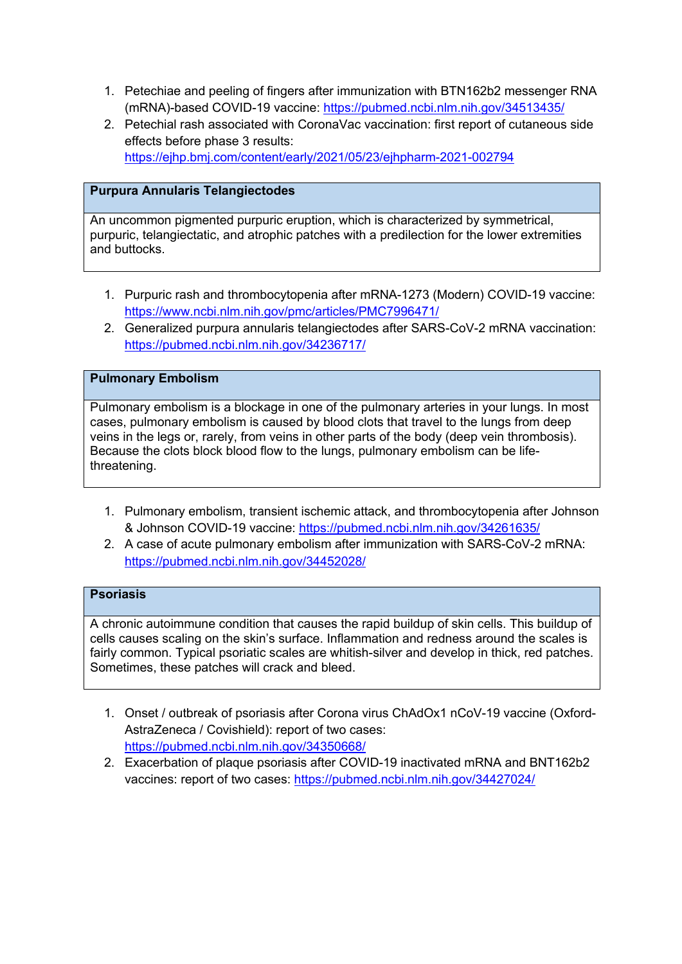- 1. Petechiae and peeling of fingers after immunization with BTN162b2 messenger RNA (mRNA)-based COVID-19 vaccine: https://pubmed.ncbi.nlm.nih.gov/34513435/
- 2. Petechial rash associated with CoronaVac vaccination: first report of cutaneous side effects before phase 3 results: https://ejhp.bmj.com/content/early/2021/05/23/ejhpharm-2021-002794

## **Purpura Annularis Telangiectodes**

An uncommon pigmented purpuric eruption, which is characterized by symmetrical, purpuric, telangiectatic, and atrophic patches with a predilection for the lower extremities and buttocks.

- 1. Purpuric rash and thrombocytopenia after mRNA-1273 (Modern) COVID-19 vaccine: https://www.ncbi.nlm.nih.gov/pmc/articles/PMC7996471/
- 2. Generalized purpura annularis telangiectodes after SARS-CoV-2 mRNA vaccination: https://pubmed.ncbi.nlm.nih.gov/34236717/

## **Pulmonary Embolism**

Pulmonary embolism is a blockage in one of the pulmonary arteries in your lungs. In most cases, pulmonary embolism is caused by blood clots that travel to the lungs from deep veins in the legs or, rarely, from veins in other parts of the body (deep vein thrombosis). Because the clots block blood flow to the lungs, pulmonary embolism can be lifethreatening.

- 1. Pulmonary embolism, transient ischemic attack, and thrombocytopenia after Johnson & Johnson COVID-19 vaccine: https://pubmed.ncbi.nlm.nih.gov/34261635/
- 2. A case of acute pulmonary embolism after immunization with SARS-CoV-2 mRNA: https://pubmed.ncbi.nlm.nih.gov/34452028/

## **Psoriasis**

A chronic autoimmune condition that causes the rapid buildup of skin cells. This buildup of cells causes scaling on the skin's surface. Inflammation and redness around the scales is fairly common. Typical psoriatic scales are whitish-silver and develop in thick, red patches. Sometimes, these patches will crack and bleed.

- 1. Onset / outbreak of psoriasis after Corona virus ChAdOx1 nCoV-19 vaccine (Oxford-AstraZeneca / Covishield): report of two cases: https://pubmed.ncbi.nlm.nih.gov/34350668/
- 2. Exacerbation of plaque psoriasis after COVID-19 inactivated mRNA and BNT162b2 vaccines: report of two cases: https://pubmed.ncbi.nlm.nih.gov/34427024/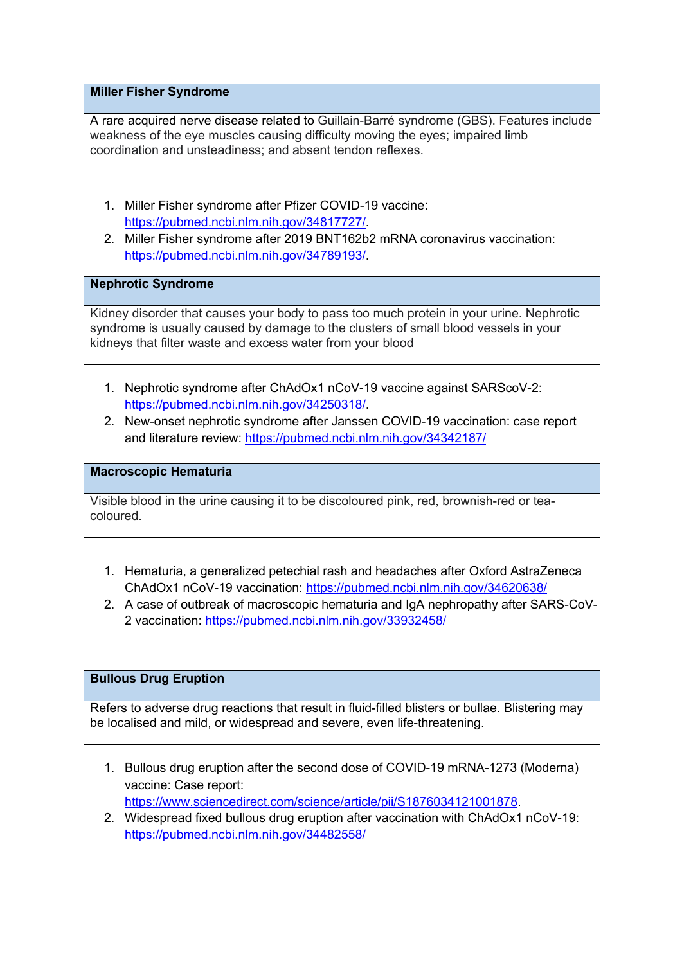### **Miller Fisher Syndrome**

A rare acquired nerve disease related to Guillain-Barré syndrome (GBS). Features include weakness of the eye muscles causing difficulty moving the eyes; impaired limb coordination and unsteadiness; and absent tendon reflexes.

- 1. Miller Fisher syndrome after Pfizer COVID-19 vaccine: https://pubmed.ncbi.nlm.nih.gov/34817727/.
- 2. Miller Fisher syndrome after 2019 BNT162b2 mRNA coronavirus vaccination: https://pubmed.ncbi.nlm.nih.gov/34789193/.

## **Nephrotic Syndrome**

Kidney disorder that causes your body to pass too much protein in your urine. Nephrotic syndrome is usually caused by damage to the clusters of small blood vessels in your kidneys that filter waste and excess water from your blood

- 1. Nephrotic syndrome after ChAdOx1 nCoV-19 vaccine against SARScoV-2: https://pubmed.ncbi.nlm.nih.gov/34250318/.
- 2. New-onset nephrotic syndrome after Janssen COVID-19 vaccination: case report and literature review: https://pubmed.ncbi.nlm.nih.gov/34342187/

#### **Macroscopic Hematuria**

Visible blood in the urine causing it to be discoloured pink, red, brownish-red or teacoloured.

- 1. Hematuria, a generalized petechial rash and headaches after Oxford AstraZeneca ChAdOx1 nCoV-19 vaccination: https://pubmed.ncbi.nlm.nih.gov/34620638/
- 2. A case of outbreak of macroscopic hematuria and IgA nephropathy after SARS-CoV-2 vaccination: https://pubmed.ncbi.nlm.nih.gov/33932458/

### **Bullous Drug Eruption**

Refers to adverse drug reactions that result in fluid-filled blisters or bullae. Blistering may be localised and mild, or widespread and severe, even life-threatening.

- 1. Bullous drug eruption after the second dose of COVID-19 mRNA-1273 (Moderna) vaccine: Case report: https://www.sciencedirect.com/science/article/pii/S1876034121001878.
- 2. Widespread fixed bullous drug eruption after vaccination with ChAdOx1 nCoV-19: https://pubmed.ncbi.nlm.nih.gov/34482558/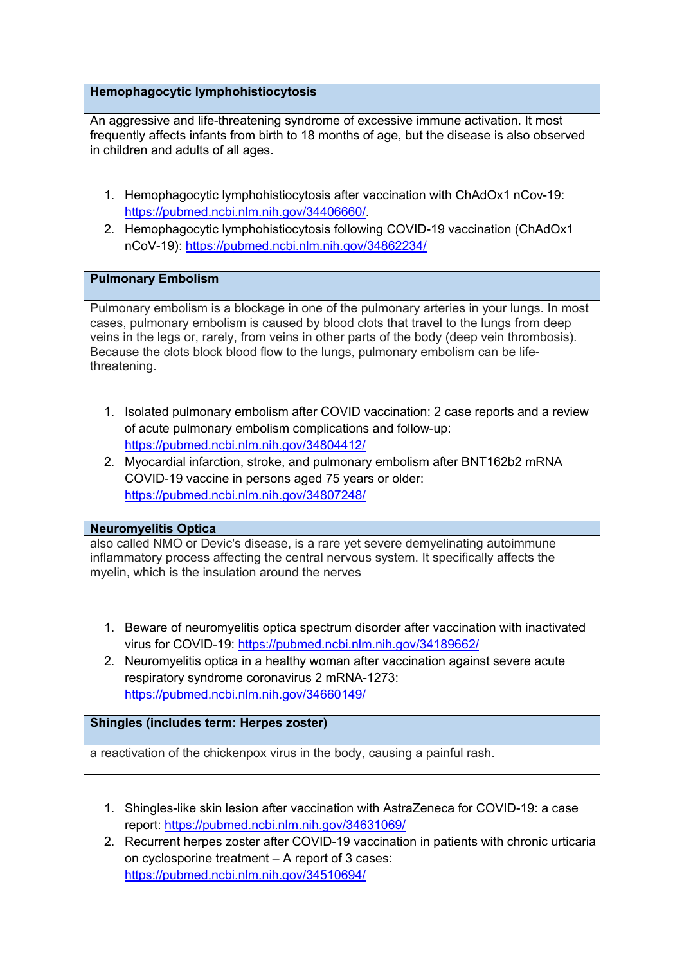## **Hemophagocytic lymphohistiocytosis**

An aggressive and life-threatening syndrome of excessive immune activation. It most frequently affects infants from birth to 18 months of age, but the disease is also observed in children and adults of all ages.

- 1. Hemophagocytic lymphohistiocytosis after vaccination with ChAdOx1 nCov-19: https://pubmed.ncbi.nlm.nih.gov/34406660/.
- 2. Hemophagocytic lymphohistiocytosis following COVID-19 vaccination (ChAdOx1 nCoV-19): https://pubmed.ncbi.nlm.nih.gov/34862234/

## **Pulmonary Embolism**

Pulmonary embolism is a blockage in one of the pulmonary arteries in your lungs. In most cases, pulmonary embolism is caused by blood clots that travel to the lungs from deep veins in the legs or, rarely, from veins in other parts of the body (deep vein thrombosis). Because the clots block blood flow to the lungs, pulmonary embolism can be lifethreatening.

- 1. Isolated pulmonary embolism after COVID vaccination: 2 case reports and a review of acute pulmonary embolism complications and follow-up: https://pubmed.ncbi.nlm.nih.gov/34804412/
- 2. Myocardial infarction, stroke, and pulmonary embolism after BNT162b2 mRNA COVID-19 vaccine in persons aged 75 years or older: https://pubmed.ncbi.nlm.nih.gov/34807248/

### **Neuromyelitis Optica**

also called NMO or Devic's disease, is a rare yet severe demyelinating autoimmune inflammatory process affecting the central nervous system. It specifically affects the myelin, which is the insulation around the nerves

- 1. Beware of neuromyelitis optica spectrum disorder after vaccination with inactivated virus for COVID-19: https://pubmed.ncbi.nlm.nih.gov/34189662/
- 2. Neuromyelitis optica in a healthy woman after vaccination against severe acute respiratory syndrome coronavirus 2 mRNA-1273: https://pubmed.ncbi.nlm.nih.gov/34660149/

## **Shingles (includes term: Herpes zoster)**

a reactivation of the chickenpox virus in the body, causing a painful rash.

- 1. Shingles-like skin lesion after vaccination with AstraZeneca for COVID-19: a case report: https://pubmed.ncbi.nlm.nih.gov/34631069/
- 2. Recurrent herpes zoster after COVID-19 vaccination in patients with chronic urticaria on cyclosporine treatment – A report of 3 cases: https://pubmed.ncbi.nlm.nih.gov/34510694/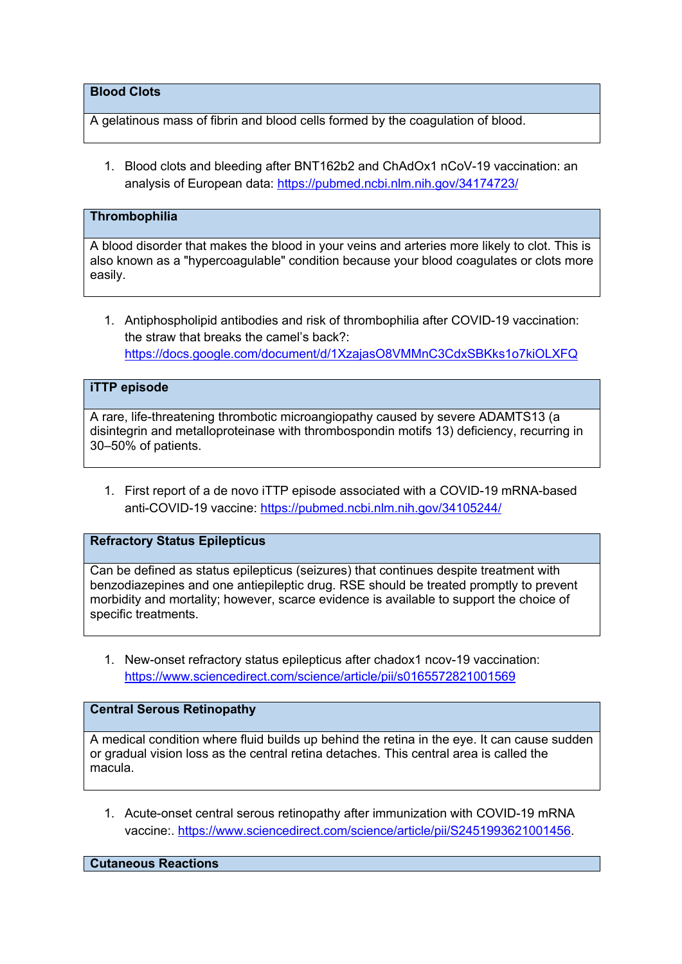## **Blood Clots**

A gelatinous mass of fibrin and blood cells formed by the coagulation of blood.

1. Blood clots and bleeding after BNT162b2 and ChAdOx1 nCoV-19 vaccination: an analysis of European data: https://pubmed.ncbi.nlm.nih.gov/34174723/

### **Thrombophilia**

A blood disorder that makes the blood in your veins and arteries more likely to clot. This is also known as a "hypercoagulable" condition because your blood coagulates or clots more easily.

1. Antiphospholipid antibodies and risk of thrombophilia after COVID-19 vaccination: the straw that breaks the camel's back?: https://docs.google.com/document/d/1XzajasO8VMMnC3CdxSBKks1o7kiOLXFQ

## **iTTP episode**

A rare, life-threatening thrombotic microangiopathy caused by severe ADAMTS13 (a disintegrin and metalloproteinase with thrombospondin motifs 13) deficiency, recurring in 30–50% of patients.

1. First report of a de novo iTTP episode associated with a COVID-19 mRNA-based anti-COVID-19 vaccine: https://pubmed.ncbi.nlm.nih.gov/34105244/

### **Refractory Status Epilepticus**

Can be defined as status epilepticus (seizures) that continues despite treatment with benzodiazepines and one antiepileptic drug. RSE should be treated promptly to prevent morbidity and mortality; however, scarce evidence is available to support the choice of specific treatments.

1. New-onset refractory status epilepticus after chadox1 ncov-19 vaccination: https://www.sciencedirect.com/science/article/pii/s0165572821001569

### **Central Serous Retinopathy**

A medical condition where fluid builds up behind the retina in the eye. It can cause sudden or gradual vision loss as the central retina detaches. This central area is called the macula.

1. Acute-onset central serous retinopathy after immunization with COVID-19 mRNA vaccine:. https://www.sciencedirect.com/science/article/pii/S2451993621001456.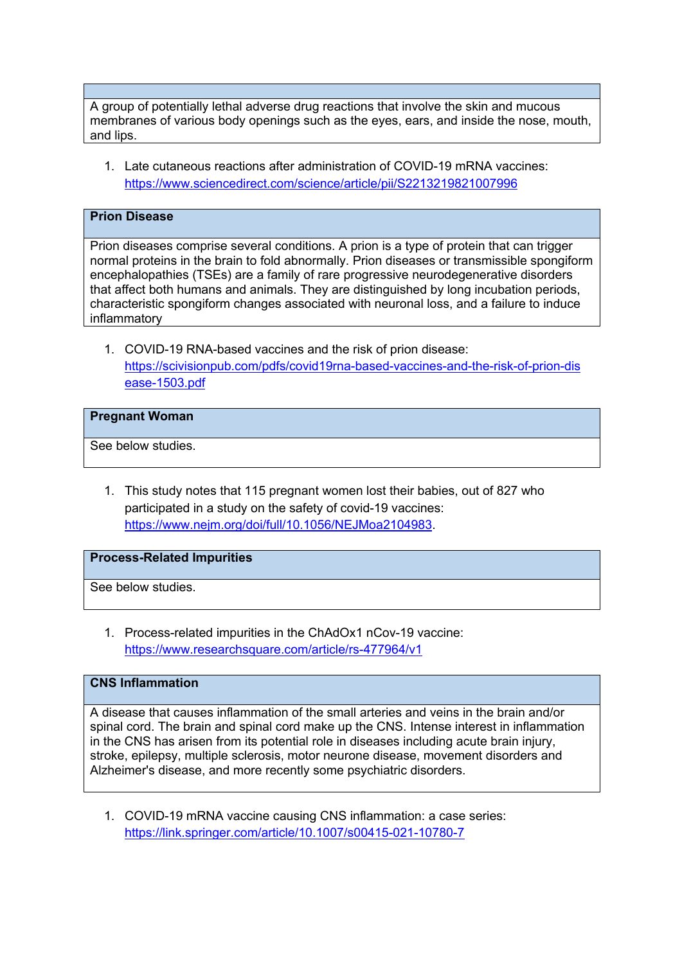A group of potentially lethal adverse drug reactions that involve the skin and mucous membranes of various body openings such as the eyes, ears, and inside the nose, mouth, and lips.

1. Late cutaneous reactions after administration of COVID-19 mRNA vaccines: https://www.sciencedirect.com/science/article/pii/S2213219821007996

## **Prion Disease**

Prion diseases comprise several conditions. A prion is a type of protein that can trigger normal proteins in the brain to fold abnormally. Prion diseases or transmissible spongiform encephalopathies (TSEs) are a family of rare progressive neurodegenerative disorders that affect both humans and animals. They are distinguished by long incubation periods, characteristic spongiform changes associated with neuronal loss, and a failure to induce inflammatory

1. COVID-19 RNA-based vaccines and the risk of prion disease: https://scivisionpub.com/pdfs/covid19rna-based-vaccines-and-the-risk-of-prion-dis ease-1503.pdf

#### **Pregnant Woman**

See below studies.

1. This study notes that 115 pregnant women lost their babies, out of 827 who participated in a study on the safety of covid-19 vaccines: https://www.nejm.org/doi/full/10.1056/NEJMoa2104983.

### **Process-Related Impurities**

See below studies.

1. Process-related impurities in the ChAdOx1 nCov-19 vaccine: https://www.researchsquare.com/article/rs-477964/v1

## **CNS Inflammation**

A disease that causes inflammation of the small arteries and veins in the brain and/or spinal cord. The brain and spinal cord make up the CNS. Intense interest in inflammation in the CNS has arisen from its potential role in diseases including acute brain injury, stroke, epilepsy, multiple sclerosis, motor neurone disease, movement disorders and Alzheimer's disease, and more recently some psychiatric disorders.

1. COVID-19 mRNA vaccine causing CNS inflammation: a case series: https://link.springer.com/article/10.1007/s00415-021-10780-7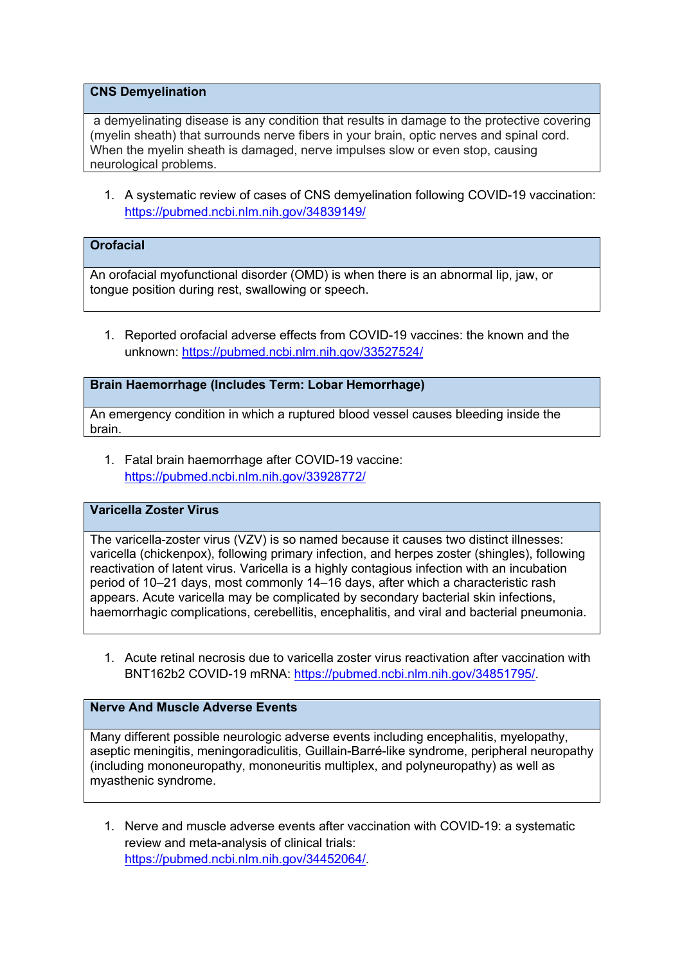### **CNS Demyelination**

a demyelinating disease is any condition that results in damage to the protective covering (myelin sheath) that surrounds nerve fibers in your brain, optic nerves and spinal cord. When the myelin sheath is damaged, nerve impulses slow or even stop, causing neurological problems.

1. A systematic review of cases of CNS demyelination following COVID-19 vaccination: https://pubmed.ncbi.nlm.nih.gov/34839149/

## **Orofacial**

An orofacial myofunctional disorder (OMD) is when there is an abnormal lip, jaw, or tongue position during rest, swallowing or speech.

1. Reported orofacial adverse effects from COVID-19 vaccines: the known and the unknown: https://pubmed.ncbi.nlm.nih.gov/33527524/

### **Brain Haemorrhage (Includes Term: Lobar Hemorrhage)**

An emergency condition in which a ruptured blood vessel causes bleeding inside the brain.

1. Fatal brain haemorrhage after COVID-19 vaccine: https://pubmed.ncbi.nlm.nih.gov/33928772/

#### **Varicella Zoster Virus**

The varicella-zoster virus (VZV) is so named because it causes two distinct illnesses: varicella (chickenpox), following primary infection, and herpes zoster (shingles), following reactivation of latent virus. Varicella is a highly contagious infection with an incubation period of 10–21 days, most commonly 14–16 days, after which a characteristic rash appears. Acute varicella may be complicated by secondary bacterial skin infections, haemorrhagic complications, cerebellitis, encephalitis, and viral and bacterial pneumonia.

1. Acute retinal necrosis due to varicella zoster virus reactivation after vaccination with BNT162b2 COVID-19 mRNA: https://pubmed.ncbi.nlm.nih.gov/34851795/.

### **Nerve And Muscle Adverse Events**

Many different possible neurologic adverse events including encephalitis, myelopathy, aseptic meningitis, meningoradiculitis, Guillain-Barré-like syndrome, peripheral neuropathy (including mononeuropathy, mononeuritis multiplex, and polyneuropathy) as well as myasthenic syndrome.

1. Nerve and muscle adverse events after vaccination with COVID-19: a systematic review and meta-analysis of clinical trials: https://pubmed.ncbi.nlm.nih.gov/34452064/.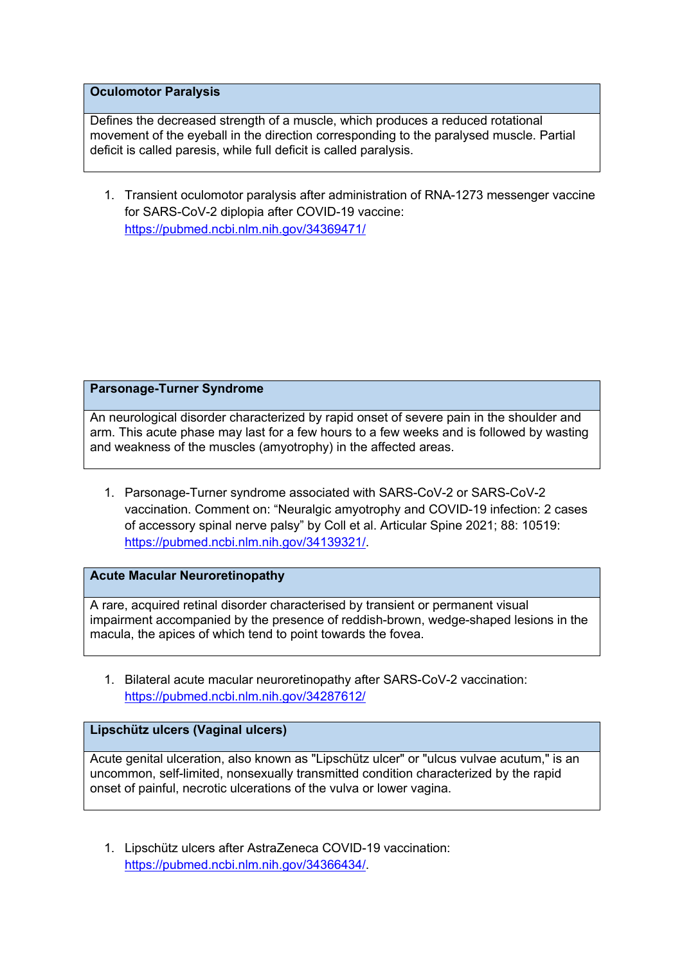### **Oculomotor Paralysis**

Defines the decreased strength of a muscle, which produces a reduced rotational movement of the eyeball in the direction corresponding to the paralysed muscle. Partial deficit is called paresis, while full deficit is called paralysis.

1. Transient oculomotor paralysis after administration of RNA-1273 messenger vaccine for SARS-CoV-2 diplopia after COVID-19 vaccine: https://pubmed.ncbi.nlm.nih.gov/34369471/

### **Parsonage-Turner Syndrome**

An neurological disorder characterized by rapid onset of severe pain in the shoulder and arm. This acute phase may last for a few hours to a few weeks and is followed by wasting and weakness of the muscles (amyotrophy) in the affected areas.

1. Parsonage-Turner syndrome associated with SARS-CoV-2 or SARS-CoV-2 vaccination. Comment on: "Neuralgic amyotrophy and COVID-19 infection: 2 cases of accessory spinal nerve palsy" by Coll et al. Articular Spine 2021; 88: 10519: https://pubmed.ncbi.nlm.nih.gov/34139321/.

#### **Acute Macular Neuroretinopathy**

A rare, acquired retinal disorder characterised by transient or permanent visual impairment accompanied by the presence of reddish-brown, wedge-shaped lesions in the macula, the apices of which tend to point towards the fovea.

1. Bilateral acute macular neuroretinopathy after SARS-CoV-2 vaccination: https://pubmed.ncbi.nlm.nih.gov/34287612/

### **Lipschütz ulcers (Vaginal ulcers)**

Acute genital ulceration, also known as "Lipschütz ulcer" or "ulcus vulvae acutum," is an uncommon, self-limited, nonsexually transmitted condition characterized by the rapid onset of painful, necrotic ulcerations of the vulva or lower vagina.

1. Lipschütz ulcers after AstraZeneca COVID-19 vaccination: https://pubmed.ncbi.nlm.nih.gov/34366434/.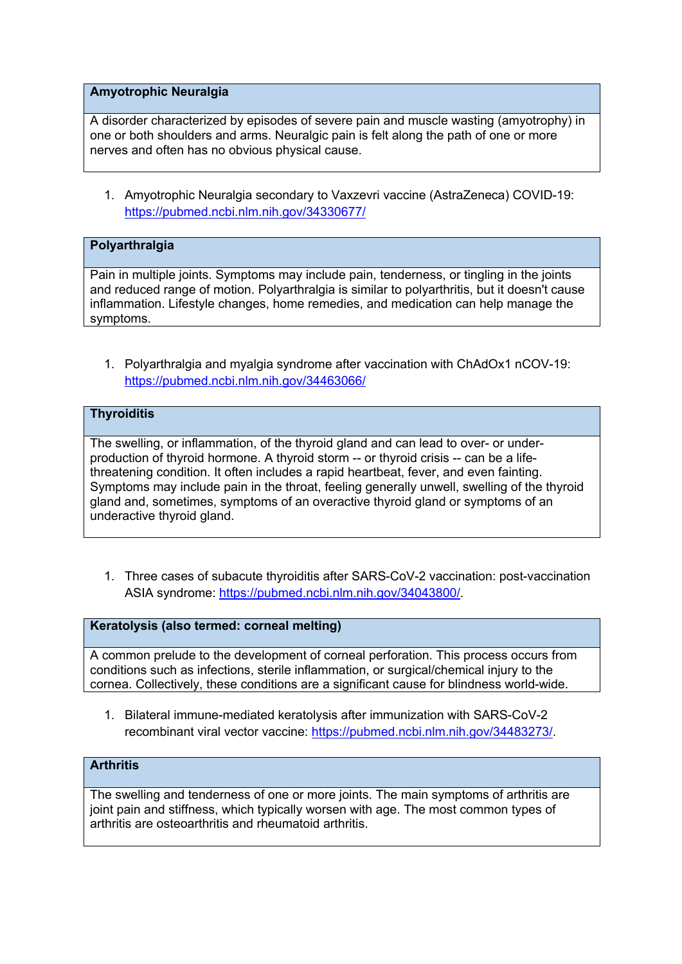### **Amyotrophic Neuralgia**

A disorder characterized by episodes of severe pain and muscle wasting (amyotrophy) in one or both shoulders and arms. Neuralgic pain is felt along the path of one or more nerves and often has no obvious physical cause.

1. Amyotrophic Neuralgia secondary to Vaxzevri vaccine (AstraZeneca) COVID-19: https://pubmed.ncbi.nlm.nih.gov/34330677/

## **Polyarthralgia**

Pain in multiple joints. Symptoms may include pain, tenderness, or tingling in the joints and reduced range of motion. Polyarthralgia is similar to polyarthritis, but it doesn't cause inflammation. Lifestyle changes, home remedies, and medication can help manage the symptoms.

1. Polyarthralgia and myalgia syndrome after vaccination with ChAdOx1 nCOV-19: https://pubmed.ncbi.nlm.nih.gov/34463066/

## **Thyroiditis**

The swelling, or inflammation, of the thyroid gland and can lead to over- or underproduction of thyroid hormone. A thyroid storm -- or thyroid crisis -- can be a lifethreatening condition. It often includes a rapid heartbeat, fever, and even fainting. Symptoms may include pain in the throat, feeling generally unwell, swelling of the thyroid gland and, sometimes, symptoms of an overactive thyroid gland or symptoms of an underactive thyroid gland.

1. Three cases of subacute thyroiditis after SARS-CoV-2 vaccination: post-vaccination ASIA syndrome: https://pubmed.ncbi.nlm.nih.gov/34043800/.

#### **Keratolysis (also termed: corneal melting)**

A common prelude to the development of corneal perforation. This process occurs from conditions such as infections, sterile inflammation, or surgical/chemical injury to the cornea. Collectively, these conditions are a significant cause for blindness world-wide.

1. Bilateral immune-mediated keratolysis after immunization with SARS-CoV-2 recombinant viral vector vaccine: https://pubmed.ncbi.nlm.nih.gov/34483273/.

## **Arthritis**

The swelling and tenderness of one or more joints. The main symptoms of arthritis are joint pain and stiffness, which typically worsen with age. The most common types of arthritis are osteoarthritis and rheumatoid arthritis.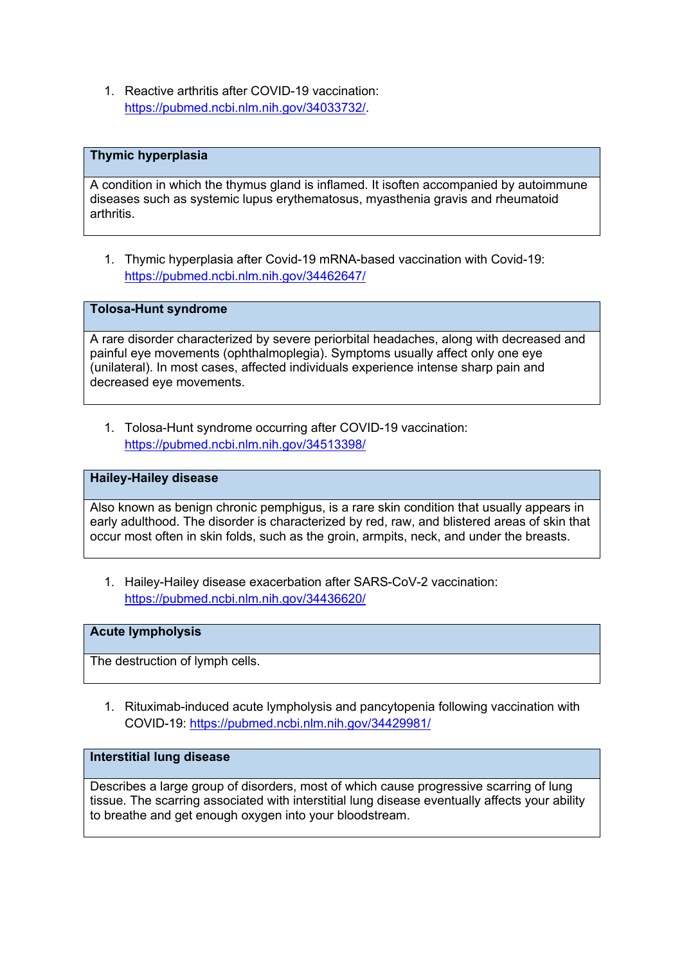1. Reactive arthritis after COVID-19 vaccination: https://pubmed.ncbi.nlm.nih.gov/34033732/.

### **Thymic hyperplasia**

A condition in which the thymus gland is inflamed. It isoften accompanied by autoimmune diseases such as systemic lupus erythematosus, myasthenia gravis and rheumatoid arthritis.

1. Thymic hyperplasia after Covid-19 mRNA-based vaccination with Covid-19: https://pubmed.ncbi.nlm.nih.gov/34462647/

**Tolosa-Hunt syndrome**

A rare disorder characterized by severe periorbital headaches, along with decreased and painful eye movements (ophthalmoplegia). Symptoms usually affect only one eye (unilateral). In most cases, affected individuals experience intense sharp pain and decreased eye movements.

1. Tolosa-Hunt syndrome occurring after COVID-19 vaccination: https://pubmed.ncbi.nlm.nih.gov/34513398/

#### **Hailey-Hailey disease**

Also known as benign chronic pemphigus, is a rare skin condition that usually appears in early adulthood. The disorder is characterized by red, raw, and blistered areas of skin that occur most often in skin folds, such as the groin, armpits, neck, and under the breasts.

1. Hailey-Hailey disease exacerbation after SARS-CoV-2 vaccination: https://pubmed.ncbi.nlm.nih.gov/34436620/

#### **Acute lympholysis**

The destruction of lymph cells.

1. Rituximab-induced acute lympholysis and pancytopenia following vaccination with COVID-19: https://pubmed.ncbi.nlm.nih.gov/34429981/

#### **Interstitial lung disease**

Describes a large group of disorders, most of which cause progressive scarring of lung tissue. The scarring associated with interstitial lung disease eventually affects your ability to breathe and get enough oxygen into your bloodstream.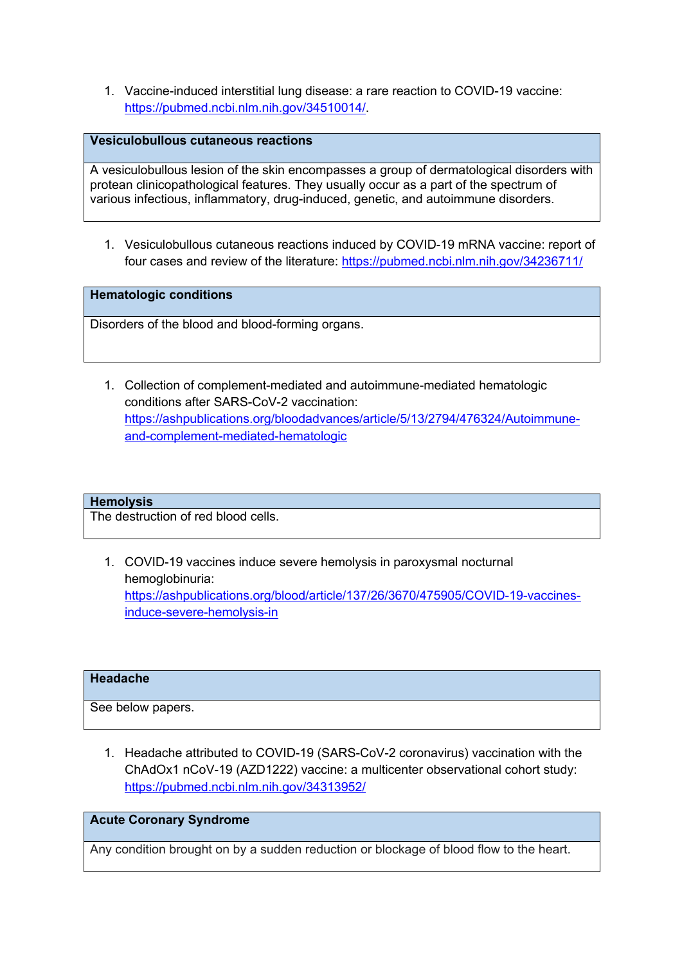1. Vaccine-induced interstitial lung disease: a rare reaction to COVID-19 vaccine: https://pubmed.ncbi.nlm.nih.gov/34510014/.

### **Vesiculobullous cutaneous reactions**

A vesiculobullous lesion of the skin encompasses a group of dermatological disorders with protean clinicopathological features. They usually occur as a part of the spectrum of various infectious, inflammatory, drug-induced, genetic, and autoimmune disorders.

1. Vesiculobullous cutaneous reactions induced by COVID-19 mRNA vaccine: report of four cases and review of the literature: https://pubmed.ncbi.nlm.nih.gov/34236711/

**Hematologic conditions**

Disorders of the blood and blood-forming organs.

1. Collection of complement-mediated and autoimmune-mediated hematologic conditions after SARS-CoV-2 vaccination: https://ashpublications.org/bloodadvances/article/5/13/2794/476324/Autoimmuneand-complement-mediated-hematologic

#### **Hemolysis**

The destruction of red blood cells.

1. COVID-19 vaccines induce severe hemolysis in paroxysmal nocturnal hemoglobinuria: https://ashpublications.org/blood/article/137/26/3670/475905/COVID-19-vaccinesinduce-severe-hemolysis-in

#### **Headache**

See below papers.

1. Headache attributed to COVID-19 (SARS-CoV-2 coronavirus) vaccination with the ChAdOx1 nCoV-19 (AZD1222) vaccine: a multicenter observational cohort study: https://pubmed.ncbi.nlm.nih.gov/34313952/

### **Acute Coronary Syndrome**

Any condition brought on by a sudden reduction or blockage of blood flow to the heart.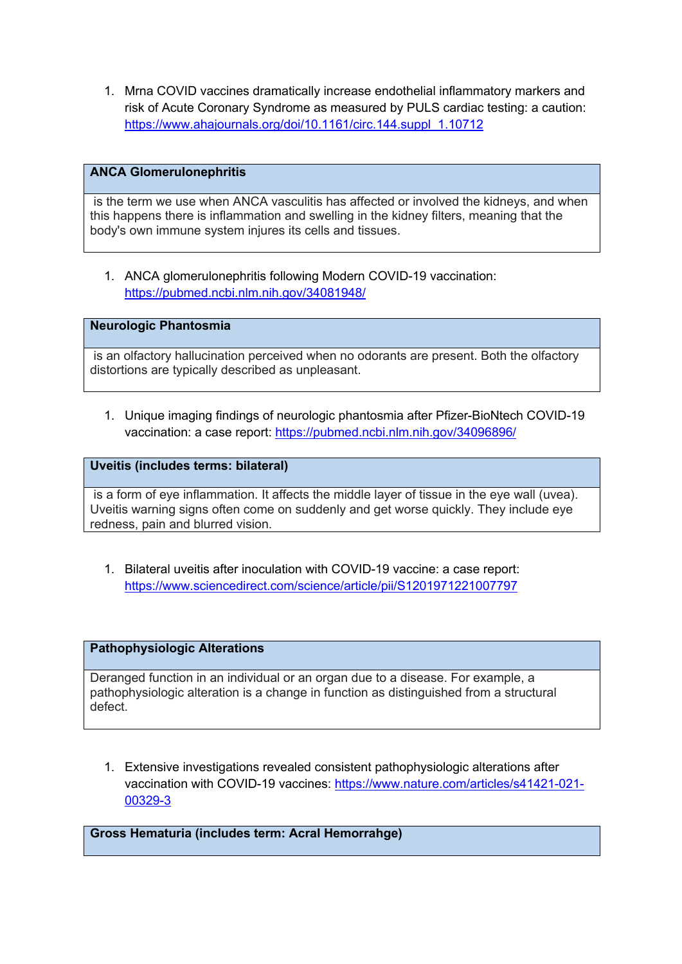1. Mrna COVID vaccines dramatically increase endothelial inflammatory markers and risk of Acute Coronary Syndrome as measured by PULS cardiac testing: a caution: https://www.ahajournals.org/doi/10.1161/circ.144.suppl\_1.10712

### **ANCA Glomerulonephritis**

is the term we use when ANCA vasculitis has affected or involved the kidneys, and when this happens there is inflammation and swelling in the kidney filters, meaning that the body's own immune system injures its cells and tissues.

1. ANCA glomerulonephritis following Modern COVID-19 vaccination: https://pubmed.ncbi.nlm.nih.gov/34081948/

**Neurologic Phantosmia**

is an olfactory hallucination perceived when no odorants are present. Both the olfactory distortions are typically described as unpleasant.

1. Unique imaging findings of neurologic phantosmia after Pfizer-BioNtech COVID-19 vaccination: a case report: https://pubmed.ncbi.nlm.nih.gov/34096896/

**Uveitis (includes terms: bilateral)** 

is a form of eye inflammation. It affects the middle layer of tissue in the eye wall (uvea). Uveitis warning signs often come on suddenly and get worse quickly. They include eye redness, pain and blurred vision.

1. Bilateral uveitis after inoculation with COVID-19 vaccine: a case report: https://www.sciencedirect.com/science/article/pii/S1201971221007797

### **Pathophysiologic Alterations**

Deranged function in an individual or an organ due to a disease. For example, a pathophysiologic alteration is a change in function as distinguished from a structural defect.

1. Extensive investigations revealed consistent pathophysiologic alterations after vaccination with COVID-19 vaccines: https://www.nature.com/articles/s41421-021- 00329-3

**Gross Hematuria (includes term: Acral Hemorrahge)**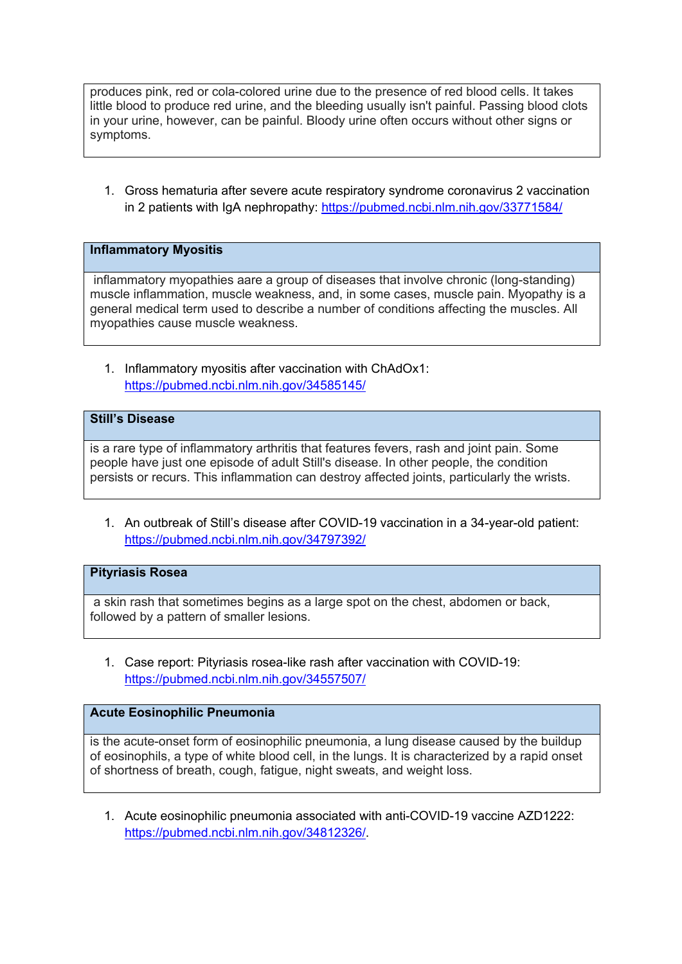produces pink, red or cola-colored urine due to the presence of red blood cells. It takes little blood to produce red urine, and the bleeding usually isn't painful. Passing blood clots in your urine, however, can be painful. Bloody urine often occurs without other signs or symptoms.

1. Gross hematuria after severe acute respiratory syndrome coronavirus 2 vaccination in 2 patients with IgA nephropathy: https://pubmed.ncbi.nlm.nih.gov/33771584/

### **Inflammatory Myositis**

inflammatory myopathies aare a group of diseases that involve chronic (long-standing) muscle inflammation, muscle weakness, and, in some cases, muscle pain. Myopathy is a general medical term used to describe a number of conditions affecting the muscles. All myopathies cause muscle weakness.

1. Inflammatory myositis after vaccination with ChAdOx1: https://pubmed.ncbi.nlm.nih.gov/34585145/

### **Still's Disease**

is a rare type of inflammatory arthritis that features fevers, rash and joint pain. Some people have just one episode of adult Still's disease. In other people, the condition persists or recurs. This inflammation can destroy affected joints, particularly the wrists.

1. An outbreak of Still's disease after COVID-19 vaccination in a 34-year-old patient: https://pubmed.ncbi.nlm.nih.gov/34797392/

### **Pityriasis Rosea**

a skin rash that sometimes begins as a large spot on the chest, abdomen or back, followed by a pattern of smaller lesions.

1. Case report: Pityriasis rosea-like rash after vaccination with COVID-19: https://pubmed.ncbi.nlm.nih.gov/34557507/

## **Acute Eosinophilic Pneumonia**

is the acute-onset form of eosinophilic pneumonia, a lung disease caused by the buildup of eosinophils, a type of white blood cell, in the lungs. It is characterized by a rapid onset of shortness of breath, cough, fatigue, night sweats, and weight loss.

1. Acute eosinophilic pneumonia associated with anti-COVID-19 vaccine AZD1222: https://pubmed.ncbi.nlm.nih.gov/34812326/.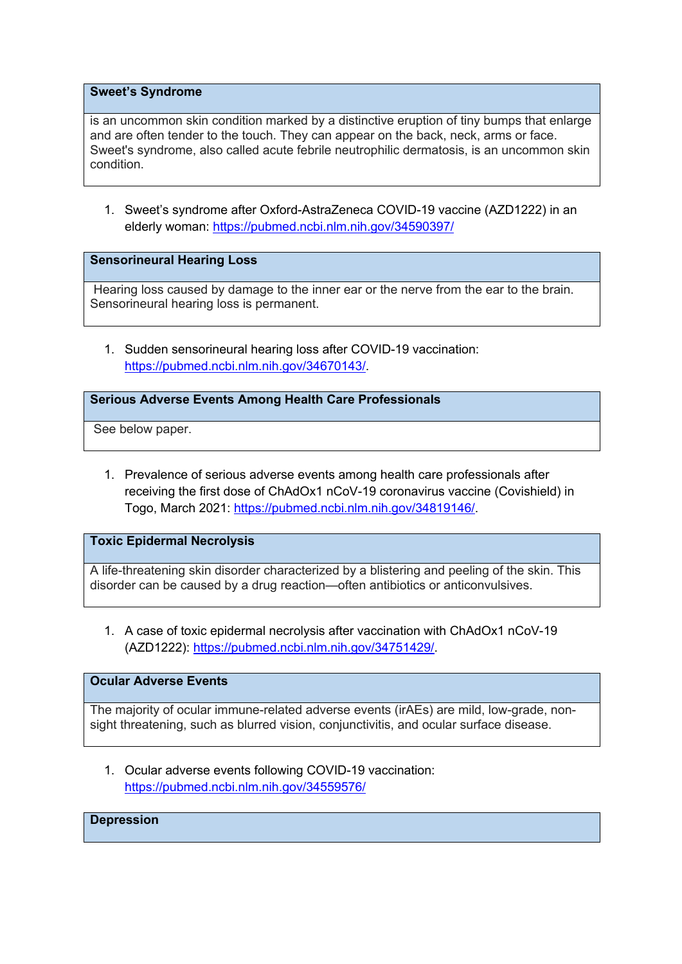#### **Sweet's Syndrome**

is an uncommon skin condition marked by a distinctive eruption of tiny bumps that enlarge and are often tender to the touch. They can appear on the back, neck, arms or face. Sweet's syndrome, also called acute febrile neutrophilic dermatosis, is an uncommon skin condition.

1. Sweet's syndrome after Oxford-AstraZeneca COVID-19 vaccine (AZD1222) in an elderly woman: https://pubmed.ncbi.nlm.nih.gov/34590397/

#### **Sensorineural Hearing Loss**

Hearing loss caused by damage to the inner ear or the nerve from the ear to the brain. Sensorineural hearing loss is permanent.

1. Sudden sensorineural hearing loss after COVID-19 vaccination: https://pubmed.ncbi.nlm.nih.gov/34670143/.

### **Serious Adverse Events Among Health Care Professionals**

See below paper.

1. Prevalence of serious adverse events among health care professionals after receiving the first dose of ChAdOx1 nCoV-19 coronavirus vaccine (Covishield) in Togo, March 2021: https://pubmed.ncbi.nlm.nih.gov/34819146/.

### **Toxic Epidermal Necrolysis**

A life-threatening skin disorder characterized by a blistering and peeling of the skin. This disorder can be caused by a drug reaction—often antibiotics or anticonvulsives.

1. A case of toxic epidermal necrolysis after vaccination with ChAdOx1 nCoV-19 (AZD1222): https://pubmed.ncbi.nlm.nih.gov/34751429/.

## **Ocular Adverse Events**

The majority of ocular immune-related adverse events (irAEs) are mild, low-grade, nonsight threatening, such as blurred vision, conjunctivitis, and ocular surface disease.

1. Ocular adverse events following COVID-19 vaccination: https://pubmed.ncbi.nlm.nih.gov/34559576/

## **Depression**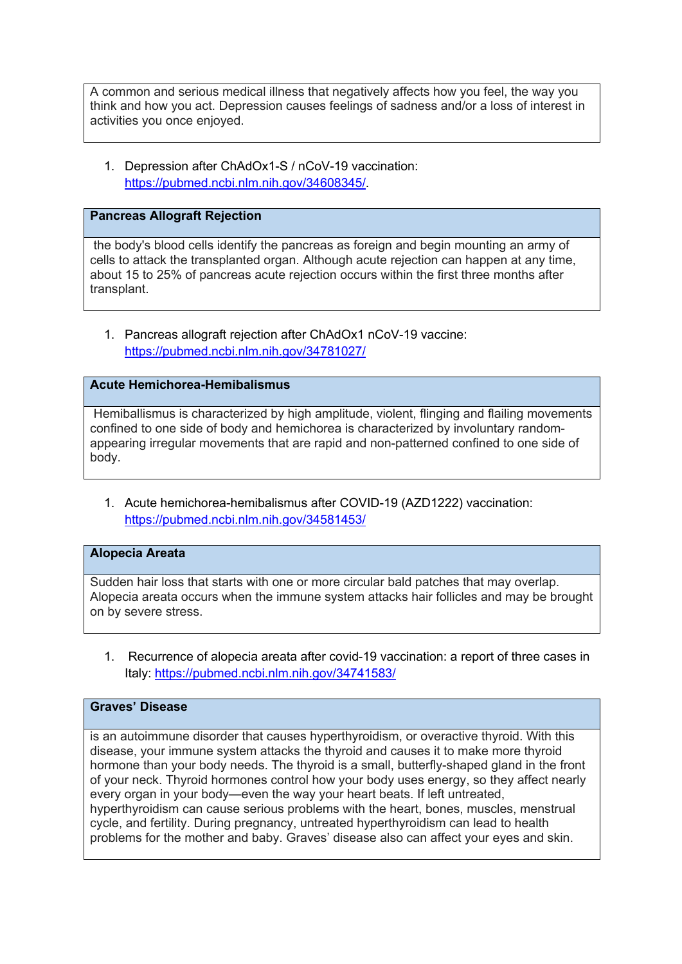A common and serious medical illness that negatively affects how you feel, the way you think and how you act. Depression causes feelings of sadness and/or a loss of interest in activities you once enjoyed.

1. Depression after ChAdOx1-S / nCoV-19 vaccination: https://pubmed.ncbi.nlm.nih.gov/34608345/.

### **Pancreas Allograft Rejection**

the body's blood cells identify the pancreas as foreign and begin mounting an army of cells to attack the transplanted organ. Although acute rejection can happen at any time, about 15 to 25% of pancreas acute rejection occurs within the first three months after transplant.

1. Pancreas allograft rejection after ChAdOx1 nCoV-19 vaccine: https://pubmed.ncbi.nlm.nih.gov/34781027/

## **Acute Hemichorea-Hemibalismus**

Hemiballismus is characterized by high amplitude, violent, flinging and flailing movements confined to one side of body and hemichorea is characterized by involuntary randomappearing irregular movements that are rapid and non-patterned confined to one side of body.

1. Acute hemichorea-hemibalismus after COVID-19 (AZD1222) vaccination: https://pubmed.ncbi.nlm.nih.gov/34581453/

### **Alopecia Areata**

Sudden hair loss that starts with one or more circular bald patches that may overlap. Alopecia areata occurs when the immune system attacks hair follicles and may be brought on by severe stress.

1. Recurrence of alopecia areata after covid-19 vaccination: a report of three cases in Italy: https://pubmed.ncbi.nlm.nih.gov/34741583/

# **Graves' Disease**

is an autoimmune disorder that causes hyperthyroidism, or overactive thyroid. With this disease, your immune system attacks the thyroid and causes it to make more thyroid hormone than your body needs. The thyroid is a small, butterfly-shaped gland in the front of your neck. Thyroid hormones control how your body uses energy, so they affect nearly every organ in your body—even the way your heart beats. If left untreated, hyperthyroidism can cause serious problems with the heart, bones, muscles, menstrual cycle, and fertility. During pregnancy, untreated hyperthyroidism can lead to health problems for the mother and baby. Graves' disease also can affect your eyes and skin.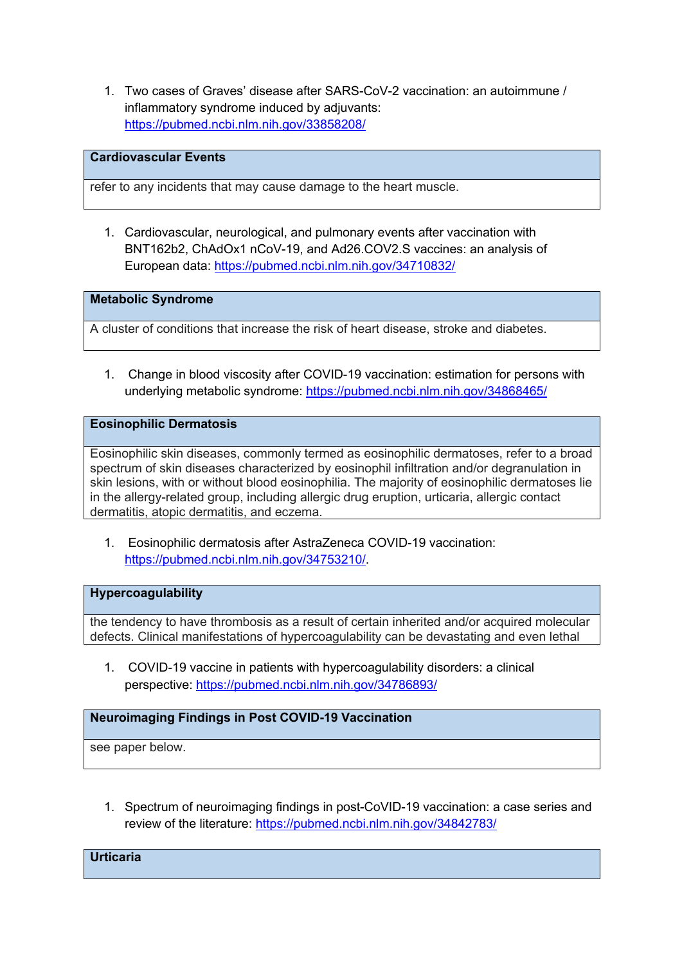1. Two cases of Graves' disease after SARS-CoV-2 vaccination: an autoimmune / inflammatory syndrome induced by adjuvants: https://pubmed.ncbi.nlm.nih.gov/33858208/

# **Cardiovascular Events**

refer to any incidents that may cause damage to the heart muscle.

1. Cardiovascular, neurological, and pulmonary events after vaccination with BNT162b2, ChAdOx1 nCoV-19, and Ad26.COV2.S vaccines: an analysis of European data: https://pubmed.ncbi.nlm.nih.gov/34710832/

**Metabolic Syndrome** 

A cluster of conditions that increase the risk of heart disease, stroke and diabetes.

1. Change in blood viscosity after COVID-19 vaccination: estimation for persons with underlying metabolic syndrome: https://pubmed.ncbi.nlm.nih.gov/34868465/

# **Eosinophilic Dermatosis**

Eosinophilic skin diseases, commonly termed as eosinophilic dermatoses, refer to a broad spectrum of skin diseases characterized by eosinophil infiltration and/or degranulation in skin lesions, with or without blood eosinophilia. The majority of eosinophilic dermatoses lie in the allergy-related group, including allergic drug eruption, urticaria, allergic contact dermatitis, atopic dermatitis, and eczema.

1. Eosinophilic dermatosis after AstraZeneca COVID-19 vaccination: https://pubmed.ncbi.nlm.nih.gov/34753210/.

#### **Hypercoagulability**

the tendency to have thrombosis as a result of certain inherited and/or acquired molecular defects. Clinical manifestations of hypercoagulability can be devastating and even lethal

1. COVID-19 vaccine in patients with hypercoagulability disorders: a clinical perspective: https://pubmed.ncbi.nlm.nih.gov/34786893/

# **Neuroimaging Findings in Post COVID-19 Vaccination**

see paper below.

1. Spectrum of neuroimaging findings in post-CoVID-19 vaccination: a case series and review of the literature: https://pubmed.ncbi.nlm.nih.gov/34842783/

**Urticaria**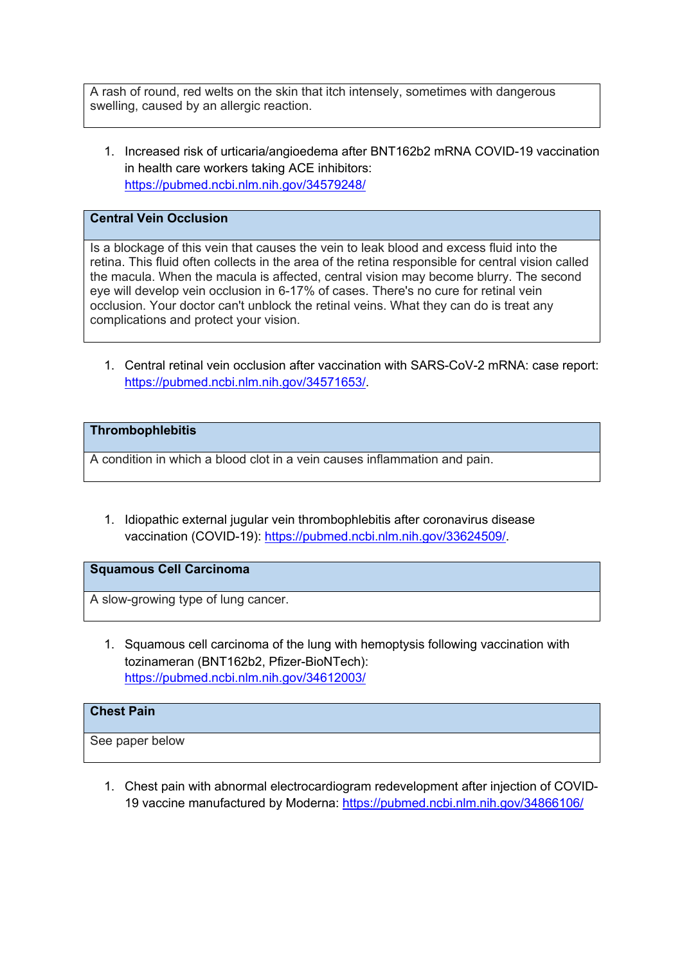A rash of round, red welts on the skin that itch intensely, sometimes with dangerous swelling, caused by an allergic reaction.

1. Increased risk of urticaria/angioedema after BNT162b2 mRNA COVID-19 vaccination in health care workers taking ACE inhibitors: https://pubmed.ncbi.nlm.nih.gov/34579248/

# **Central Vein Occlusion**

Is a blockage of this vein that causes the vein to leak blood and excess fluid into the retina. This fluid often collects in the area of the retina responsible for central vision called the macula. When the macula is affected, central vision may become blurry. The second eye will develop vein occlusion in 6-17% of cases. There's no cure for retinal vein occlusion. Your doctor can't unblock the retinal veins. What they can do is treat any complications and protect your vision.

1. Central retinal vein occlusion after vaccination with SARS-CoV-2 mRNA: case report: https://pubmed.ncbi.nlm.nih.gov/34571653/.

# **Thrombophlebitis**

A condition in which a blood clot in a vein causes inflammation and pain.

1. Idiopathic external jugular vein thrombophlebitis after coronavirus disease vaccination (COVID-19): https://pubmed.ncbi.nlm.nih.gov/33624509/.

# **Squamous Cell Carcinoma**

A slow-growing type of lung cancer.

1. Squamous cell carcinoma of the lung with hemoptysis following vaccination with tozinameran (BNT162b2, Pfizer-BioNTech): https://pubmed.ncbi.nlm.nih.gov/34612003/

# **Chest Pain**

See paper below

1. Chest pain with abnormal electrocardiogram redevelopment after injection of COVID-19 vaccine manufactured by Moderna: https://pubmed.ncbi.nlm.nih.gov/34866106/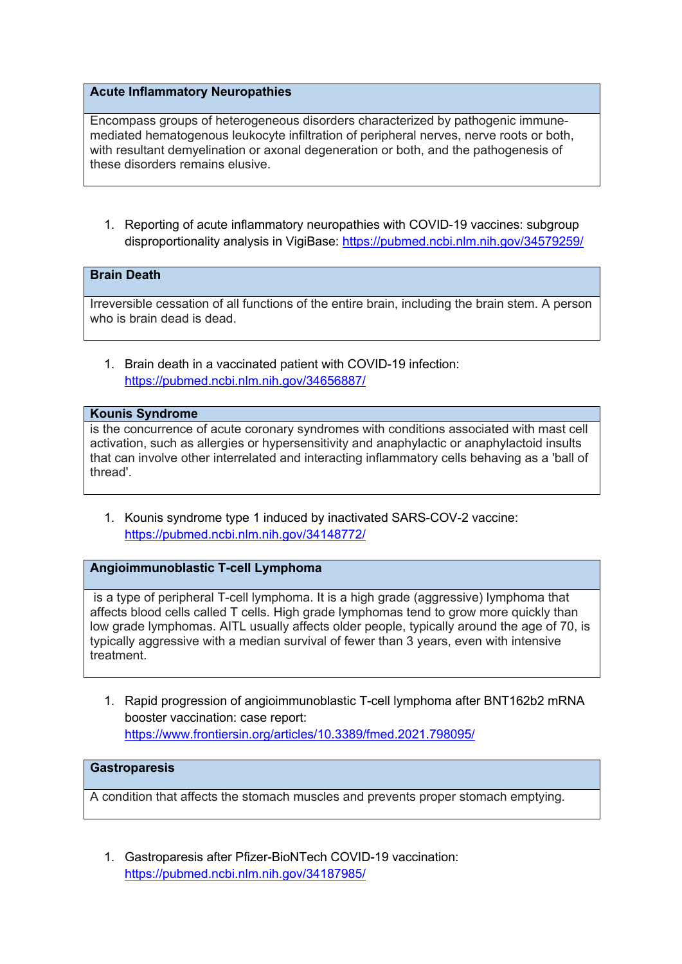# **Acute Inflammatory Neuropathies**

Encompass groups of heterogeneous disorders characterized by pathogenic immunemediated hematogenous leukocyte infiltration of peripheral nerves, nerve roots or both, with resultant demyelination or axonal degeneration or both, and the pathogenesis of these disorders remains elusive.

1. Reporting of acute inflammatory neuropathies with COVID-19 vaccines: subgroup disproportionality analysis in VigiBase: https://pubmed.ncbi.nlm.nih.gov/34579259/

# **Brain Death**

Irreversible cessation of all functions of the entire brain, including the brain stem. A person who is brain dead is dead.

1. Brain death in a vaccinated patient with COVID-19 infection: https://pubmed.ncbi.nlm.nih.gov/34656887/

#### **Kounis Syndrome**

is the concurrence of acute coronary syndromes with conditions associated with mast cell activation, such as allergies or hypersensitivity and anaphylactic or anaphylactoid insults that can involve other interrelated and interacting inflammatory cells behaving as a 'ball of thread'.

1. Kounis syndrome type 1 induced by inactivated SARS-COV-2 vaccine: https://pubmed.ncbi.nlm.nih.gov/34148772/

#### **Angioimmunoblastic T-cell Lymphoma**

is a type of peripheral T-cell lymphoma. It is a high grade (aggressive) lymphoma that affects blood cells called T cells. High grade lymphomas tend to grow more quickly than low grade lymphomas. AITL usually affects older people, typically around the age of 70, is typically aggressive with a median survival of fewer than 3 years, even with intensive treatment.

1. Rapid progression of angioimmunoblastic T-cell lymphoma after BNT162b2 mRNA booster vaccination: case report: https://www.frontiersin.org/articles/10.3389/fmed.2021.798095/

#### **Gastroparesis**

A condition that affects the stomach muscles and prevents proper stomach emptying.

1. Gastroparesis after Pfizer-BioNTech COVID-19 vaccination: https://pubmed.ncbi.nlm.nih.gov/34187985/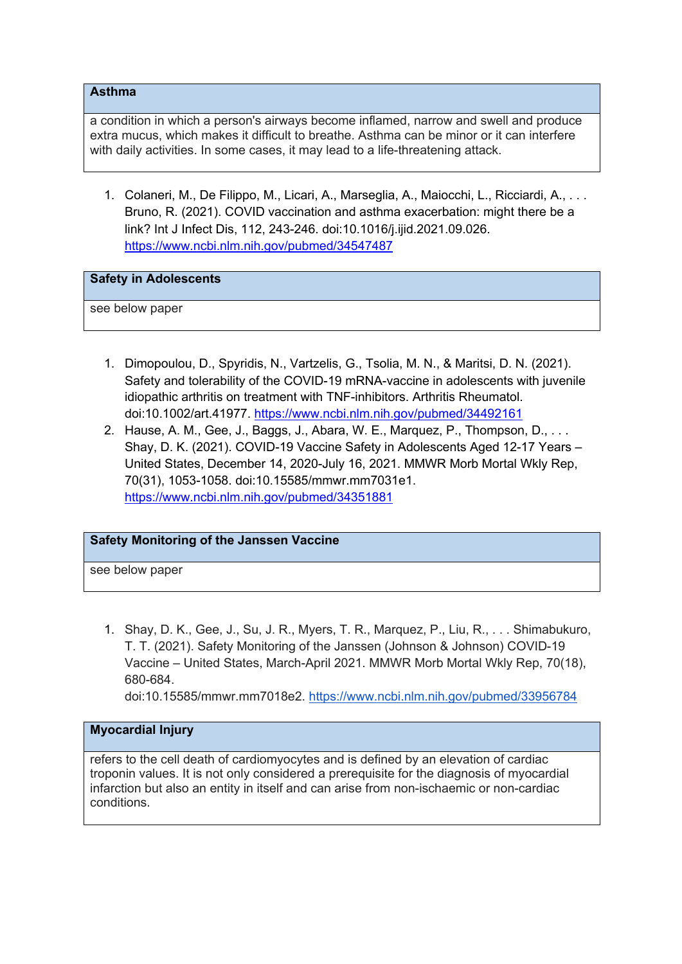### **Asthma**

a condition in which a person's airways become inflamed, narrow and swell and produce extra mucus, which makes it difficult to breathe. Asthma can be minor or it can interfere with daily activities. In some cases, it may lead to a life-threatening attack.

1. Colaneri, M., De Filippo, M., Licari, A., Marseglia, A., Maiocchi, L., Ricciardi, A., . . . Bruno, R. (2021). COVID vaccination and asthma exacerbation: might there be a link? Int J Infect Dis, 112, 243-246. doi:10.1016/j.ijid.2021.09.026. https://www.ncbi.nlm.nih.gov/pubmed/34547487

### **Safety in Adolescents**

see below paper

- 1. Dimopoulou, D., Spyridis, N., Vartzelis, G., Tsolia, M. N., & Maritsi, D. N. (2021). Safety and tolerability of the COVID-19 mRNA-vaccine in adolescents with juvenile idiopathic arthritis on treatment with TNF-inhibitors. Arthritis Rheumatol. doi:10.1002/art.41977. https://www.ncbi.nlm.nih.gov/pubmed/34492161
- 2. Hause, A. M., Gee, J., Baggs, J., Abara, W. E., Marquez, P., Thompson, D., . . . Shay, D. K. (2021). COVID-19 Vaccine Safety in Adolescents Aged 12-17 Years – United States, December 14, 2020-July 16, 2021. MMWR Morb Mortal Wkly Rep, 70(31), 1053-1058. doi:10.15585/mmwr.mm7031e1. https://www.ncbi.nlm.nih.gov/pubmed/34351881

# **Safety Monitoring of the Janssen Vaccine**

see below paper

1. Shay, D. K., Gee, J., Su, J. R., Myers, T. R., Marquez, P., Liu, R., . . . Shimabukuro, T. T. (2021). Safety Monitoring of the Janssen (Johnson & Johnson) COVID-19 Vaccine – United States, March-April 2021. MMWR Morb Mortal Wkly Rep, 70(18), 680-684.

doi:10.15585/mmwr.mm7018e2. https://www.ncbi.nlm.nih.gov/pubmed/33956784

# **Myocardial Injury**

refers to the cell death of cardiomyocytes and is defined by an elevation of cardiac troponin values. It is not only considered a prerequisite for the diagnosis of myocardial infarction but also an entity in itself and can arise from non-ischaemic or non-cardiac conditions.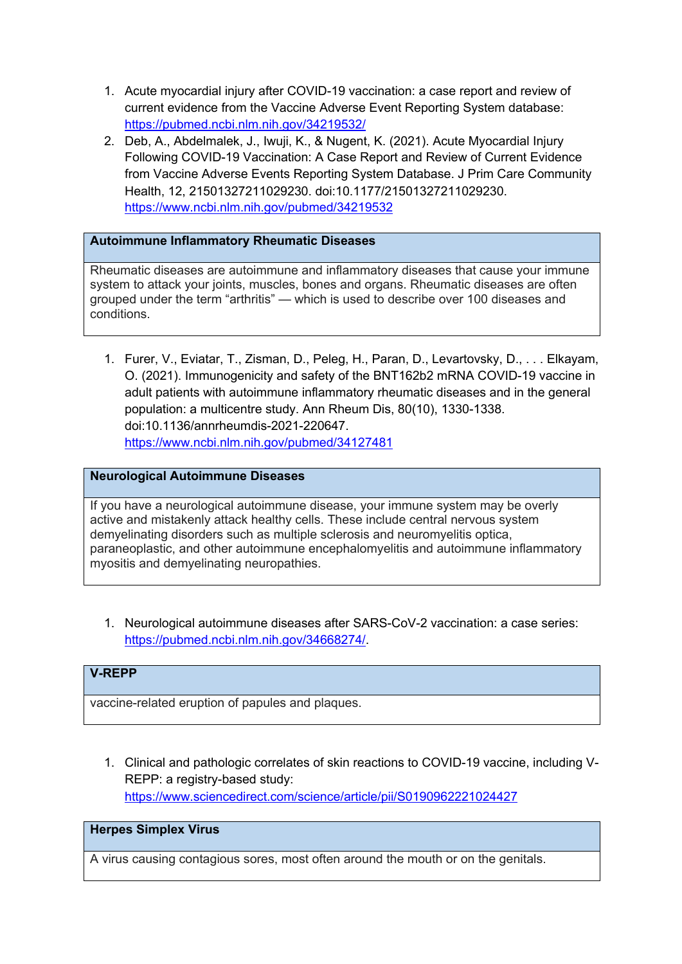- 1. Acute myocardial injury after COVID-19 vaccination: a case report and review of current evidence from the Vaccine Adverse Event Reporting System database: https://pubmed.ncbi.nlm.nih.gov/34219532/
- 2. Deb, A., Abdelmalek, J., Iwuji, K., & Nugent, K. (2021). Acute Myocardial Injury Following COVID-19 Vaccination: A Case Report and Review of Current Evidence from Vaccine Adverse Events Reporting System Database. J Prim Care Community Health, 12, 21501327211029230. doi:10.1177/21501327211029230. https://www.ncbi.nlm.nih.gov/pubmed/34219532

# **Autoimmune Inflammatory Rheumatic Diseases**

Rheumatic diseases are autoimmune and inflammatory diseases that cause your immune system to attack your joints, muscles, bones and organs. Rheumatic diseases are often grouped under the term "arthritis" — which is used to describe over 100 diseases and conditions.

1. Furer, V., Eviatar, T., Zisman, D., Peleg, H., Paran, D., Levartovsky, D., . . . Elkayam, O. (2021). Immunogenicity and safety of the BNT162b2 mRNA COVID-19 vaccine in adult patients with autoimmune inflammatory rheumatic diseases and in the general population: a multicentre study. Ann Rheum Dis, 80(10), 1330-1338. doi:10.1136/annrheumdis-2021-220647. https://www.ncbi.nlm.nih.gov/pubmed/34127481

# **Neurological Autoimmune Diseases**

If you have a neurological autoimmune disease, your immune system may be overly active and mistakenly attack healthy cells. These include central nervous system demyelinating disorders such as multiple sclerosis and neuromyelitis optica, paraneoplastic, and other autoimmune encephalomyelitis and autoimmune inflammatory myositis and demyelinating neuropathies.

1. Neurological autoimmune diseases after SARS-CoV-2 vaccination: a case series: https://pubmed.ncbi.nlm.nih.gov/34668274/.

# **V-REPP**

vaccine-related eruption of papules and plaques.

1. Clinical and pathologic correlates of skin reactions to COVID-19 vaccine, including V-REPP: a registry-based study: https://www.sciencedirect.com/science/article/pii/S0190962221024427

# **Herpes Simplex Virus**

A virus causing contagious sores, most often around the mouth or on the genitals.